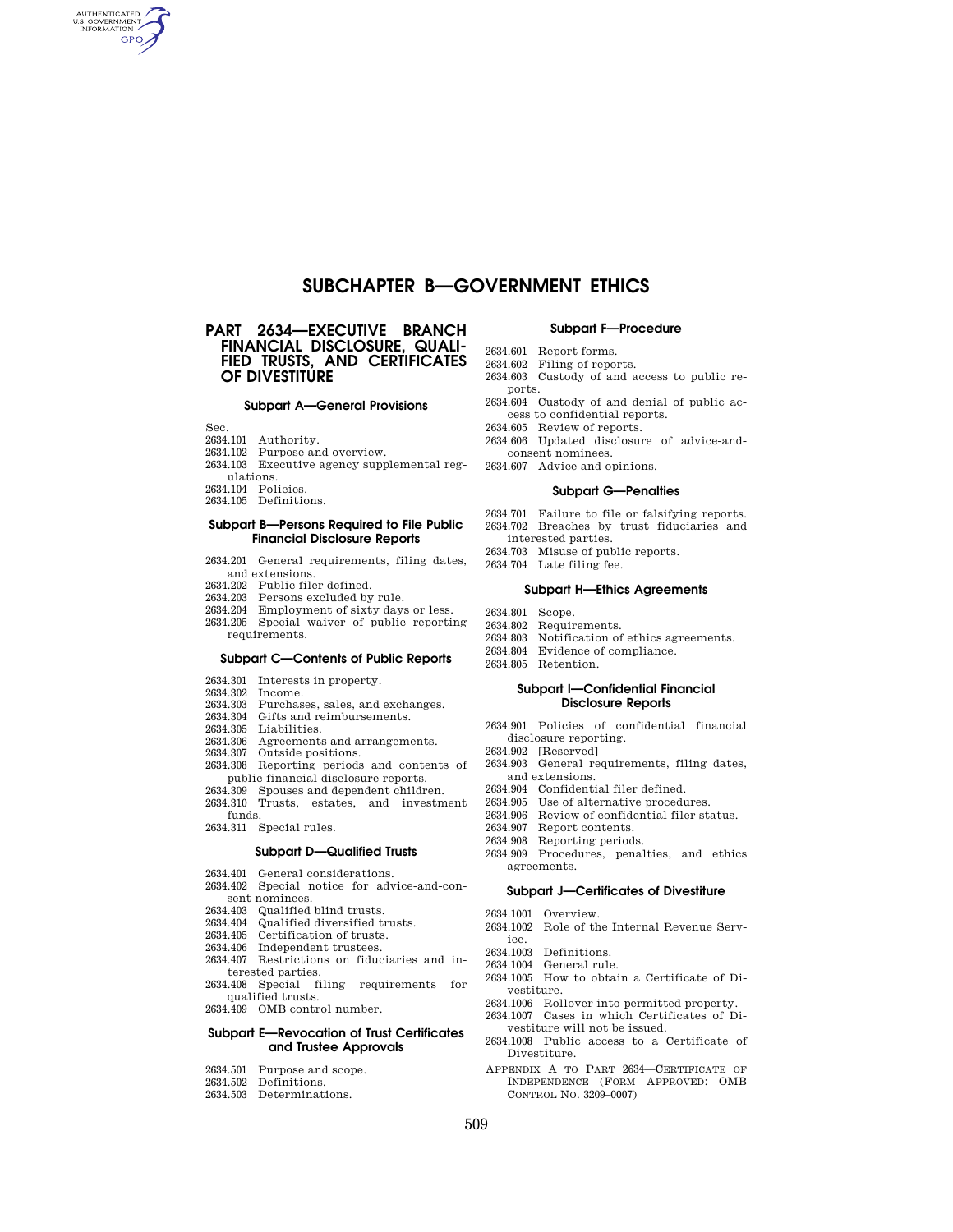# **SUBCHAPTER B—GOVERNMENT ETHICS**

# **PART 2634—EXECUTIVE BRANCH FINANCIAL DISCLOSURE, QUALI-FIED TRUSTS, AND CERTIFICATES OF DIVESTITURE**

### **Subpart A—General Provisions**

Sec.

AUTHENTICATED **GPO** 

- 2634.101 Authority.
- 2634.102 Purpose and overview.
- 2634.103 Executive agency supplemental regulations.
- 2634.104 Policies.
- 2634.105 Definitions.

## **Subpart B—Persons Required to File Public Financial Disclosure Reports**

- 2634.201 General requirements, filing dates, and extensions.
- 2634.202 Public filer defined.
- 2634.203 Persons excluded by rule.
- 2634.204 Employment of sixty days or less. 2634.205 Special waiver of public reporting requirements.

# **Subpart C—Contents of Public Reports**

- 2634.301 Interests in property.
- 2634.302 Income.
- 2634.303 Purchases, sales, and exchanges.
- 2634.304 Gifts and reimbursements.
- 2634.305 Liabilities.
- 2634.306 Agreements and arrangements.
- 2634.307 Outside positions.
- 2634.308 Reporting periods and contents of public financial disclosure reports.
- 2634.309 Spouses and dependent children. 2634.310 Trusts, estates, and investment
- funds.
- 2634.311 Special rules.

# **Subpart D—Qualified Trusts**

- 2634.401 General considerations.
- 2634.402 Special notice for advice-and-consent nominees.
- 2634.403 Qualified blind trusts.
- 2634.404 Qualified diversified trusts.
- 2634.405 Certification of trusts.
- 2634.406 Independent trustees.
- 2634.407 Restrictions on fiduciaries and interested parties.
- 2634.408 Special filing requirements for qualified trusts.
- 2634.409 OMB control number.

## **Subpart E—Revocation of Trust Certificates and Trustee Approvals**

- 2634.501 Purpose and scope.
- 2634.502 Definitions.
- 2634.503 Determinations.

#### **Subpart F—Procedure**

- 2634.601 Report forms.
- 2634.602 Filing of reports.
- 2634.603 Custody of and access to public reports.
- 2634.604 Custody of and denial of public access to confidential reports.
- 2634.605 Review of reports.
- 2634.606 Updated disclosure of advice-andconsent nominees.
- 2634.607 Advice and opinions.

### **Subpart G—Penalties**

- 2634.701 Failure to file or falsifying reports.
- 2634.702 Breaches by trust fiduciaries and
- interested parties.
- 2634.703 Misuse of public reports.
- 2634.704 Late filing fee.

## **Subpart H—Ethics Agreements**

- 2634.801 Scope.
- 2634.802 Requirements.
- 2634.803 Notification of ethics agreements.
- 2634.804 Evidence of compliance.
- 2634.805 Retention.

#### **Subpart I—Confidential Financial Disclosure Reports**

- 2634.901 Policies of confidential financial disclosure reporting.
- 2634.902 [Reserved]
- 2634.903 General requirements, filing dates, and extensions.
- 2634.904 Confidential filer defined.
- 2634.905 Use of alternative procedures.
- 2634.906 Review of confidential filer status.
- 2634.907 Report contents.
- 2634.908 Reporting periods.
- 2634.909 Procedures, penalties, and ethics agreements.

## **Subpart J—Certificates of Divestiture**

- 2634.1001 Overview.
- 2634.1002 Role of the Internal Revenue Service.
- 2634.1003 Definitions.
- 2634.1004 General rule.
- 2634.1005 How to obtain a Certificate of Divestiture.
- 2634.1006 Rollover into permitted property.
- 2634.1007 Cases in which Certificates of Divestiture will not be issued.
- 2634.1008 Public access to a Certificate of Divestiture.
- APPENDIX A TO PART 2634—CERTIFICATE OF INDEPENDENCE (FORM APPROVED: OMB CONTROL NO. 3209–0007)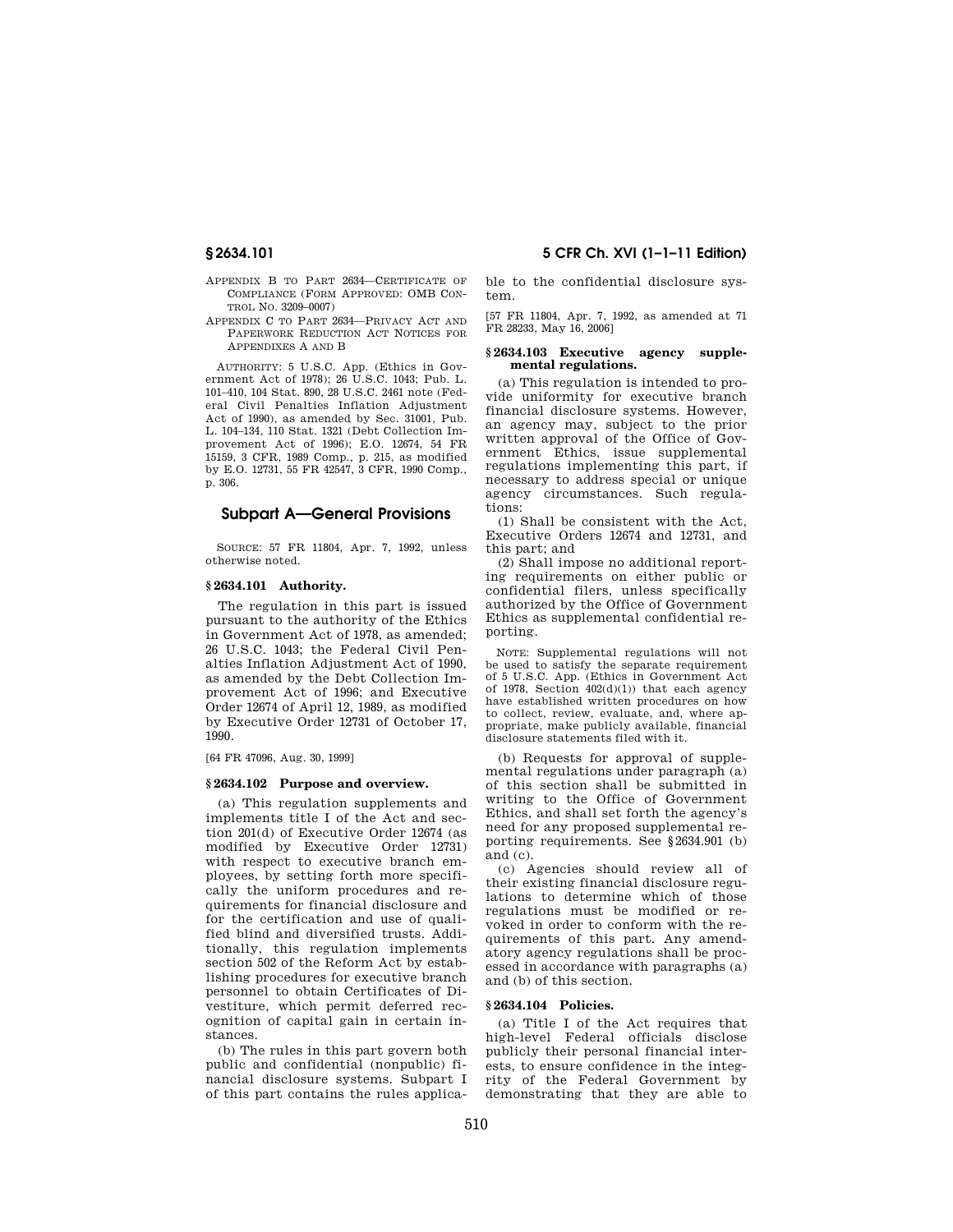- APPENDIX B TO PART 2634—CERTIFICATE OF COMPLIANCE (FORM APPROVED: OMB CON-TROL NO. 3209–0007)
- APPENDIX C TO PART 2634—PRIVACY ACT AND PAPERWORK REDUCTION ACT NOTICES FOR APPENDIXES A AND B

AUTHORITY: 5 U.S.C. App. (Ethics in Government Act of 1978); 26 U.S.C. 1043; Pub. L. 101–410, 104 Stat. 890, 28 U.S.C. 2461 note (Federal Civil Penalties Inflation Adjustment Act of 1990), as amended by Sec. 31001, Pub. L. 104–134, 110 Stat. 1321 (Debt Collection Improvement Act of 1996); E.O. 12674, 54 FR 15159, 3 CFR, 1989 Comp., p. 215, as modified by E.O. 12731, 55 FR 42547, 3 CFR, 1990 Comp., p. 306.

# **Subpart A—General Provisions**

SOURCE: 57 FR 11804, Apr. 7, 1992, unless otherwise noted.

#### **§ 2634.101 Authority.**

The regulation in this part is issued pursuant to the authority of the Ethics in Government Act of 1978, as amended; 26 U.S.C. 1043; the Federal Civil Penalties Inflation Adjustment Act of 1990, as amended by the Debt Collection Improvement Act of 1996; and Executive Order 12674 of April 12, 1989, as modified by Executive Order 12731 of October 17, 1990.

[64 FR 47096, Aug. 30, 1999]

### **§ 2634.102 Purpose and overview.**

(a) This regulation supplements and implements title I of the Act and section 201(d) of Executive Order 12674 (as modified by Executive Order 12731) with respect to executive branch employees, by setting forth more specifically the uniform procedures and requirements for financial disclosure and for the certification and use of qualified blind and diversified trusts. Additionally, this regulation implements section 502 of the Reform Act by establishing procedures for executive branch personnel to obtain Certificates of Divestiture, which permit deferred recognition of capital gain in certain instances.

(b) The rules in this part govern both public and confidential (nonpublic) financial disclosure systems. Subpart I of this part contains the rules applica-

**§ 2634.101 5 CFR Ch. XVI (1–1–11 Edition)** 

ble to the confidential disclosure system.

[57 FR 11804, Apr. 7, 1992, as amended at 71 FR 28233, May 16, 2006]

#### **§ 2634.103 Executive agency supplemental regulations.**

(a) This regulation is intended to provide uniformity for executive branch financial disclosure systems. However, an agency may, subject to the prior written approval of the Office of Government Ethics, issue supplemental regulations implementing this part, if necessary to address special or unique agency circumstances. Such regulations:

(1) Shall be consistent with the Act, Executive Orders 12674 and 12731, and this part; and

(2) Shall impose no additional reporting requirements on either public or confidential filers, unless specifically authorized by the Office of Government Ethics as supplemental confidential reporting.

NOTE: Supplemental regulations will not be used to satisfy the separate requirement of 5 U.S.C. App. (Ethics in Government Act of 1978, Section  $402(d)(1)$  that each agency have established written procedures on how to collect, review, evaluate, and, where appropriate, make publicly available, financial disclosure statements filed with it.

(b) Requests for approval of supplemental regulations under paragraph (a) of this section shall be submitted in writing to the Office of Government Ethics, and shall set forth the agency's need for any proposed supplemental reporting requirements. See §2634.901 (b) and (c).

(c) Agencies should review all of their existing financial disclosure regulations to determine which of those regulations must be modified or revoked in order to conform with the requirements of this part. Any amendatory agency regulations shall be processed in accordance with paragraphs (a) and (b) of this section.

## **§ 2634.104 Policies.**

(a) Title I of the Act requires that high-level Federal officials disclose publicly their personal financial interests, to ensure confidence in the integrity of the Federal Government by demonstrating that they are able to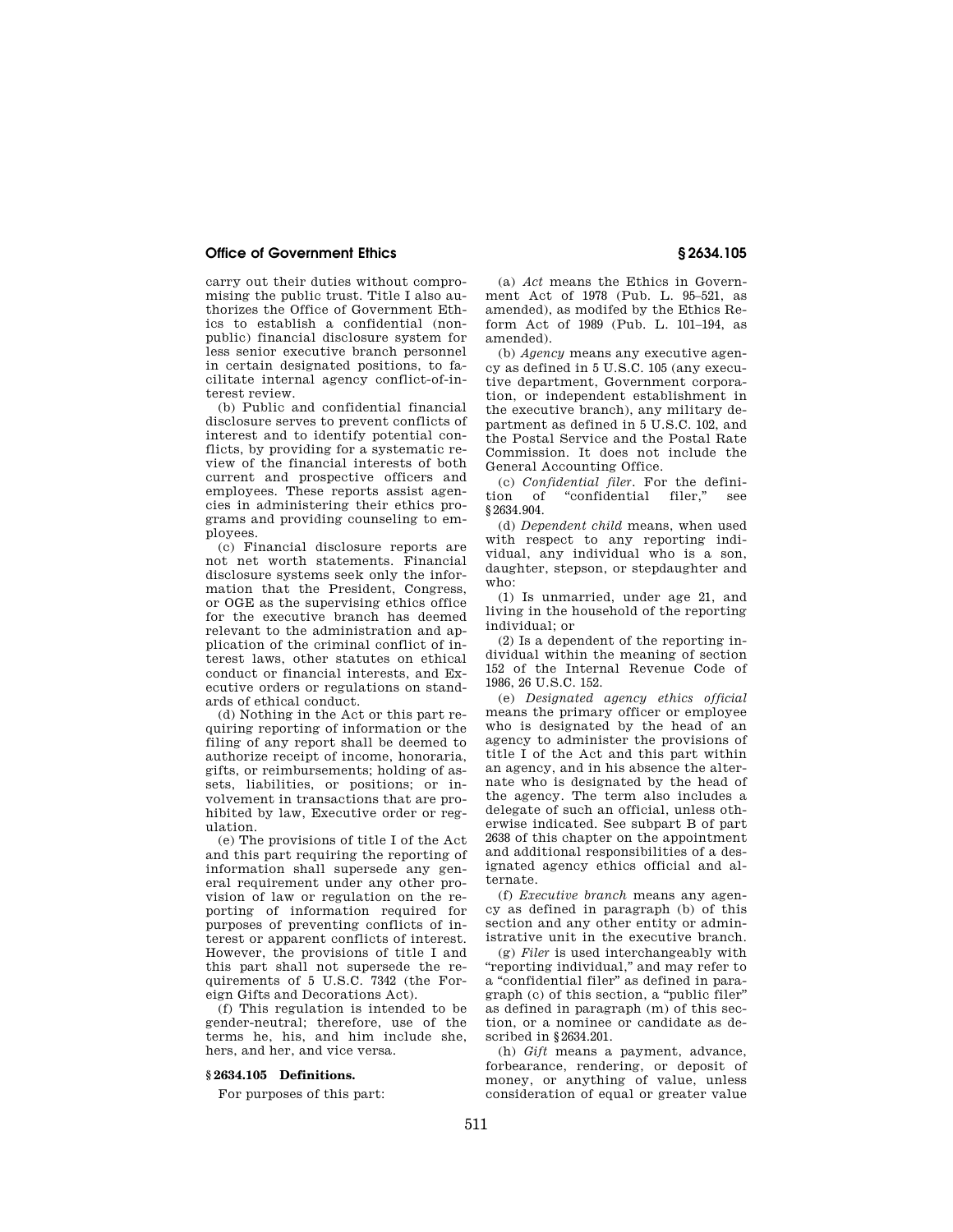carry out their duties without compromising the public trust. Title I also authorizes the Office of Government Ethics to establish a confidential (nonpublic) financial disclosure system for less senior executive branch personnel in certain designated positions, to facilitate internal agency conflict-of-interest review.

(b) Public and confidential financial disclosure serves to prevent conflicts of interest and to identify potential conflicts, by providing for a systematic review of the financial interests of both current and prospective officers and employees. These reports assist agencies in administering their ethics programs and providing counseling to employees.

(c) Financial disclosure reports are not net worth statements. Financial disclosure systems seek only the information that the President, Congress, or OGE as the supervising ethics office for the executive branch has deemed relevant to the administration and application of the criminal conflict of interest laws, other statutes on ethical conduct or financial interests, and Executive orders or regulations on standards of ethical conduct.

(d) Nothing in the Act or this part requiring reporting of information or the filing of any report shall be deemed to authorize receipt of income, honoraria, gifts, or reimbursements; holding of assets, liabilities, or positions; or involvement in transactions that are prohibited by law, Executive order or regulation.

(e) The provisions of title I of the Act and this part requiring the reporting of information shall supersede any general requirement under any other provision of law or regulation on the reporting of information required for purposes of preventing conflicts of interest or apparent conflicts of interest. However, the provisions of title I and this part shall not supersede the requirements of 5 U.S.C. 7342 (the Foreign Gifts and Decorations Act).

(f) This regulation is intended to be gender-neutral; therefore, use of the terms he, his, and him include she, hers, and her, and vice versa.

### **§ 2634.105 Definitions.**

For purposes of this part:

(a) *Act* means the Ethics in Government Act of 1978 (Pub. L. 95–521, as amended), as modifed by the Ethics Reform Act of 1989 (Pub. L. 101–194, as amended).

(b) *Agency* means any executive agency as defined in 5 U.S.C. 105 (any executive department, Government corporation, or independent establishment in the executive branch), any military department as defined in 5 U.S.C. 102, and the Postal Service and the Postal Rate Commission. It does not include the General Accounting Office.

(c) *Confidential filer.* For the definition of ''confidential filer,'' see §2634.904.

(d) *Dependent child* means, when used with respect to any reporting individual, any individual who is a son, daughter, stepson, or stepdaughter and who:

(1) Is unmarried, under age 21, and living in the household of the reporting individual; or

(2) Is a dependent of the reporting individual within the meaning of section 152 of the Internal Revenue Code of 1986, 26 U.S.C. 152.

(e) *Designated agency ethics official*  means the primary officer or employee who is designated by the head of an agency to administer the provisions of title I of the Act and this part within an agency, and in his absence the alternate who is designated by the head of the agency. The term also includes a delegate of such an official, unless otherwise indicated. See subpart B of part 2638 of this chapter on the appointment and additional responsibilities of a designated agency ethics official and alternate.

(f) *Executive branch* means any agency as defined in paragraph (b) of this section and any other entity or administrative unit in the executive branch.

(g) *Filer* is used interchangeably with ''reporting individual,'' and may refer to a ''confidential filer'' as defined in paragraph (c) of this section, a ''public filer'' as defined in paragraph (m) of this section, or a nominee or candidate as described in §2634.201.

(h) *Gift* means a payment, advance, forbearance, rendering, or deposit of money, or anything of value, unless consideration of equal or greater value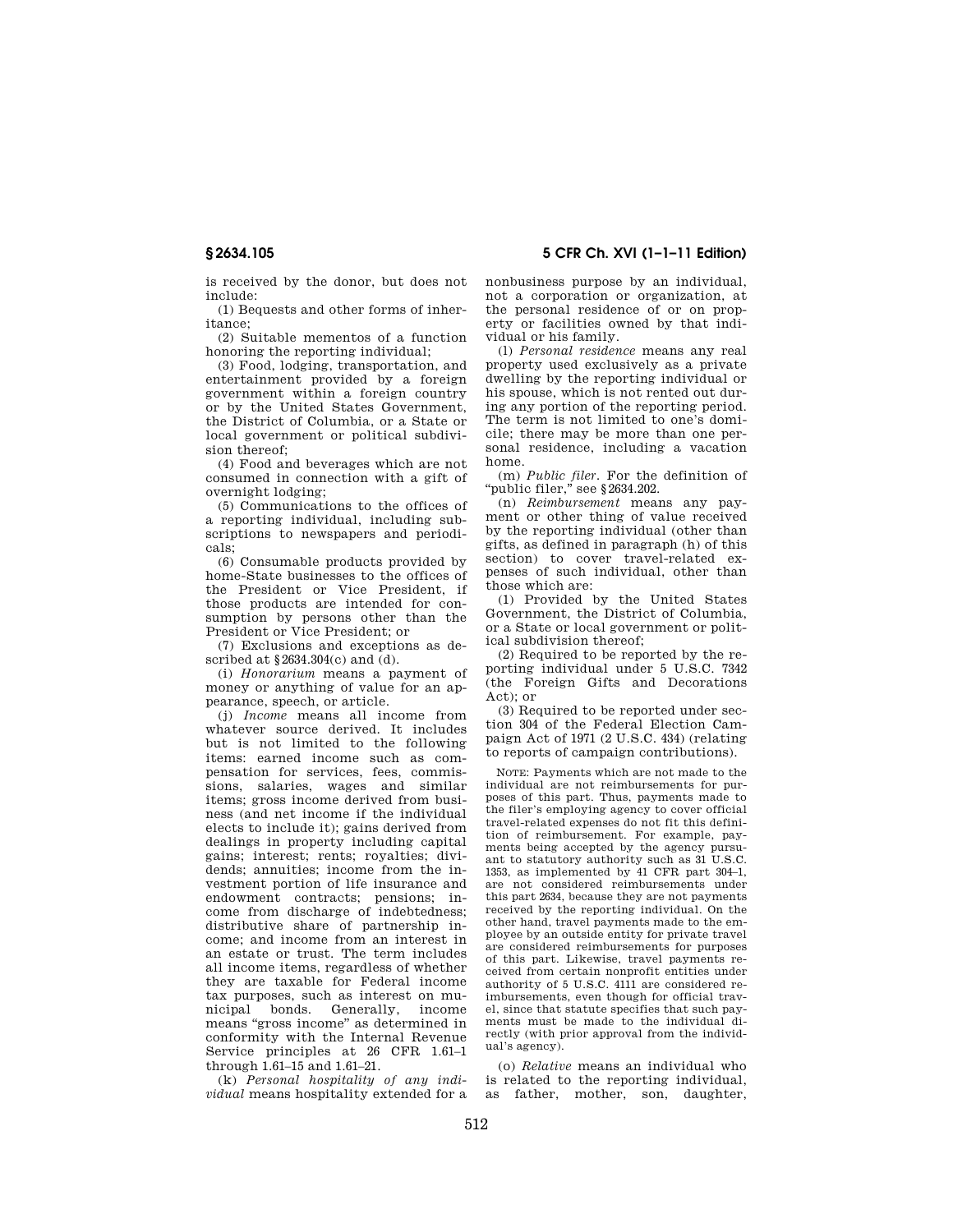**§ 2634.105 5 CFR Ch. XVI (1–1–11 Edition)** 

is received by the donor, but does not include:

(1) Bequests and other forms of inheritance;

(2) Suitable mementos of a function honoring the reporting individual;

(3) Food, lodging, transportation, and entertainment provided by a foreign government within a foreign country or by the United States Government, the District of Columbia, or a State or local government or political subdivision thereof;

(4) Food and beverages which are not consumed in connection with a gift of overnight lodging;

(5) Communications to the offices of a reporting individual, including subscriptions to newspapers and periodicals;

(6) Consumable products provided by home-State businesses to the offices of the President or Vice President, if those products are intended for consumption by persons other than the President or Vice President; or

(7) Exclusions and exceptions as described at §2634.304(c) and (d).

(i) *Honorarium* means a payment of money or anything of value for an appearance, speech, or article.

(j) *Income* means all income from whatever source derived. It includes but is not limited to the following items: earned income such as compensation for services, fees, commissions, salaries, wages and similar items; gross income derived from business (and net income if the individual elects to include it); gains derived from dealings in property including capital gains; interest; rents; royalties; dividends; annuities; income from the investment portion of life insurance and endowment contracts; pensions; income from discharge of indebtedness; distributive share of partnership income; and income from an interest in an estate or trust. The term includes all income items, regardless of whether they are taxable for Federal income tax purposes, such as interest on municipal bonds. Generally, income means "gross income" as determined in conformity with the Internal Revenue Service principles at 26 CFR 1.61–1 through 1.61–15 and 1.61–21.

(k) *Personal hospitality of any individual* means hospitality extended for a nonbusiness purpose by an individual, not a corporation or organization, at the personal residence of or on property or facilities owned by that individual or his family.

(l) *Personal residence* means any real property used exclusively as a private dwelling by the reporting individual or his spouse, which is not rented out during any portion of the reporting period. The term is not limited to one's domicile; there may be more than one personal residence, including a vacation home.

(m) *Public filer.* For the definition of 'public filer," see §2634.202.

(n) *Reimbursement* means any payment or other thing of value received by the reporting individual (other than gifts, as defined in paragraph (h) of this section) to cover travel-related expenses of such individual, other than those which are:

(1) Provided by the United States Government, the District of Columbia, or a State or local government or political subdivision thereof;

(2) Required to be reported by the reporting individual under 5 U.S.C. 7342 (the Foreign Gifts and Decorations Act); or

(3) Required to be reported under section 304 of the Federal Election Campaign Act of 1971 (2 U.S.C. 434) (relating to reports of campaign contributions).

NOTE: Payments which are not made to the individual are not reimbursements for purposes of this part. Thus, payments made to the filer's employing agency to cover official travel-related expenses do not fit this definition of reimbursement. For example, payments being accepted by the agency pursuant to statutory authority such as 31 U.S.C. 1353, as implemented by 41 CFR part 304–1, are not considered reimbursements under this part 2634, because they are not payments received by the reporting individual. On the other hand, travel payments made to the employee by an outside entity for private travel are considered reimbursements for purposes of this part. Likewise, travel payments received from certain nonprofit entities under authority of 5 U.S.C. 4111 are considered reimbursements, even though for official travel, since that statute specifies that such payments must be made to the individual directly (with prior approval from the individual's agency).

(o) *Relative* means an individual who is related to the reporting individual, as father, mother, son, daughter,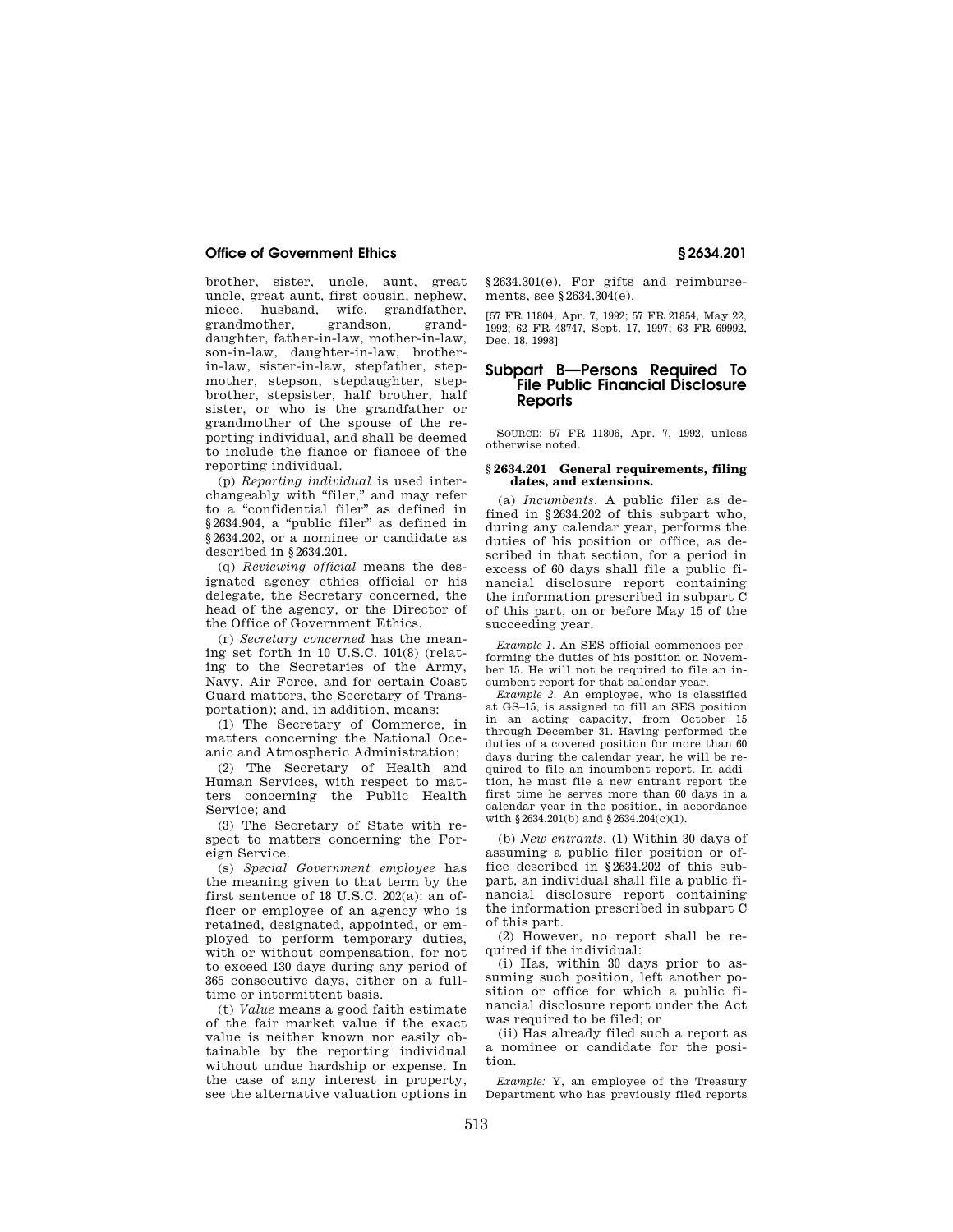brother, sister, uncle, aunt, great uncle, great aunt, first cousin, nephew, niece, husband, wife, grandfather, grandmother, grandson, granddaughter, father-in-law, mother-in-law, son-in-law, daughter-in-law, brotherin-law, sister-in-law, stepfather, stepmother, stepson, stepdaughter, stepbrother, stepsister, half brother, half sister, or who is the grandfather or grandmother of the spouse of the reporting individual, and shall be deemed to include the fiance or fiancee of the reporting individual.

(p) *Reporting individual* is used interchangeably with "filer," and may refer to a ''confidential filer'' as defined in §2634.904, a ''public filer'' as defined in §2634.202, or a nominee or candidate as described in §2634.201.

(q) *Reviewing official* means the designated agency ethics official or his delegate, the Secretary concerned, the head of the agency, or the Director of the Office of Government Ethics.

(r) *Secretary concerned* has the meaning set forth in 10 U.S.C. 101(8) (relating to the Secretaries of the Army, Navy, Air Force, and for certain Coast Guard matters, the Secretary of Transportation); and, in addition, means:

(1) The Secretary of Commerce, in matters concerning the National Oceanic and Atmospheric Administration;

(2) The Secretary of Health and Human Services, with respect to matters concerning the Public Health Service; and

(3) The Secretary of State with respect to matters concerning the Foreign Service.

(s) *Special Government employee* has the meaning given to that term by the first sentence of 18 U.S.C. 202(a): an officer or employee of an agency who is retained, designated, appointed, or employed to perform temporary duties, with or without compensation, for not to exceed 130 days during any period of 365 consecutive days, either on a fulltime or intermittent basis.

(t) *Value* means a good faith estimate of the fair market value if the exact value is neither known nor easily obtainable by the reporting individual without undue hardship or expense. In the case of any interest in property, see the alternative valuation options in

§2634.301(e). For gifts and reimbursements, see §2634.304(e).

[57 FR 11804, Apr. 7, 1992; 57 FR 21854, May 22, 1992; 62 FR 48747, Sept. 17, 1997; 63 FR 69992, Dec. 18, 1998]

# **Subpart B—Persons Required To File Public Financial Disclosure Reports**

SOURCE: 57 FR 11806, Apr. 7, 1992, unless otherwise noted.

### **§ 2634.201 General requirements, filing dates, and extensions.**

(a) *Incumbents.* A public filer as defined in §2634.202 of this subpart who, during any calendar year, performs the duties of his position or office, as described in that section, for a period in excess of 60 days shall file a public financial disclosure report containing the information prescribed in subpart  $\check{\mathbf{C}}$ of this part, on or before May 15 of the succeeding year.

*Example 1.* An SES official commences performing the duties of his position on November 15. He will not be required to file an incumbent report for that calendar year.

*Example 2.* An employee, who is classified at GS–15, is assigned to fill an SES position in an acting capacity, from October 15 through December 31. Having performed the duties of a covered position for more than 60 days during the calendar year, he will be required to file an incumbent report. In addition, he must file a new entrant report the first time he serves more than 60 days in a calendar year in the position, in accordance with §2634.201(b) and §2634.204(c)(1).

(b) *New entrants.* (1) Within 30 days of assuming a public filer position or office described in §2634.202 of this subpart, an individual shall file a public financial disclosure report containing the information prescribed in subpart C of this part.

(2) However, no report shall be required if the individual:

(i) Has, within 30 days prior to assuming such position, left another position or office for which a public financial disclosure report under the Act was required to be filed; or

(ii) Has already filed such a report as a nominee or candidate for the position.

*Example:* Y, an employee of the Treasury Department who has previously filed reports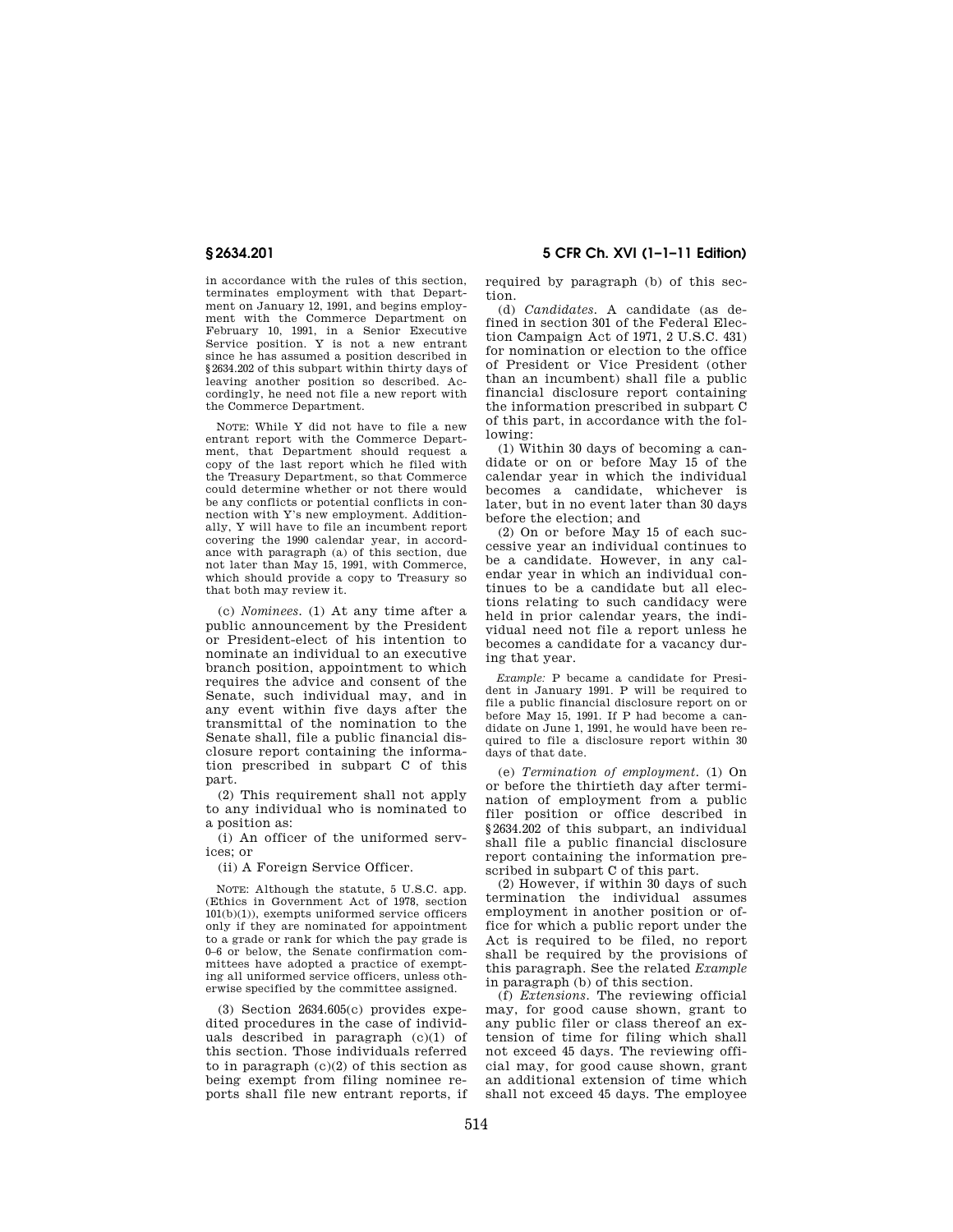in accordance with the rules of this section, terminates employment with that Department on January 12, 1991, and begins employment with the Commerce Department on February 10, 1991, in a Senior Executive Service position. Y is not a new entrant since he has assumed a position described in §2634.202 of this subpart within thirty days of leaving another position so described. Accordingly, he need not file a new report with the Commerce Department.

NOTE: While Y did not have to file a new entrant report with the Commerce Department, that Department should request a copy of the last report which he filed with the Treasury Department, so that Commerce could determine whether or not there would be any conflicts or potential conflicts in connection with Y's new employment. Additionally, Y will have to file an incumbent report covering the 1990 calendar year, in accordance with paragraph (a) of this section, due not later than May 15, 1991, with Commerce, which should provide a copy to Treasury so that both may review it.

(c) *Nominees.* (1) At any time after a public announcement by the President or President-elect of his intention to nominate an individual to an executive branch position, appointment to which requires the advice and consent of the Senate, such individual may, and in any event within five days after the transmittal of the nomination to the Senate shall, file a public financial disclosure report containing the information prescribed in subpart C of this part.

(2) This requirement shall not apply to any individual who is nominated to a position as:

(i) An officer of the uniformed services; or

(ii) A Foreign Service Officer.

NOTE: Although the statute, 5 U.S.C. app. (Ethics in Government Act of 1978, section 101(b)(1)), exempts uniformed service officers only if they are nominated for appointment to a grade or rank for which the pay grade is 0–6 or below, the Senate confirmation committees have adopted a practice of exempting all uniformed service officers, unless otherwise specified by the committee assigned.

(3) Section 2634.605(c) provides expedited procedures in the case of individuals described in paragraph (c)(1) of this section. Those individuals referred to in paragraph  $(c)(2)$  of this section as being exempt from filing nominee reports shall file new entrant reports, if

**§ 2634.201 5 CFR Ch. XVI (1–1–11 Edition)** 

required by paragraph (b) of this section.

(d) *Candidates.* A candidate (as defined in section 301 of the Federal Election Campaign Act of 1971, 2 U.S.C. 431) for nomination or election to the office of President or Vice President (other than an incumbent) shall file a public financial disclosure report containing the information prescribed in subpart C of this part, in accordance with the following:

(1) Within 30 days of becoming a candidate or on or before May 15 of the calendar year in which the individual becomes a candidate, whichever is later, but in no event later than 30 days before the election; and

(2) On or before May 15 of each successive year an individual continues to be a candidate. However, in any calendar year in which an individual continues to be a candidate but all elections relating to such candidacy were held in prior calendar years, the individual need not file a report unless he becomes a candidate for a vacancy during that year.

*Example:* P became a candidate for President in January 1991. P will be required to file a public financial disclosure report on or before May 15, 1991. If P had become a candidate on June 1, 1991, he would have been required to file a disclosure report within 30 days of that date.

(e) *Termination of employment.* (1) On or before the thirtieth day after termination of employment from a public filer position or office described in §2634.202 of this subpart, an individual shall file a public financial disclosure report containing the information prescribed in subpart C of this part.

(2) However, if within 30 days of such termination the individual assumes employment in another position or office for which a public report under the Act is required to be filed, no report shall be required by the provisions of this paragraph. See the related *Example*  in paragraph (b) of this section.

(f) *Extensions.* The reviewing official may, for good cause shown, grant to any public filer or class thereof an extension of time for filing which shall not exceed 45 days. The reviewing official may, for good cause shown, grant an additional extension of time which shall not exceed 45 days. The employee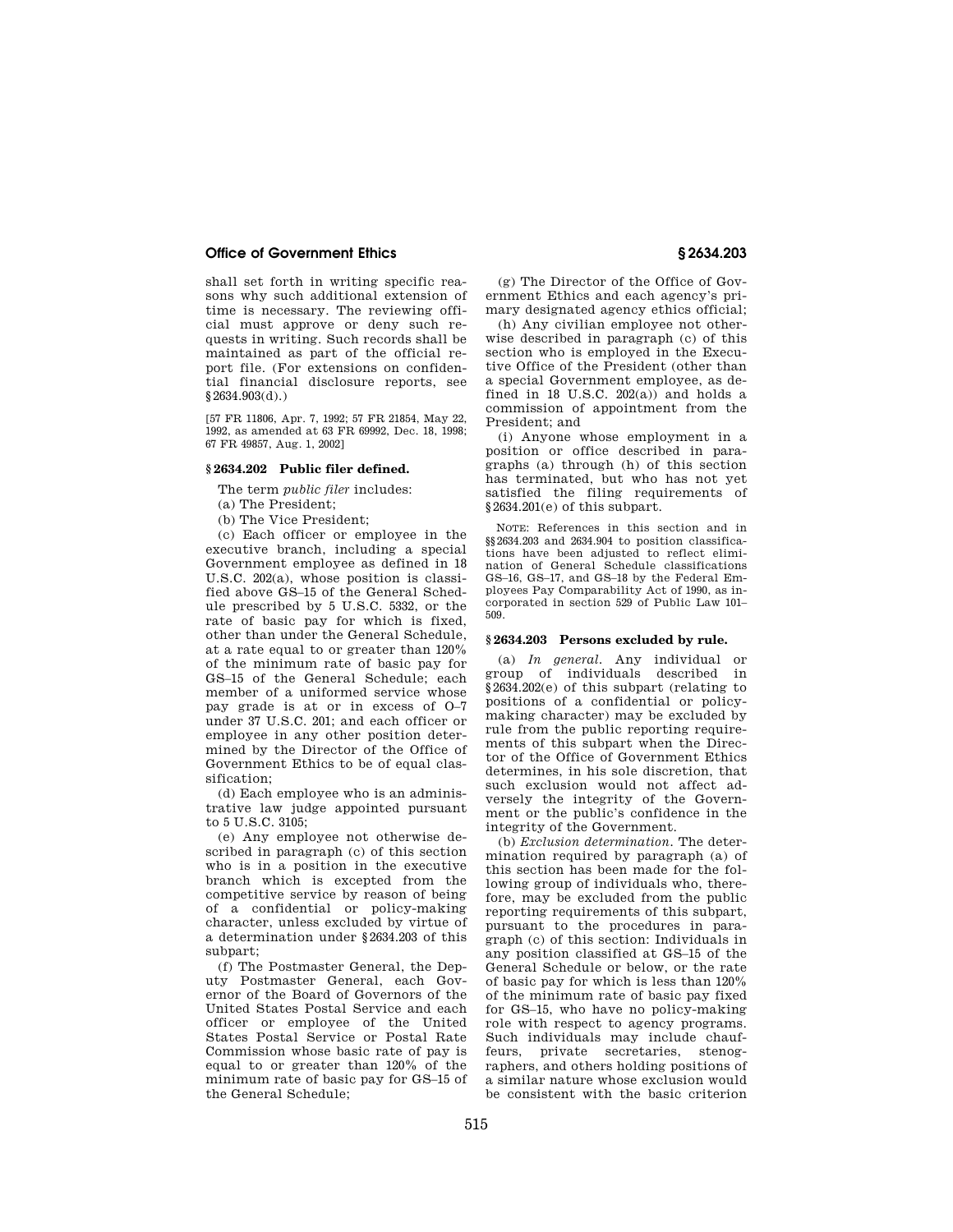shall set forth in writing specific reasons why such additional extension of time is necessary. The reviewing official must approve or deny such requests in writing. Such records shall be maintained as part of the official report file. (For extensions on confidential financial disclosure reports, see §2634.903(d).)

[57 FR 11806, Apr. 7, 1992; 57 FR 21854, May 22, 1992, as amended at 63 FR 69992, Dec. 18, 1998; 67 FR 49857, Aug. 1, 2002]

## **§ 2634.202 Public filer defined.**

The term *public filer* includes:

(a) The President;

(b) The Vice President;

(c) Each officer or employee in the executive branch, including a special Government employee as defined in 18 U.S.C. 202(a), whose position is classified above GS–15 of the General Schedule prescribed by 5 U.S.C. 5332, or the rate of basic pay for which is fixed, other than under the General Schedule, at a rate equal to or greater than 120% of the minimum rate of basic pay for GS–15 of the General Schedule; each member of a uniformed service whose pay grade is at or in excess of O–7 under 37 U.S.C. 201; and each officer or employee in any other position determined by the Director of the Office of Government Ethics to be of equal classification;

(d) Each employee who is an administrative law judge appointed pursuant to 5 U.S.C. 3105;

(e) Any employee not otherwise described in paragraph (c) of this section who is in a position in the executive branch which is excepted from the competitive service by reason of being of a confidential or policy-making character, unless excluded by virtue of a determination under §2634.203 of this subpart;

(f) The Postmaster General, the Deputy Postmaster General, each Governor of the Board of Governors of the United States Postal Service and each officer or employee of the United States Postal Service or Postal Rate Commission whose basic rate of pay is equal to or greater than 120% of the minimum rate of basic pay for GS–15 of the General Schedule;

(g) The Director of the Office of Government Ethics and each agency's primary designated agency ethics official;

(h) Any civilian employee not otherwise described in paragraph (c) of this section who is employed in the Executive Office of the President (other than a special Government employee, as defined in 18 U.S.C.  $202(a)$  and holds a commission of appointment from the President; and

(i) Anyone whose employment in a position or office described in paragraphs (a) through (h) of this section has terminated, but who has not yet satisfied the filing requirements of §2634.201(e) of this subpart.

NOTE: References in this section and in §§2634.203 and 2634.904 to position classifications have been adjusted to reflect elimination of General Schedule classifications GS–16, GS–17, and GS–18 by the Federal Employees Pay Comparability Act of 1990, as incorporated in section 529 of Public Law 101– 509.

## **§ 2634.203 Persons excluded by rule.**

(a) *In general.* Any individual or group of individuals described in §2634.202(e) of this subpart (relating to positions of a confidential or policymaking character) may be excluded by rule from the public reporting requirements of this subpart when the Director of the Office of Government Ethics determines, in his sole discretion, that such exclusion would not affect adversely the integrity of the Government or the public's confidence in the integrity of the Government.

(b) *Exclusion determination.* The determination required by paragraph (a) of this section has been made for the following group of individuals who, therefore, may be excluded from the public reporting requirements of this subpart, pursuant to the procedures in paragraph (c) of this section: Individuals in any position classified at GS–15 of the General Schedule or below, or the rate of basic pay for which is less than 120% of the minimum rate of basic pay fixed for GS–15, who have no policy-making role with respect to agency programs. Such individuals may include chauffeurs, private secretaries, stenographers, and others holding positions of a similar nature whose exclusion would be consistent with the basic criterion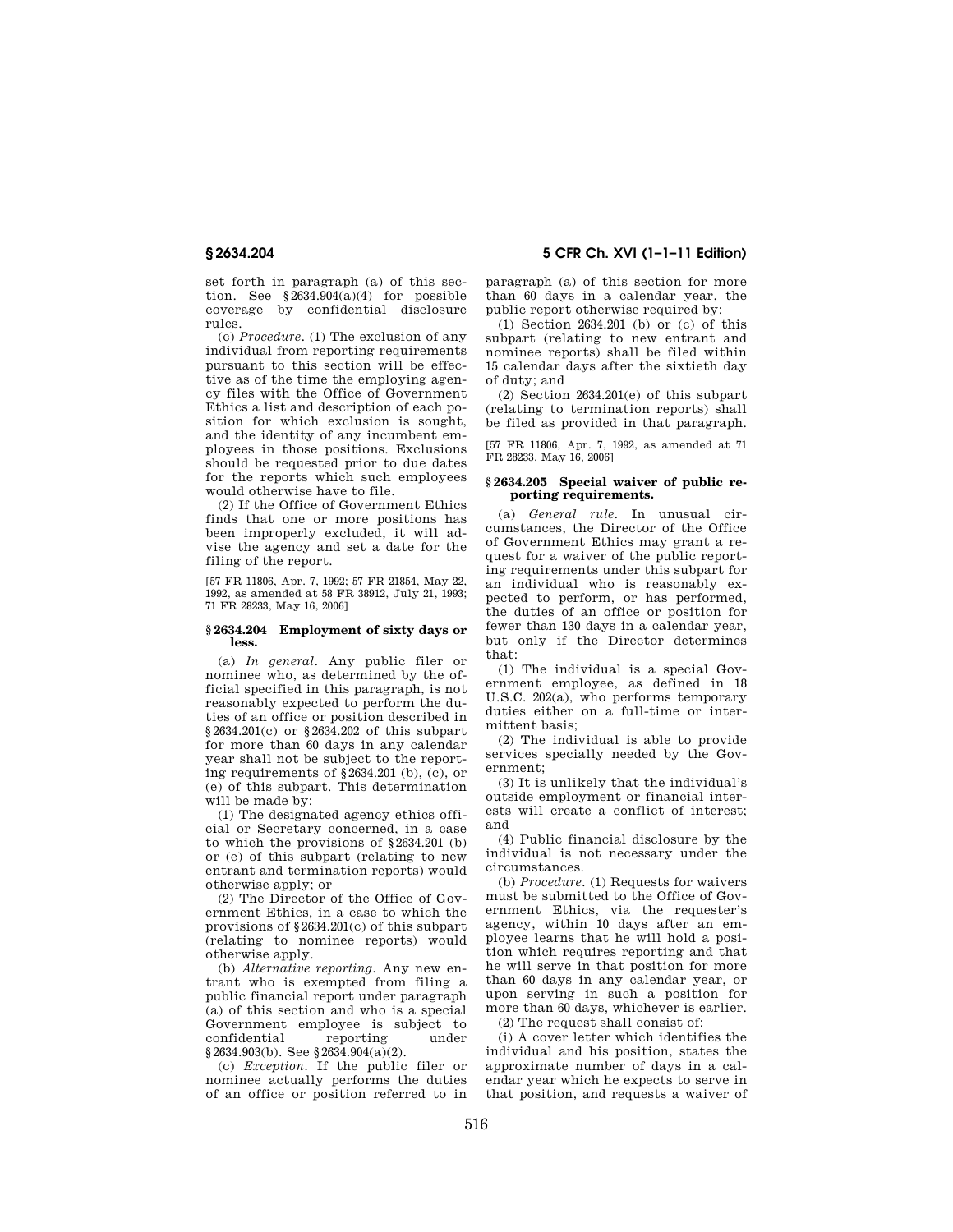set forth in paragraph (a) of this section. See  $\S$ 2634.904(a)(4) for possible coverage by confidential disclosure rules.

(c) *Procedure.* (1) The exclusion of any individual from reporting requirements pursuant to this section will be effective as of the time the employing agency files with the Office of Government Ethics a list and description of each position for which exclusion is sought, and the identity of any incumbent employees in those positions. Exclusions should be requested prior to due dates for the reports which such employees would otherwise have to file.

(2) If the Office of Government Ethics finds that one or more positions has been improperly excluded, it will advise the agency and set a date for the filing of the report.

[57 FR 11806, Apr. 7, 1992; 57 FR 21854, May 22, 1992, as amended at 58 FR 38912, July 21, 1993; 71 FR 28233, May 16, 2006]

#### **§ 2634.204 Employment of sixty days or less.**

(a) *In general.* Any public filer or nominee who, as determined by the official specified in this paragraph, is not reasonably expected to perform the duties of an office or position described in §2634.201(c) or §2634.202 of this subpart for more than 60 days in any calendar year shall not be subject to the reporting requirements of §2634.201 (b), (c), or (e) of this subpart. This determination will be made by:

(1) The designated agency ethics official or Secretary concerned, in a case to which the provisions of §2634.201 (b) or (e) of this subpart (relating to new entrant and termination reports) would otherwise apply; or

(2) The Director of the Office of Government Ethics, in a case to which the provisions of §2634.201(c) of this subpart (relating to nominee reports) would otherwise apply.

(b) *Alternative reporting.* Any new entrant who is exempted from filing a public financial report under paragraph (a) of this section and who is a special Government employee is subject to confidential reporting under §2634.903(b). See §2634.904(a)(2).

(c) *Exception.* If the public filer or nominee actually performs the duties of an office or position referred to in

**§ 2634.204 5 CFR Ch. XVI (1–1–11 Edition)** 

paragraph (a) of this section for more than 60 days in a calendar year, the public report otherwise required by:

(1) Section 2634.201 (b) or (c) of this subpart (relating to new entrant and nominee reports) shall be filed within 15 calendar days after the sixtieth day of duty; and

(2) Section 2634.201(e) of this subpart (relating to termination reports) shall be filed as provided in that paragraph.

[57 FR 11806, Apr. 7, 1992, as amended at 71 FR 28233, May 16, 2006]

### **§ 2634.205 Special waiver of public reporting requirements.**

(a) *General rule.* In unusual circumstances, the Director of the Office of Government Ethics may grant a request for a waiver of the public reporting requirements under this subpart for an individual who is reasonably expected to perform, or has performed, the duties of an office or position for fewer than 130 days in a calendar year, but only if the Director determines that:

(1) The individual is a special Government employee, as defined in 18 U.S.C. 202(a), who performs temporary duties either on a full-time or intermittent basis;

(2) The individual is able to provide services specially needed by the Government;

(3) It is unlikely that the individual's outside employment or financial interests will create a conflict of interest; and

(4) Public financial disclosure by the individual is not necessary under the circumstances.

(b) *Procedure.* (1) Requests for waivers must be submitted to the Office of Government Ethics, via the requester's agency, within 10 days after an employee learns that he will hold a position which requires reporting and that he will serve in that position for more than 60 days in any calendar year, or upon serving in such a position for more than 60 days, whichever is earlier. (2) The request shall consist of:

(i) A cover letter which identifies the individual and his position, states the approximate number of days in a calendar year which he expects to serve in that position, and requests a waiver of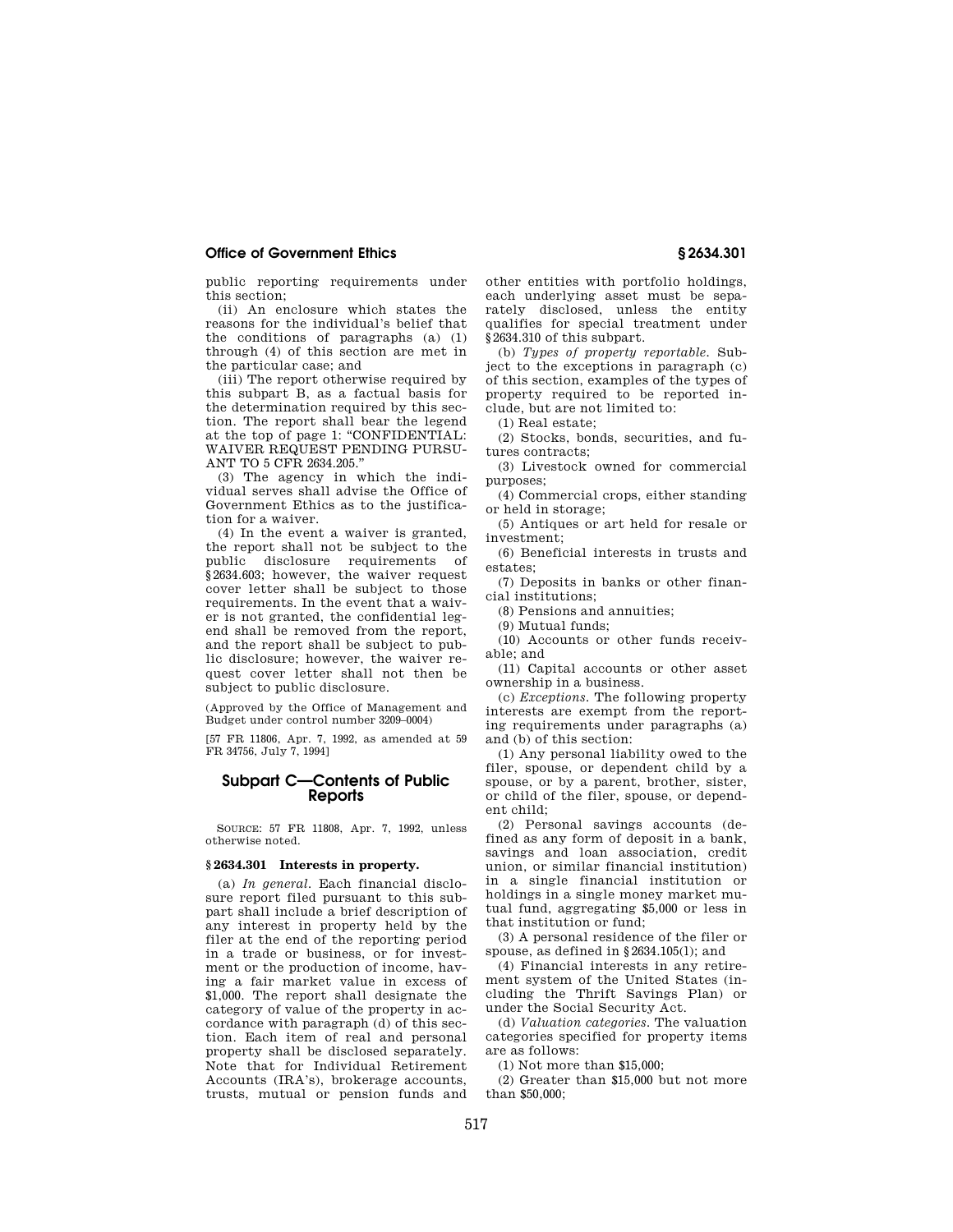public reporting requirements under this section;

(ii) An enclosure which states the reasons for the individual's belief that the conditions of paragraphs (a) (1) through (4) of this section are met in the particular case; and

(iii) The report otherwise required by this subpart B, as a factual basis for the determination required by this section. The report shall bear the legend at the top of page 1: "CONFIDENTIAL: WAIVER REQUEST PENDING PURSU-ANT TO 5 CFR 2634.205.''

(3) The agency in which the individual serves shall advise the Office of Government Ethics as to the justification for a waiver.

(4) In the event a waiver is granted, the report shall not be subject to the public disclosure requirements of §2634.603; however, the waiver request cover letter shall be subject to those requirements. In the event that a waiver is not granted, the confidential legend shall be removed from the report, and the report shall be subject to public disclosure; however, the waiver request cover letter shall not then be subject to public disclosure.

(Approved by the Office of Management and Budget under control number 3209–0004)

[57 FR 11806, Apr. 7, 1992, as amended at 59 FR 34756, July 7, 1994]

# **Subpart C—Contents of Public Reports**

SOURCE: 57 FR 11808, Apr. 7, 1992, unless otherwise noted.

#### **§ 2634.301 Interests in property.**

(a) *In general.* Each financial disclosure report filed pursuant to this subpart shall include a brief description of any interest in property held by the filer at the end of the reporting period in a trade or business, or for investment or the production of income, having a fair market value in excess of \$1,000. The report shall designate the category of value of the property in accordance with paragraph (d) of this section. Each item of real and personal property shall be disclosed separately. Note that for Individual Retirement Accounts (IRA's), brokerage accounts, trusts, mutual or pension funds and

other entities with portfolio holdings, each underlying asset must be separately disclosed, unless the entity qualifies for special treatment under §2634.310 of this subpart.

(b) *Types of property reportable.* Subject to the exceptions in paragraph (c) of this section, examples of the types of property required to be reported include, but are not limited to:

(1) Real estate;

(2) Stocks, bonds, securities, and futures contracts;

(3) Livestock owned for commercial purposes;

(4) Commercial crops, either standing or held in storage;

(5) Antiques or art held for resale or investment;

(6) Beneficial interests in trusts and estates;

(7) Deposits in banks or other financial institutions;

(8) Pensions and annuities;

(9) Mutual funds;

(10) Accounts or other funds receivable; and

(11) Capital accounts or other asset ownership in a business.

(c) *Exceptions.* The following property interests are exempt from the reporting requirements under paragraphs (a) and (b) of this section:

(1) Any personal liability owed to the filer, spouse, or dependent child by a spouse, or by a parent, brother, sister, or child of the filer, spouse, or dependent child;

(2) Personal savings accounts (defined as any form of deposit in a bank, savings and loan association, credit union, or similar financial institution) in a single financial institution or holdings in a single money market mutual fund, aggregating \$5,000 or less in that institution or fund;

(3) A personal residence of the filer or spouse, as defined in §2634.105(l); and

(4) Financial interests in any retirement system of the United States (including the Thrift Savings Plan) or under the Social Security Act.

(d) *Valuation categories.* The valuation categories specified for property items are as follows:

(1) Not more than \$15,000;

(2) Greater than \$15,000 but not more than \$50,000;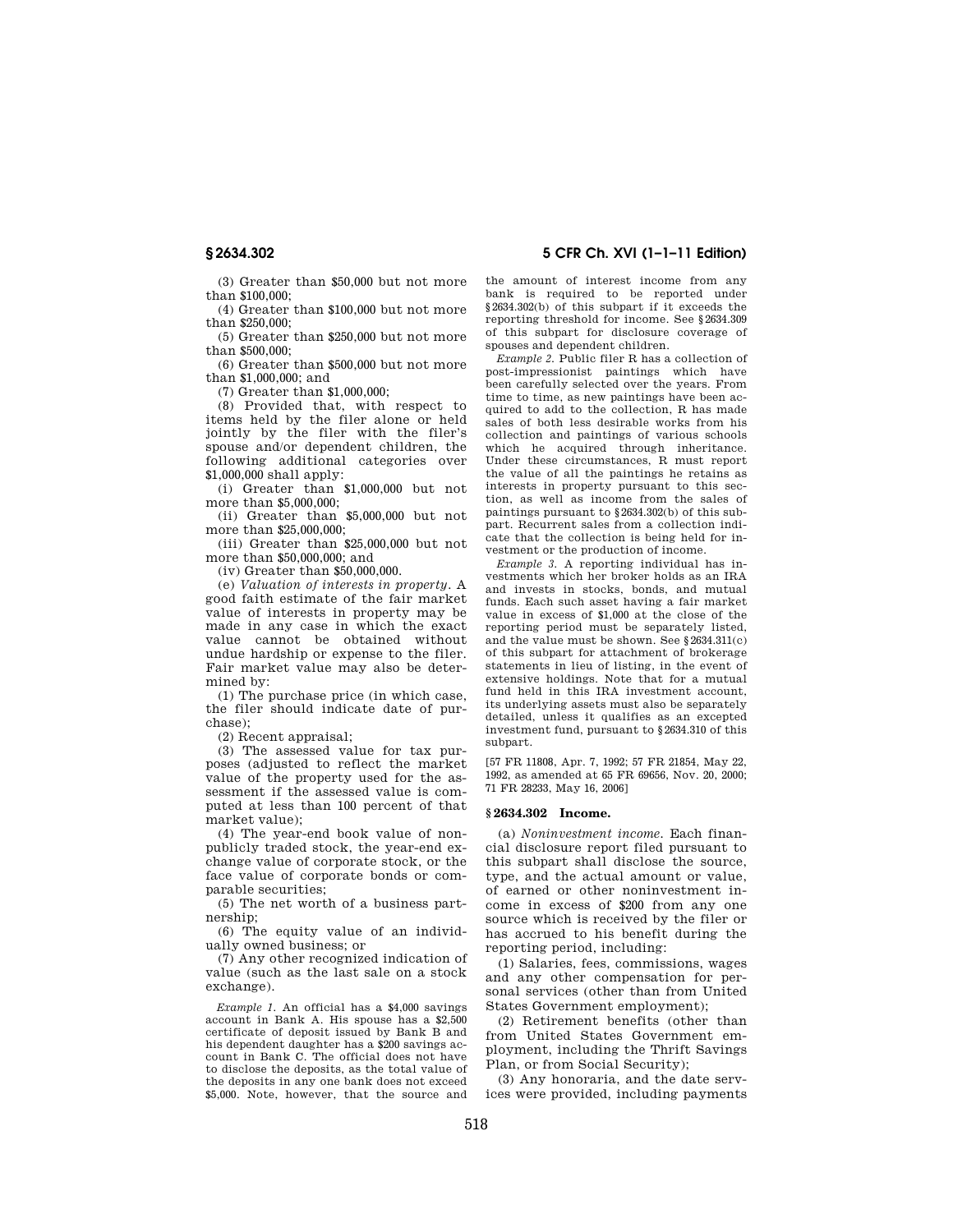(3) Greater than \$50,000 but not more than \$100,000;

(4) Greater than \$100,000 but not more than \$250,000;

(5) Greater than \$250,000 but not more  $t$ han \$500,000;

(6) Greater than \$500,000 but not more than \$1,000,000; and

(7) Greater than \$1,000,000;

(8) Provided that, with respect to items held by the filer alone or held jointly by the filer with the filer's spouse and/or dependent children, the following additional categories over \$1,000,000 shall apply:

(i) Greater than \$1,000,000 but not more than \$5,000,000;

(ii) Greater than \$5,000,000 but not more than \$25,000,000;

(iii) Greater than \$25,000,000 but not more than \$50,000,000; and

(iv) Greater than \$50,000,000.

(e) *Valuation of interests in property.* A good faith estimate of the fair market value of interests in property may be made in any case in which the exact value cannot be obtained without undue hardship or expense to the filer. Fair market value may also be determined by:

(1) The purchase price (in which case, the filer should indicate date of purchase);

(2) Recent appraisal;

(3) The assessed value for tax purposes (adjusted to reflect the market value of the property used for the assessment if the assessed value is computed at less than 100 percent of that market value);

(4) The year-end book value of nonpublicly traded stock, the year-end exchange value of corporate stock, or the face value of corporate bonds or comparable securities;

(5) The net worth of a business partnership;

(6) The equity value of an individually owned business; or

(7) Any other recognized indication of value (such as the last sale on a stock exchange).

*Example 1.* An official has a \$4,000 savings account in Bank A. His spouse has a \$2,500 certificate of deposit issued by Bank B and his dependent daughter has a \$200 savings account in Bank C. The official does not have to disclose the deposits, as the total value of the deposits in any one bank does not exceed \$5,000. Note, however, that the source and

**§ 2634.302 5 CFR Ch. XVI (1–1–11 Edition)** 

the amount of interest income from any bank is required to be reported under §2634.302(b) of this subpart if it exceeds the reporting threshold for income. See §2634.309 of this subpart for disclosure coverage of spouses and dependent children.

*Example 2.* Public filer R has a collection of post-impressionist paintings which have been carefully selected over the years. From time to time, as new paintings have been acquired to add to the collection, R has made sales of both less desirable works from his collection and paintings of various schools which he acquired through inheritance. Under these circumstances, R must report the value of all the paintings he retains as interests in property pursuant to this section, as well as income from the sales of paintings pursuant to §2634.302(b) of this subpart. Recurrent sales from a collection indicate that the collection is being held for investment or the production of income.

*Example 3.* A reporting individual has investments which her broker holds as an IRA and invests in stocks, bonds, and mutual funds. Each such asset having a fair market value in excess of \$1,000 at the close of the reporting period must be separately listed, and the value must be shown. See §2634.311(c) of this subpart for attachment of brokerage statements in lieu of listing, in the event of extensive holdings. Note that for a mutual fund held in this IRA investment account. its underlying assets must also be separately detailed, unless it qualifies as an excepted investment fund, pursuant to §2634.310 of this subpart.

[57 FR 11808, Apr. 7, 1992; 57 FR 21854, May 22, 1992, as amended at 65 FR 69656, Nov. 20, 2000; 71 FR 28233, May 16, 2006]

## **§ 2634.302 Income.**

(a) *Noninvestment income.* Each financial disclosure report filed pursuant to this subpart shall disclose the source, type, and the actual amount or value, of earned or other noninvestment income in excess of \$200 from any one source which is received by the filer or has accrued to his benefit during the reporting period, including:

(1) Salaries, fees, commissions, wages and any other compensation for personal services (other than from United States Government employment);

(2) Retirement benefits (other than from United States Government employment, including the Thrift Savings Plan, or from Social Security);

(3) Any honoraria, and the date services were provided, including payments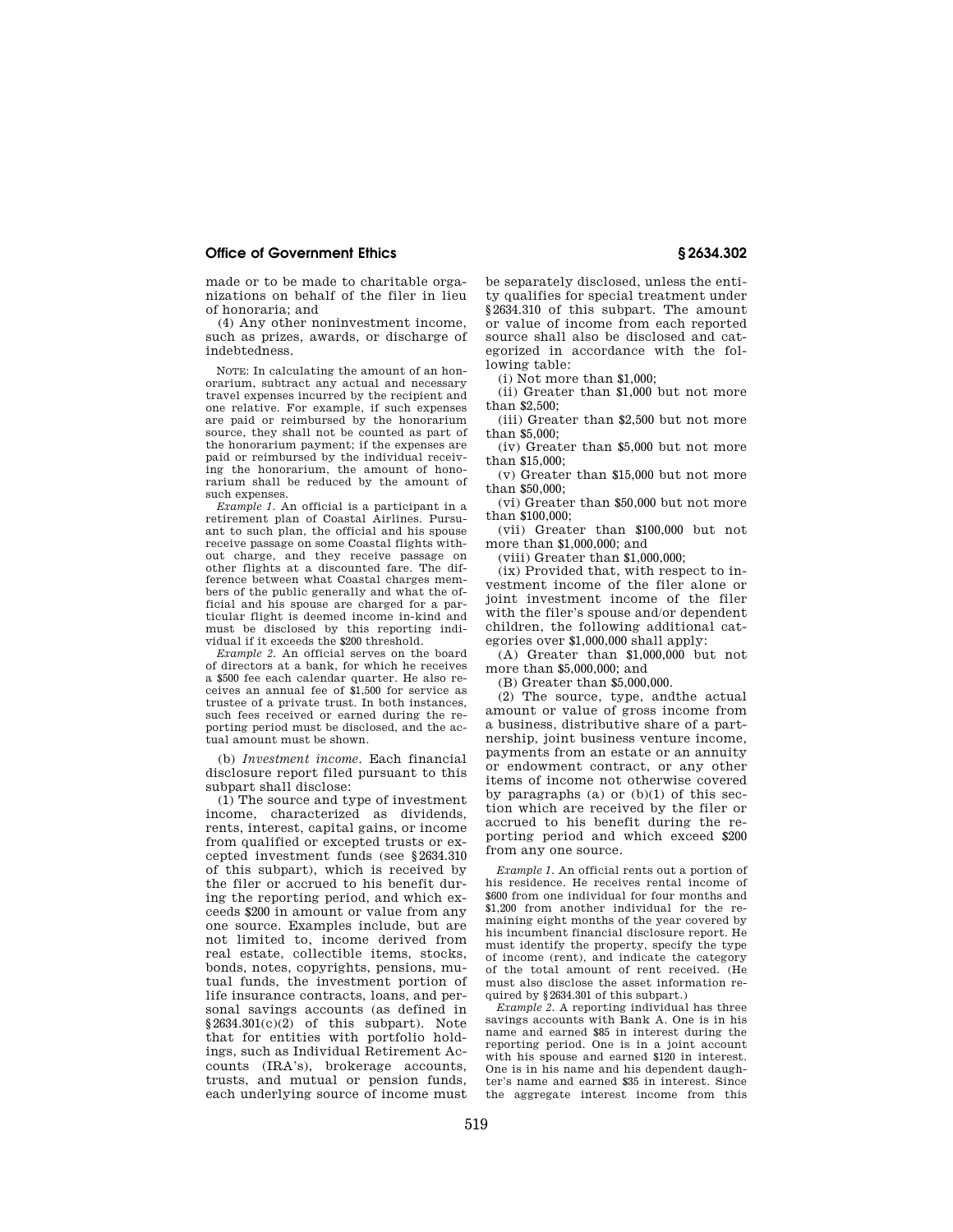made or to be made to charitable organizations on behalf of the filer in lieu of honoraria; and

(4) Any other noninvestment income, such as prizes, awards, or discharge of indebtedness.

NOTE: In calculating the amount of an honorarium, subtract any actual and necessary travel expenses incurred by the recipient and one relative. For example, if such expenses are paid or reimbursed by the honorarium source, they shall not be counted as part of the honorarium payment; if the expenses are paid or reimbursed by the individual receiving the honorarium, the amount of honorarium shall be reduced by the amount of such expenses.

*Example 1.* An official is a participant in a retirement plan of Coastal Airlines. Pursuant to such plan, the official and his spouse receive passage on some Coastal flights without charge, and they receive passage on other flights at a discounted fare. The difference between what Coastal charges members of the public generally and what the official and his spouse are charged for a particular flight is deemed income in-kind and must be disclosed by this reporting individual if it exceeds the \$200 threshold.

*Example 2.* An official serves on the board of directors at a bank, for which he receives a \$500 fee each calendar quarter. He also receives an annual fee of \$1,500 for service as trustee of a private trust. In both instances, such fees received or earned during the reporting period must be disclosed, and the actual amount must be shown.

(b) *Investment income.* Each financial disclosure report filed pursuant to this subpart shall disclose:

(1) The source and type of investment income, characterized as dividends, rents, interest, capital gains, or income from qualified or excepted trusts or excepted investment funds (see §2634.310 of this subpart), which is received by the filer or accrued to his benefit during the reporting period, and which exceeds \$200 in amount or value from any one source. Examples include, but are not limited to, income derived from real estate, collectible items, stocks, bonds, notes, copyrights, pensions, mutual funds, the investment portion of life insurance contracts, loans, and personal savings accounts (as defined in  $$2634.301(c)(2)$  of this subpart). Note that for entities with portfolio holdings, such as Individual Retirement Accounts (IRA's), brokerage accounts, trusts, and mutual or pension funds, each underlying source of income must

be separately disclosed, unless the entity qualifies for special treatment under §2634.310 of this subpart. The amount or value of income from each reported source shall also be disclosed and categorized in accordance with the following table:

(i) Not more than \$1,000;

(ii) Greater than \$1,000 but not more than \$2,500;

(iii) Greater than \$2,500 but not more than  $$5,000$ 

(iv) Greater than \$5,000 but not more than \$15,000;

(v) Greater than \$15,000 but not more than \$50,000;

(vi) Greater than \$50,000 but not more than \$100,000;

(vii) Greater than \$100,000 but not more than \$1,000,000; and

(viii) Greater than \$1,000,000;

(ix) Provided that, with respect to investment income of the filer alone or joint investment income of the filer with the filer's spouse and/or dependent children, the following additional categories over \$1,000,000 shall apply:

(A) Greater than \$1,000,000 but not more than \$5,000,000; and

(B) Greater than \$5,000,000.

(2) The source, type, andthe actual amount or value of gross income from a business, distributive share of a partnership, joint business venture income, payments from an estate or an annuity or endowment contract, or any other items of income not otherwise covered by paragraphs (a) or (b)(1) of this section which are received by the filer or accrued to his benefit during the reporting period and which exceed \$200 from any one source.

*Example 1.* An official rents out a portion of his residence. He receives rental income of \$600 from one individual for four months and \$1,200 from another individual for the remaining eight months of the year covered by his incumbent financial disclosure report. He must identify the property, specify the type of income (rent), and indicate the category of the total amount of rent received. (He must also disclose the asset information required by §2634.301 of this subpart.)

*Example 2.* A reporting individual has three savings accounts with Bank A. One is in his name and earned \$85 in interest during the reporting period. One is in a joint account with his spouse and earned \$120 in interest. One is in his name and his dependent daughter's name and earned \$35 in interest. Since the aggregate interest income from this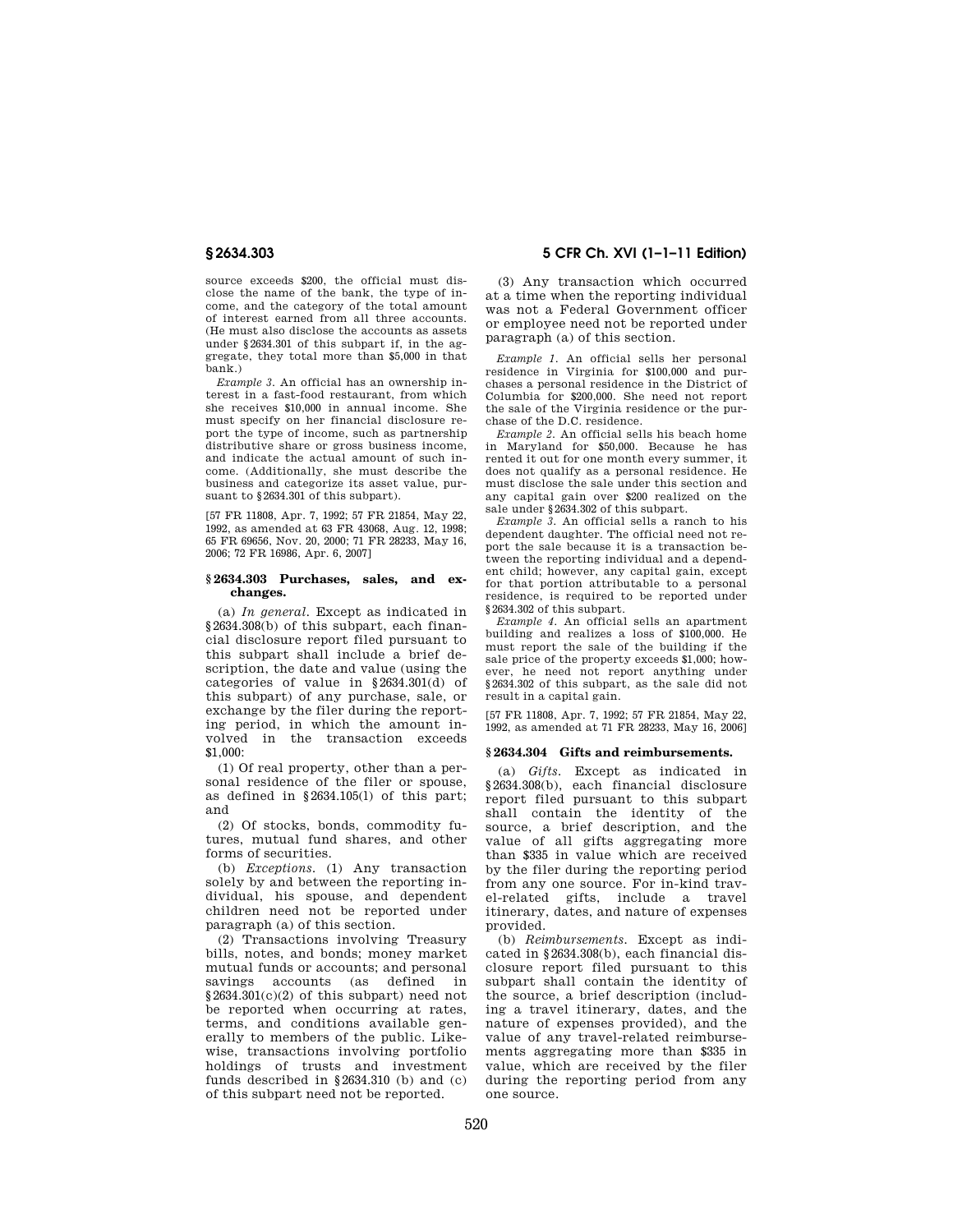source exceeds \$200, the official must disclose the name of the bank, the type of income, and the category of the total amount of interest earned from all three accounts. (He must also disclose the accounts as assets under §2634.301 of this subpart if, in the aggregate, they total more than \$5,000 in that bank.)

*Example 3.* An official has an ownership interest in a fast-food restaurant, from which she receives \$10,000 in annual income. She must specify on her financial disclosure report the type of income, such as partnership distributive share or gross business income, and indicate the actual amount of such income. (Additionally, she must describe the business and categorize its asset value, pursuant to §2634.301 of this subpart).

[57 FR 11808, Apr. 7, 1992; 57 FR 21854, May 22, 1992, as amended at 63 FR 43068, Aug. 12, 1998; 65 FR 69656, Nov. 20, 2000; 71 FR 28233, May 16, 2006; 72 FR 16986, Apr. 6, 2007]

#### **§ 2634.303 Purchases, sales, and exchanges.**

(a) *In general.* Except as indicated in §2634.308(b) of this subpart, each financial disclosure report filed pursuant to this subpart shall include a brief description, the date and value (using the categories of value in §2634.301(d) of this subpart) of any purchase, sale, or exchange by the filer during the reporting period, in which the amount involved in the transaction exceeds \$1,000:

(1) Of real property, other than a personal residence of the filer or spouse, as defined in §2634.105(l) of this part; and

(2) Of stocks, bonds, commodity futures, mutual fund shares, and other forms of securities.

(b) *Exceptions.* (1) Any transaction solely by and between the reporting individual, his spouse, and dependent children need not be reported under paragraph (a) of this section.

(2) Transactions involving Treasury bills, notes, and bonds; money market mutual funds or accounts; and personal savings accounts (as defined in §2634.301(c)(2) of this subpart) need not be reported when occurring at rates, terms, and conditions available generally to members of the public. Likewise, transactions involving portfolio holdings of trusts and investment funds described in §2634.310 (b) and (c) of this subpart need not be reported.

# **§ 2634.303 5 CFR Ch. XVI (1–1–11 Edition)**

(3) Any transaction which occurred at a time when the reporting individual was not a Federal Government officer or employee need not be reported under paragraph (a) of this section.

*Example 1.* An official sells her personal residence in Virginia for \$100,000 and purchases a personal residence in the District of Columbia for \$200,000. She need not report the sale of the Virginia residence or the purchase of the D.C. residence.

*Example 2.* An official sells his beach home in Maryland for \$50,000. Because he has rented it out for one month every summer, it does not qualify as a personal residence. He must disclose the sale under this section and any capital gain over \$200 realized on the sale under §2634.302 of this subpart.

*Example 3.* An official sells a ranch to his dependent daughter. The official need not report the sale because it is a transaction between the reporting individual and a dependent child; however, any capital gain, except for that portion attributable to a personal residence, is required to be reported under §2634.302 of this subpart.

*Example 4.* An official sells an apartment building and realizes a loss of \$100,000. He must report the sale of the building if the sale price of the property exceeds \$1,000; however, he need not report anything under §2634.302 of this subpart, as the sale did not result in a capital gain.

[57 FR 11808, Apr. 7, 1992; 57 FR 21854, May 22, 1992, as amended at 71 FR 28233, May 16, 2006]

# **§ 2634.304 Gifts and reimbursements.**

(a) *Gifts.* Except as indicated in §2634.308(b), each financial disclosure report filed pursuant to this subpart shall contain the identity of the source, a brief description, and the value of all gifts aggregating more than \$335 in value which are received by the filer during the reporting period from any one source. For in-kind travel-related gifts, include a travel itinerary, dates, and nature of expenses provided.

(b) *Reimbursements.* Except as indicated in §2634.308(b), each financial disclosure report filed pursuant to this subpart shall contain the identity of the source, a brief description (including a travel itinerary, dates, and the nature of expenses provided), and the value of any travel-related reimbursements aggregating more than \$335 in value, which are received by the filer during the reporting period from any one source.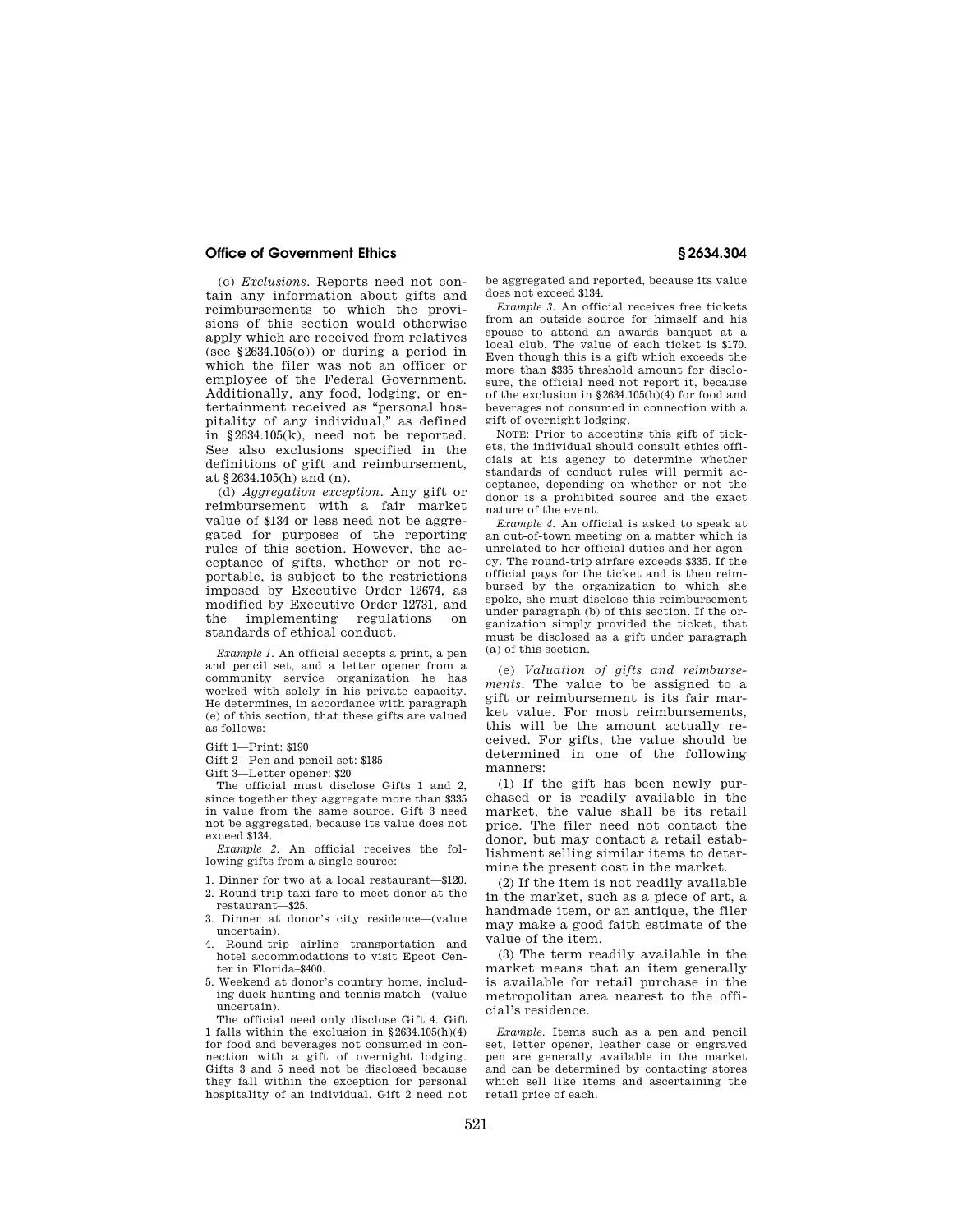(c) *Exclusions.* Reports need not contain any information about gifts and reimbursements to which the provisions of this section would otherwise apply which are received from relatives (see  $$2634.105(o)$ ) or during a period in which the filer was not an officer or employee of the Federal Government. Additionally, any food, lodging, or entertainment received as ''personal hospitality of any individual,'' as defined in §2634.105(k), need not be reported. See also exclusions specified in the definitions of gift and reimbursement, at §2634.105(h) and (n).

(d) *Aggregation exception.* Any gift or reimbursement with a fair market value of \$134 or less need not be aggregated for purposes of the reporting rules of this section. However, the acceptance of gifts, whether or not reportable, is subject to the restrictions imposed by Executive Order 12674, as modified by Executive Order 12731, and the implementing regulations on standards of ethical conduct.

*Example 1.* An official accepts a print, a pen and pencil set, and a letter opener from a community service organization he has worked with solely in his private capacity. He determines, in accordance with paragraph (e) of this section, that these gifts are valued as follows:

Gift 1—Print: \$190

Gift 2—Pen and pencil set: \$185

Gift 3—Letter opener: \$20

The official must disclose Gifts 1 and 2, since together they aggregate more than \$335 in value from the same source. Gift 3 need not be aggregated, because its value does not exceed \$134.

*Example 2.* An official receives the following gifts from a single source:

- 1. Dinner for two at a local restaurant—\$120.
- 2. Round-trip taxi fare to meet donor at the restaurant—\$25.
- 3. Dinner at donor's city residence—(value uncertain).
- 4. Round-trip airline transportation and hotel accommodations to visit Epcot Center in Florida–\$400.
- 5. Weekend at donor's country home, including duck hunting and tennis match—(value uncertain).

The official need only disclose Gift 4. Gift 1 falls within the exclusion in §2634.105(h)(4) for food and beverages not consumed in connection with a gift of overnight lodging. Gifts 3 and 5 need not be disclosed because they fall within the exception for personal hospitality of an individual. Gift 2 need not

be aggregated and reported, because its value does not exceed \$134.

*Example 3.* An official receives free tickets from an outside source for himself and his spouse to attend an awards banquet at a local club. The value of each ticket is \$170. Even though this is a gift which exceeds the more than \$335 threshold amount for disclosure, the official need not report it, because of the exclusion in §2634.105(h)(4) for food and beverages not consumed in connection with a gift of overnight lodging.

NOTE: Prior to accepting this gift of tickets, the individual should consult ethics officials at his agency to determine whether standards of conduct rules will permit acceptance, depending on whether or not the donor is a prohibited source and the exact nature of the event.

*Example 4.* An official is asked to speak at an out-of-town meeting on a matter which is unrelated to her official duties and her agency. The round-trip airfare exceeds \$335. If the official pays for the ticket and is then reimbursed by the organization to which she spoke, she must disclose this reimbursement under paragraph (b) of this section. If the organization simply provided the ticket, that must be disclosed as a gift under paragraph (a) of this section.

(e) *Valuation of gifts and reimbursements.* The value to be assigned to a gift or reimbursement is its fair market value. For most reimbursements, this will be the amount actually received. For gifts, the value should be determined in one of the following manners:

(1) If the gift has been newly purchased or is readily available in the market, the value shall be its retail price. The filer need not contact the donor, but may contact a retail establishment selling similar items to determine the present cost in the market.

(2) If the item is not readily available in the market, such as a piece of art, a handmade item, or an antique, the filer may make a good faith estimate of the value of the item.

(3) The term readily available in the market means that an item generally is available for retail purchase in the metropolitan area nearest to the official's residence.

*Example.* Items such as a pen and pencil set, letter opener, leather case or engraved pen are generally available in the market and can be determined by contacting stores which sell like items and ascertaining the retail price of each.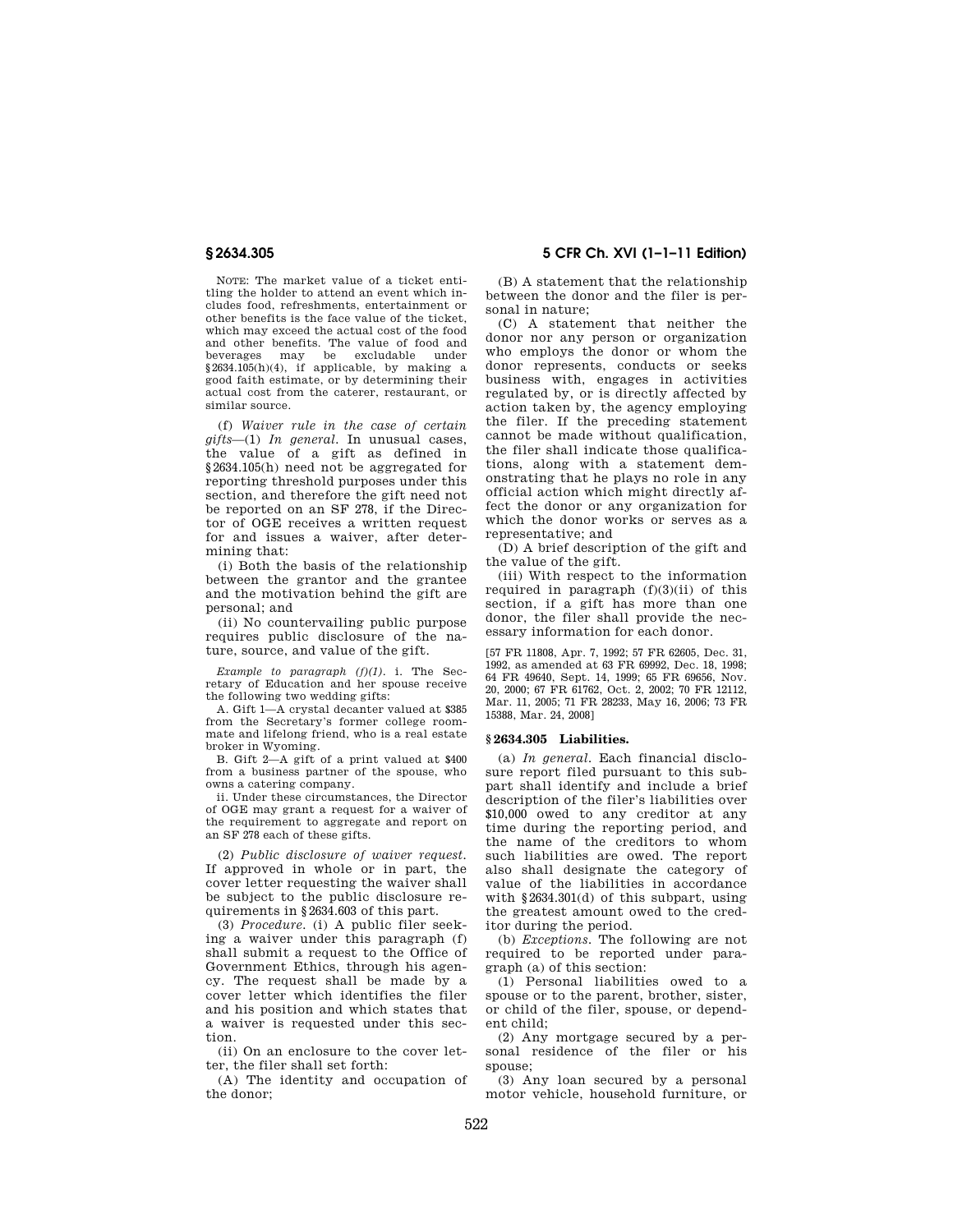NOTE: The market value of a ticket entitling the holder to attend an event which includes food, refreshments, entertainment or other benefits is the face value of the ticket, which may exceed the actual cost of the food and other benefits. The value of food and beverages may be excludable under §2634.105(h)(4), if applicable, by making a good faith estimate, or by determining their actual cost from the caterer, restaurant, or similar source.

(f) *Waiver rule in the case of certain gifts*—(1) *In general.* In unusual cases, the value of a gift as defined in §2634.105(h) need not be aggregated for reporting threshold purposes under this section, and therefore the gift need not be reported on an SF 278, if the Director of OGE receives a written request for and issues a waiver, after determining that:

(i) Both the basis of the relationship between the grantor and the grantee and the motivation behind the gift are personal; and

(ii) No countervailing public purpose requires public disclosure of the nature, source, and value of the gift.

*Example to paragraph (f)(1).* i. The Secretary of Education and her spouse receive the following two wedding gifts:

A. Gift 1—A crystal decanter valued at \$385 from the Secretary's former college roommate and lifelong friend, who is a real estate broker in Wyoming.

B. Gift 2—A gift of a print valued at \$400 from a business partner of the spouse, who owns a catering company.

ii. Under these circumstances, the Director of OGE may grant a request for a waiver of the requirement to aggregate and report on an SF 278 each of these gifts.

(2) *Public disclosure of waiver request.*  If approved in whole or in part, the cover letter requesting the waiver shall be subject to the public disclosure requirements in §2634.603 of this part.

(3) *Procedure.* (i) A public filer seeking a waiver under this paragraph (f) shall submit a request to the Office of Government Ethics, through his agency. The request shall be made by a cover letter which identifies the filer and his position and which states that a waiver is requested under this section.

(ii) On an enclosure to the cover letter, the filer shall set forth:

(A) The identity and occupation of the donor;

**§ 2634.305 5 CFR Ch. XVI (1–1–11 Edition)** 

(B) A statement that the relationship between the donor and the filer is personal in nature;

(C) A statement that neither the donor nor any person or organization who employs the donor or whom the donor represents, conducts or seeks business with, engages in activities regulated by, or is directly affected by action taken by, the agency employing the filer. If the preceding statement cannot be made without qualification, the filer shall indicate those qualifications, along with a statement demonstrating that he plays no role in any official action which might directly affect the donor or any organization for which the donor works or serves as a representative; and

(D) A brief description of the gift and the value of the gift.

(iii) With respect to the information required in paragraph  $(f)(3)(ii)$  of this section, if a gift has more than one donor, the filer shall provide the necessary information for each donor.

[57 FR 11808, Apr. 7, 1992; 57 FR 62605, Dec. 31, 1992, as amended at 63 FR 69992, Dec. 18, 1998; 64 FR 49640, Sept. 14, 1999; 65 FR 69656, Nov. 20, 2000; 67 FR 61762, Oct. 2, 2002; 70 FR 12112, Mar. 11, 2005; 71 FR 28233, May 16, 2006; 73 FR 15388, Mar. 24, 2008]

#### **§ 2634.305 Liabilities.**

(a) *In general.* Each financial disclosure report filed pursuant to this subpart shall identify and include a brief description of the filer's liabilities over \$10,000 owed to any creditor at any time during the reporting period, and the name of the creditors to whom such liabilities are owed. The report also shall designate the category of value of the liabilities in accordance with §2634.301(d) of this subpart, using the greatest amount owed to the creditor during the period.

(b) *Exceptions.* The following are not required to be reported under paragraph (a) of this section:

(1) Personal liabilities owed to a spouse or to the parent, brother, sister, or child of the filer, spouse, or dependent child;

(2) Any mortgage secured by a personal residence of the filer or his spouse;

(3) Any loan secured by a personal motor vehicle, household furniture, or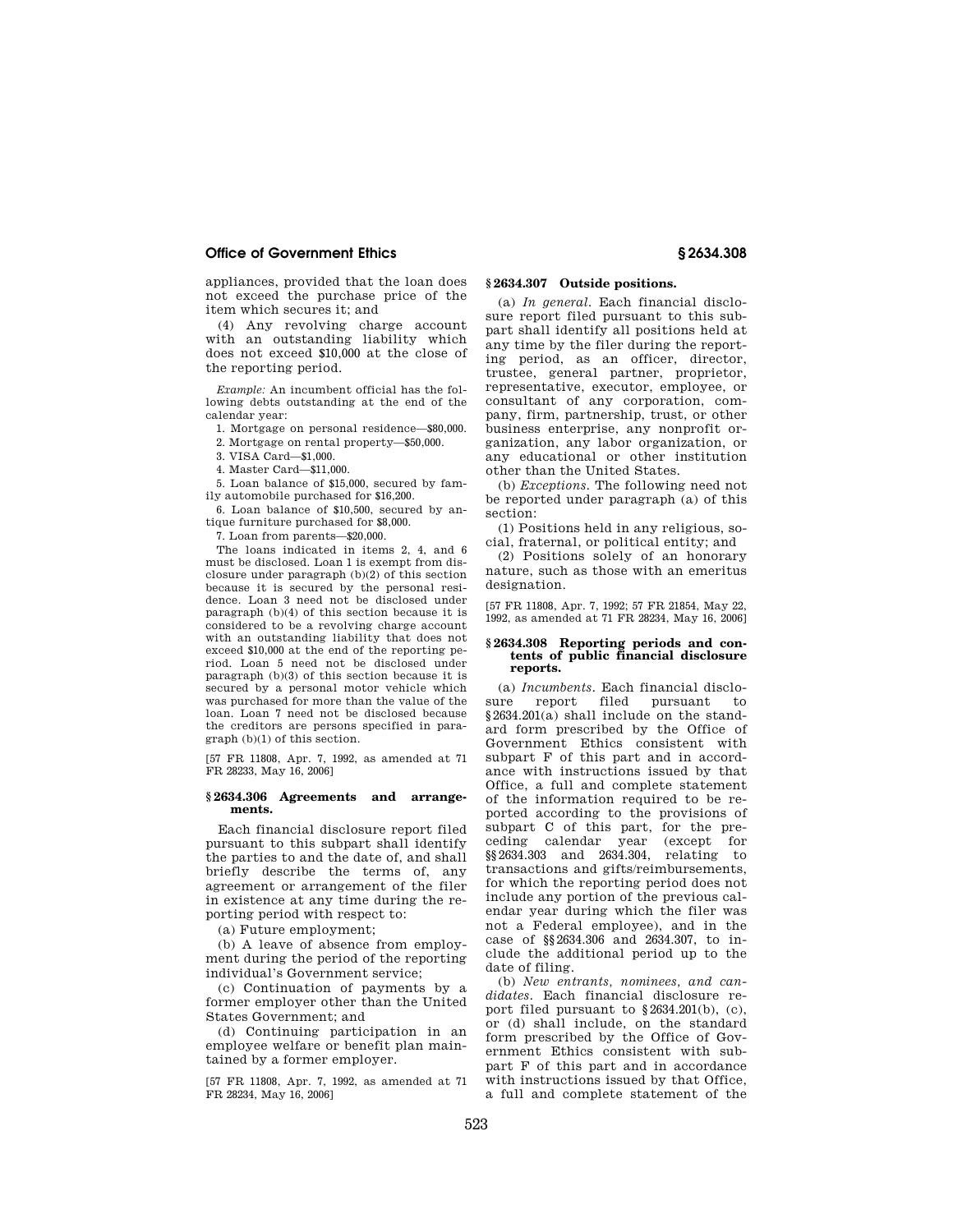appliances, provided that the loan does not exceed the purchase price of the item which secures it; and

(4) Any revolving charge account with an outstanding liability which does not exceed \$10,000 at the close of the reporting period.

*Example:* An incumbent official has the following debts outstanding at the end of the calendar year:

1. Mortgage on personal residence—\$80,000.

2. Mortgage on rental property—\$50,000.

3. VISA Card—\$1,000.

4. Master Card—\$11,000.

5. Loan balance of \$15,000, secured by family automobile purchased for \$16,200.

6. Loan balance of \$10,500, secured by antique furniture purchased for \$8,000.

7. Loan from parents—\$20,000.

The loans indicated in items 2, 4, and 6 must be disclosed. Loan 1 is exempt from disclosure under paragraph (b)(2) of this section because it is secured by the personal residence. Loan 3 need not be disclosed under paragraph (b)(4) of this section because it is considered to be a revolving charge account with an outstanding liability that does not exceed \$10,000 at the end of the reporting period. Loan 5 need not be disclosed under paragraph (b)(3) of this section because it is secured by a personal motor vehicle which was purchased for more than the value of the loan. Loan 7 need not be disclosed because the creditors are persons specified in paragraph (b)(1) of this section.

[57 FR 11808, Apr. 7, 1992, as amended at 71 FR 28233, May 16, 2006]

#### **§ 2634.306 Agreements and arrangements.**

Each financial disclosure report filed pursuant to this subpart shall identify the parties to and the date of, and shall briefly describe the terms of, any agreement or arrangement of the filer in existence at any time during the reporting period with respect to:

(a) Future employment;

(b) A leave of absence from employment during the period of the reporting individual's Government service;

(c) Continuation of payments by a former employer other than the United States Government; and

(d) Continuing participation in an employee welfare or benefit plan maintained by a former employer.

[57 FR 11808, Apr. 7, 1992, as amended at 71 FR 28234, May 16, 2006]

## **§ 2634.307 Outside positions.**

(a) *In general.* Each financial disclosure report filed pursuant to this subpart shall identify all positions held at any time by the filer during the reporting period, as an officer, director, trustee, general partner, proprietor, representative, executor, employee, or consultant of any corporation, company, firm, partnership, trust, or other business enterprise, any nonprofit organization, any labor organization, or any educational or other institution other than the United States.

(b) *Exceptions.* The following need not be reported under paragraph (a) of this section:

(1) Positions held in any religious, social, fraternal, or political entity; and

(2) Positions solely of an honorary nature, such as those with an emeritus designation.

[57 FR 11808, Apr. 7, 1992; 57 FR 21854, May 22, 1992, as amended at 71 FR 28234, May 16, 2006]

#### **§ 2634.308 Reporting periods and contents of public financial disclosure reports.**

(a) *Incumbents.* Each financial disclosure report filed pursuant to  $$2634.201(a)$  shall include on the standard form prescribed by the Office of Government Ethics consistent with subpart F of this part and in accordance with instructions issued by that Office, a full and complete statement of the information required to be reported according to the provisions of subpart C of this part, for the preceding calendar year (except for §§2634.303 and 2634.304, relating to transactions and gifts/reimbursements, for which the reporting period does not include any portion of the previous calendar year during which the filer was not a Federal employee), and in the case of §§2634.306 and 2634.307, to include the additional period up to the date of filing.

(b) *New entrants, nominees, and candidates.* Each financial disclosure report filed pursuant to §2634.201(b), (c), or (d) shall include, on the standard form prescribed by the Office of Government Ethics consistent with subpart F of this part and in accordance with instructions issued by that Office, a full and complete statement of the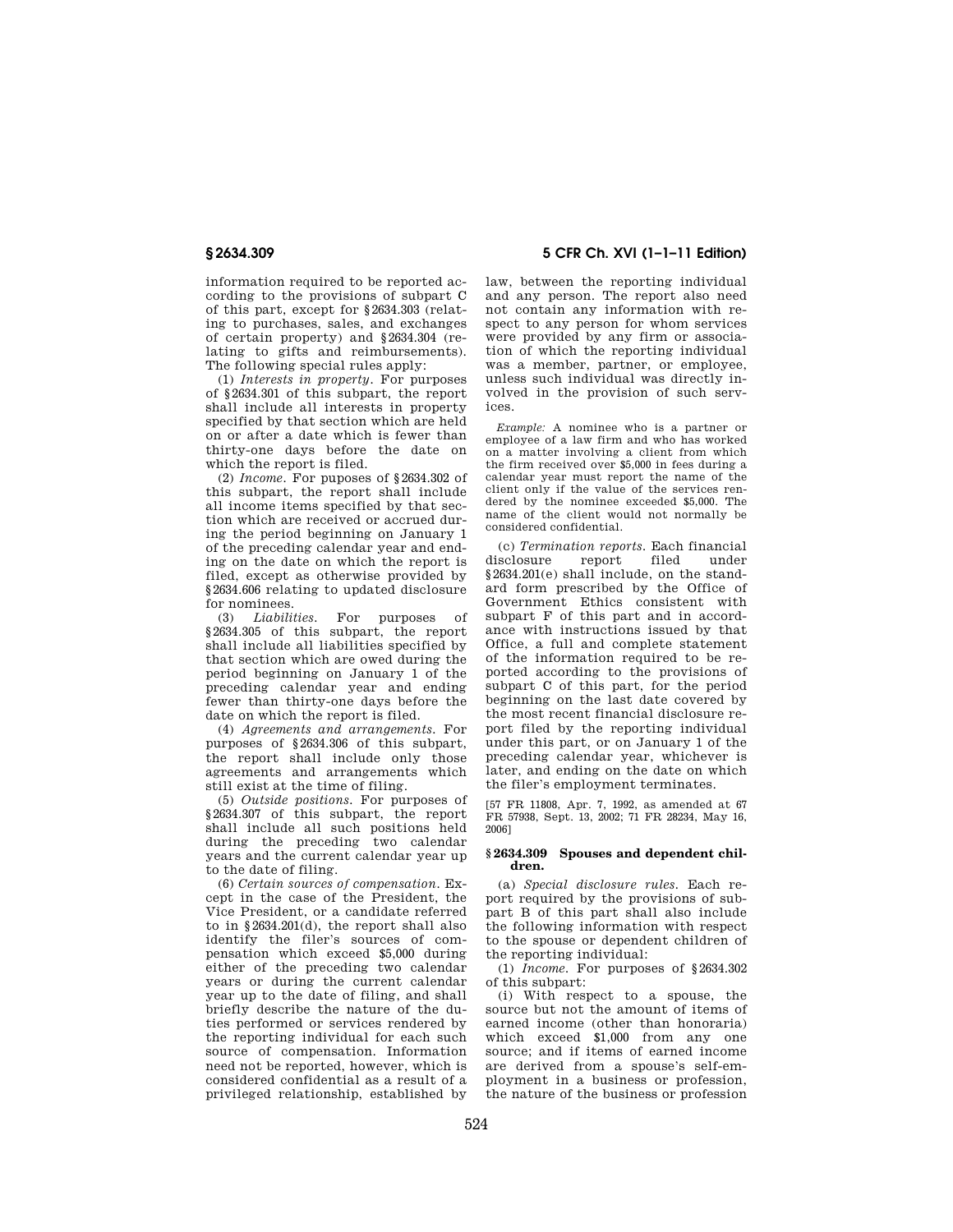information required to be reported according to the provisions of subpart C of this part, except for §2634.303 (relating to purchases, sales, and exchanges of certain property) and §2634.304 (relating to gifts and reimbursements). The following special rules apply:

(1) *Interests in property.* For purposes of §2634.301 of this subpart, the report shall include all interests in property specified by that section which are held on or after a date which is fewer than thirty-one days before the date on which the report is filed.

(2) *Income.* For puposes of §2634.302 of this subpart, the report shall include all income items specified by that section which are received or accrued during the period beginning on January 1 of the preceding calendar year and ending on the date on which the report is filed, except as otherwise provided by §2634.606 relating to updated disclosure for nominees.<br>(3) *Liabilities*.

(3) *Liabilities.* For purposes of §2634.305 of this subpart, the report shall include all liabilities specified by that section which are owed during the period beginning on January 1 of the preceding calendar year and ending fewer than thirty-one days before the date on which the report is filed.

(4) *Agreements and arrangements.* For purposes of §2634.306 of this subpart, the report shall include only those agreements and arrangements which still exist at the time of filing.

(5) *Outside positions.* For purposes of §2634.307 of this subpart, the report shall include all such positions held during the preceding two calendar years and the current calendar year up to the date of filing.

(6) *Certain sources of compensation.* Except in the case of the President, the Vice President, or a candidate referred to in §2634.201(d), the report shall also identify the filer's sources of compensation which exceed \$5,000 during either of the preceding two calendar years or during the current calendar year up to the date of filing, and shall briefly describe the nature of the duties performed or services rendered by the reporting individual for each such source of compensation. Information need not be reported, however, which is considered confidential as a result of a privileged relationship, established by

**§ 2634.309 5 CFR Ch. XVI (1–1–11 Edition)** 

law, between the reporting individual and any person. The report also need not contain any information with respect to any person for whom services were provided by any firm or association of which the reporting individual was a member, partner, or employee, unless such individual was directly involved in the provision of such services.

*Example:* A nominee who is a partner or employee of a law firm and who has worked on a matter involving a client from which the firm received over \$5,000 in fees during a calendar year must report the name of the client only if the value of the services rendered by the nominee exceeded \$5,000. The name of the client would not normally be considered confidential.

(c) *Termination reports.* Each financial disclosure report filed under §2634.201(e) shall include, on the standard form prescribed by the Office of Government Ethics consistent with subpart F of this part and in accordance with instructions issued by that Office, a full and complete statement of the information required to be reported according to the provisions of subpart C of this part, for the period beginning on the last date covered by the most recent financial disclosure report filed by the reporting individual under this part, or on January 1 of the preceding calendar year, whichever is later, and ending on the date on which the filer's employment terminates.

[57 FR 11808, Apr. 7, 1992, as amended at 67 FR 57938, Sept. 13, 2002; 71 FR 28234, May 16, 2006]

#### **§ 2634.309 Spouses and dependent children.**

(a) *Special disclosure rules.* Each report required by the provisions of subpart B of this part shall also include the following information with respect to the spouse or dependent children of the reporting individual:

(1) *Income.* For purposes of §2634.302 of this subpart:

(i) With respect to a spouse, the source but not the amount of items of earned income (other than honoraria) which exceed \$1,000 from any one source; and if items of earned income are derived from a spouse's self-employment in a business or profession, the nature of the business or profession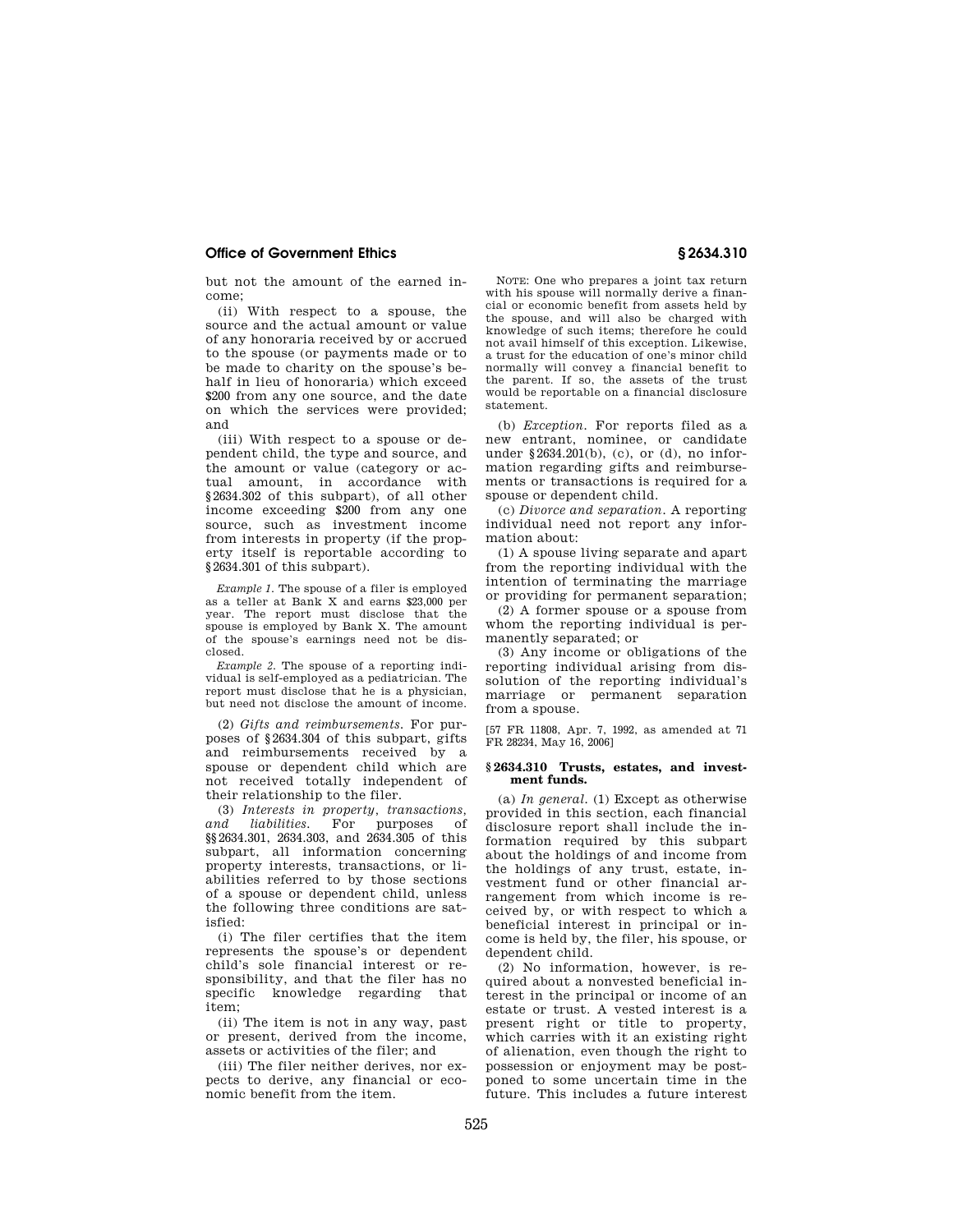but not the amount of the earned income;

(ii) With respect to a spouse, the source and the actual amount or value of any honoraria received by or accrued to the spouse (or payments made or to be made to charity on the spouse's behalf in lieu of honoraria) which exceed \$200 from any one source, and the date on which the services were provided; and

(iii) With respect to a spouse or dependent child, the type and source, and the amount or value (category or actual amount, in accordance with §2634.302 of this subpart), of all other income exceeding \$200 from any one source, such as investment income from interests in property (if the property itself is reportable according to §2634.301 of this subpart).

*Example 1.* The spouse of a filer is employed as a teller at Bank X and earns \$23,000 per year. The report must disclose that the spouse is employed by Bank X. The amount of the spouse's earnings need not be disclosed.

*Example 2.* The spouse of a reporting individual is self-employed as a pediatrician. The report must disclose that he is a physician, but need not disclose the amount of income.

(2) *Gifts and reimbursements.* For purposes of §2634.304 of this subpart, gifts and reimbursements received by a spouse or dependent child which are not received totally independent of their relationship to the filer.

(3) *Interests in property, transactions, and liabilities.* For purposes §§2634.301, 2634.303, and 2634.305 of this subpart, all information concerning property interests, transactions, or liabilities referred to by those sections of a spouse or dependent child, unless the following three conditions are satisfied:

(i) The filer certifies that the item represents the spouse's or dependent child's sole financial interest or responsibility, and that the filer has no specific knowledge regarding that item;

(ii) The item is not in any way, past or present, derived from the income, assets or activities of the filer; and

(iii) The filer neither derives, nor expects to derive, any financial or economic benefit from the item.

NOTE: One who prepares a joint tax return with his spouse will normally derive a financial or economic benefit from assets held by the spouse, and will also be charged with knowledge of such items; therefore he could not avail himself of this exception. Likewise, a trust for the education of one's minor child normally will convey a financial benefit to the parent. If so, the assets of the trust would be reportable on a financial disclosure statement.

(b) *Exception.* For reports filed as a new entrant, nominee, or candidate under §2634.201(b), (c), or (d), no information regarding gifts and reimbursements or transactions is required for a spouse or dependent child.

(c) *Divorce and separation.* A reporting individual need not report any information about:

(1) A spouse living separate and apart from the reporting individual with the intention of terminating the marriage or providing for permanent separation;

(2) A former spouse or a spouse from whom the reporting individual is permanently separated; or

(3) Any income or obligations of the reporting individual arising from dissolution of the reporting individual's marriage or permanent separation from a spouse.

[57 FR 11808, Apr. 7, 1992, as amended at 71 FR 28234, May 16, 2006]

#### **§ 2634.310 Trusts, estates, and investment funds.**

(a) *In general.* (1) Except as otherwise provided in this section, each financial disclosure report shall include the information required by this subpart about the holdings of and income from the holdings of any trust, estate, investment fund or other financial arrangement from which income is received by, or with respect to which a beneficial interest in principal or income is held by, the filer, his spouse, or dependent child.

(2) No information, however, is required about a nonvested beneficial interest in the principal or income of an estate or trust. A vested interest is a present right or title to property, which carries with it an existing right of alienation, even though the right to possession or enjoyment may be postponed to some uncertain time in the future. This includes a future interest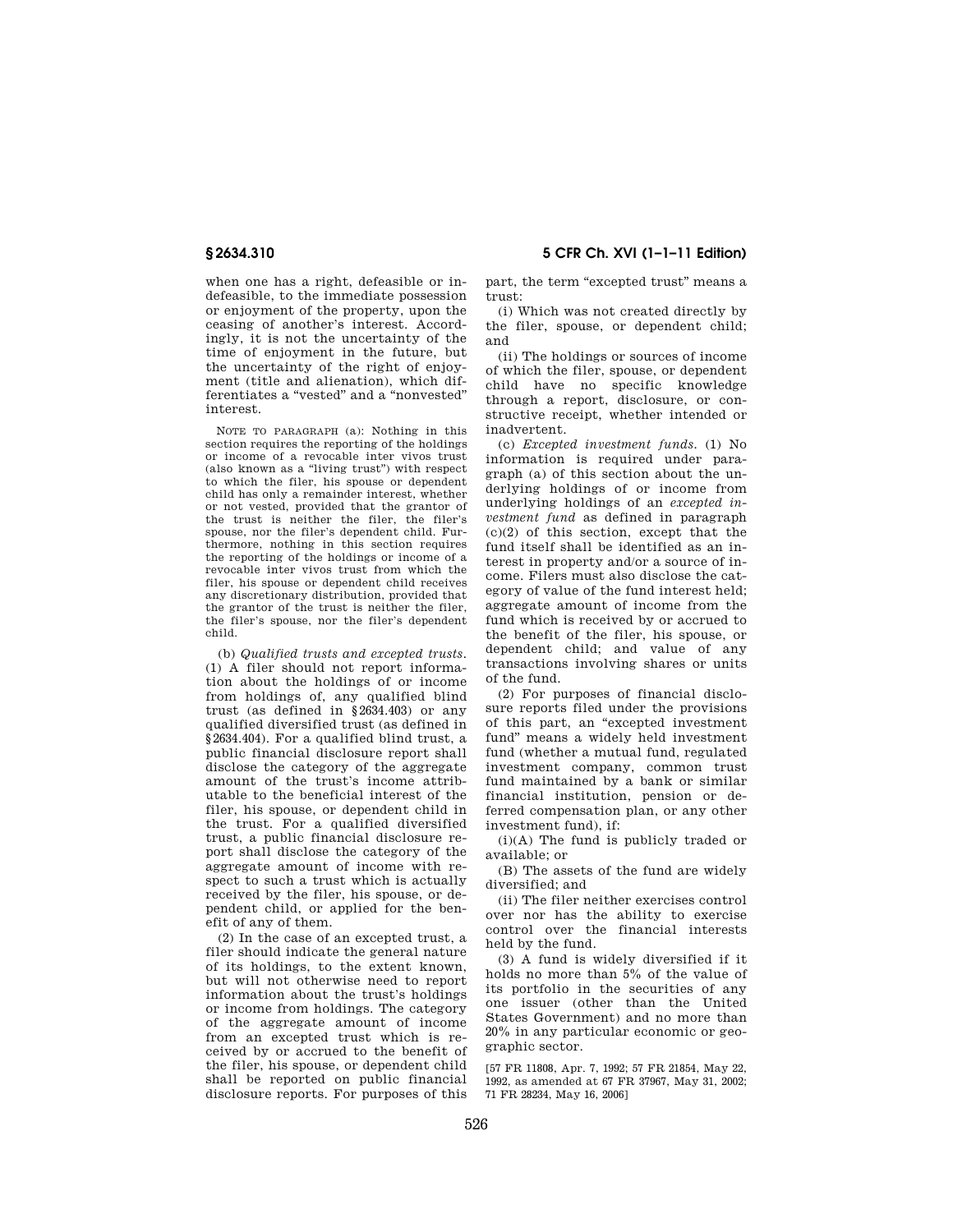# **§ 2634.310 5 CFR Ch. XVI (1–1–11 Edition)**

when one has a right, defeasible or indefeasible, to the immediate possession or enjoyment of the property, upon the ceasing of another's interest. Accordingly, it is not the uncertainty of the time of enjoyment in the future, but the uncertainty of the right of enjoyment (title and alienation), which differentiates a ''vested'' and a ''nonvested'' interest.

NOTE TO PARAGRAPH (a): Nothing in this section requires the reporting of the holdings or income of a revocable inter vivos trust (also known as a ''living trust'') with respect to which the filer, his spouse or dependent child has only a remainder interest, whether or not vested, provided that the grantor of the trust is neither the filer, the filer's spouse, nor the filer's dependent child. Furthermore, nothing in this section requires the reporting of the holdings or income of a revocable inter vivos trust from which the filer, his spouse or dependent child receives any discretionary distribution, provided that the grantor of the trust is neither the filer, the filer's spouse, nor the filer's dependent child.

(b) *Qualified trusts and excepted trusts.*  (1) A filer should not report information about the holdings of or income from holdings of, any qualified blind trust (as defined in §2634.403) or any qualified diversified trust (as defined in §2634.404). For a qualified blind trust, a public financial disclosure report shall disclose the category of the aggregate amount of the trust's income attributable to the beneficial interest of the filer, his spouse, or dependent child in the trust. For a qualified diversified trust, a public financial disclosure report shall disclose the category of the aggregate amount of income with respect to such a trust which is actually received by the filer, his spouse, or dependent child, or applied for the benefit of any of them.

(2) In the case of an excepted trust, a filer should indicate the general nature of its holdings, to the extent known, but will not otherwise need to report information about the trust's holdings or income from holdings. The category of the aggregate amount of income from an excepted trust which is received by or accrued to the benefit of the filer, his spouse, or dependent child shall be reported on public financial disclosure reports. For purposes of this

part, the term "excepted trust" means a trust:

(i) Which was not created directly by the filer, spouse, or dependent child; and

(ii) The holdings or sources of income of which the filer, spouse, or dependent child have no specific knowledge through a report, disclosure, or constructive receipt, whether intended or inadvertent.

(c) *Excepted investment funds.* (1) No information is required under paragraph (a) of this section about the underlying holdings of or income from underlying holdings of an *excepted investment fund* as defined in paragraph (c)(2) of this section, except that the fund itself shall be identified as an interest in property and/or a source of income. Filers must also disclose the category of value of the fund interest held; aggregate amount of income from the fund which is received by or accrued to the benefit of the filer, his spouse, or dependent child; and value of any transactions involving shares or units of the fund.

(2) For purposes of financial disclosure reports filed under the provisions of this part, an ''excepted investment fund'' means a widely held investment fund (whether a mutual fund, regulated investment company, common trust fund maintained by a bank or similar financial institution, pension or deferred compensation plan, or any other investment fund), if:

(i)(A) The fund is publicly traded or available; or

(B) The assets of the fund are widely diversified; and

(ii) The filer neither exercises control over nor has the ability to exercise control over the financial interests held by the fund.

(3) A fund is widely diversified if it holds no more than 5% of the value of its portfolio in the securities of any one issuer (other than the United States Government) and no more than 20% in any particular economic or geographic sector.

[57 FR 11808, Apr. 7, 1992; 57 FR 21854, May 22, 1992, as amended at 67 FR 37967, May 31, 2002; 71 FR 28234, May 16, 2006]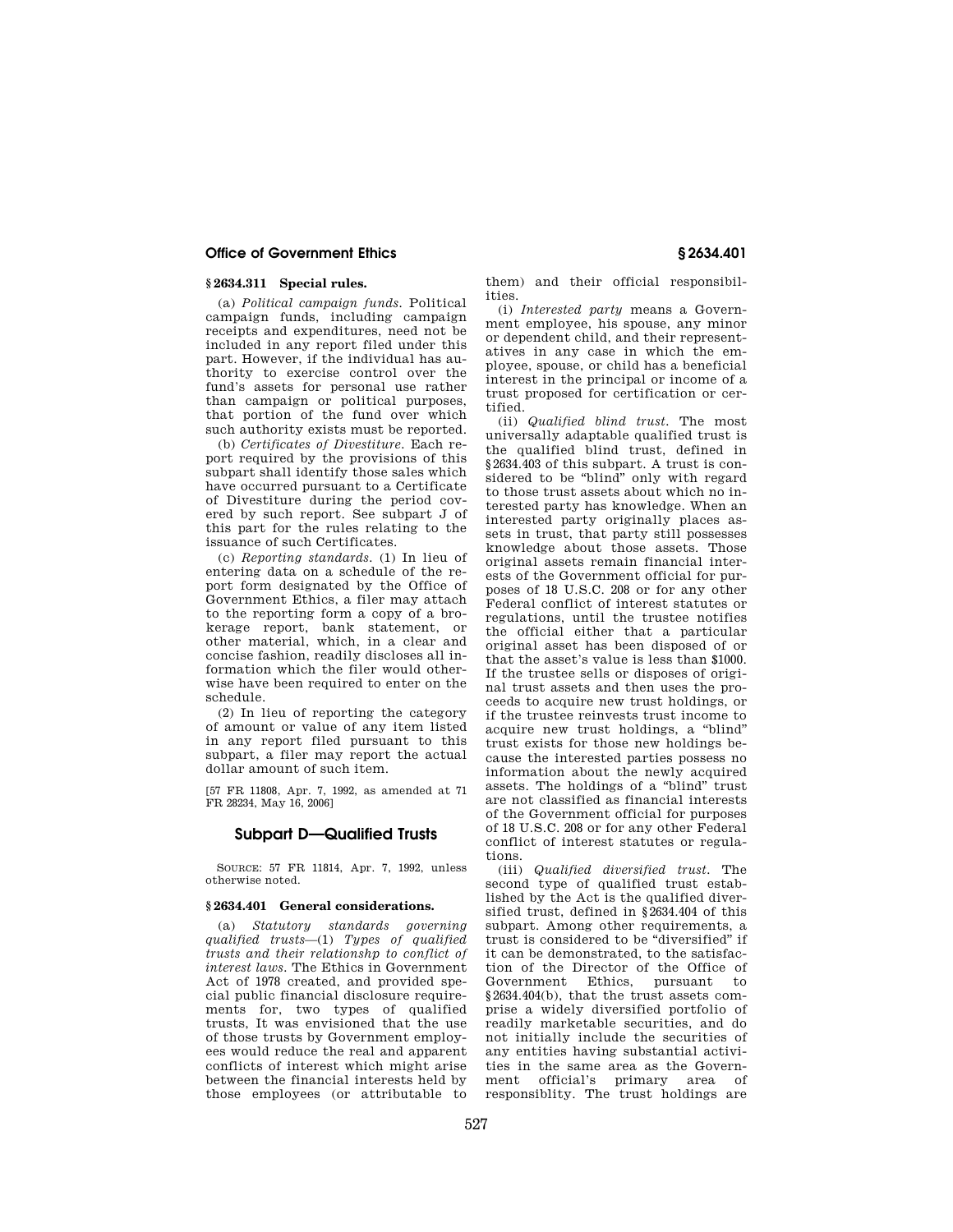## **§ 2634.311 Special rules.**

(a) *Political campaign funds.* Political campaign funds, including campaign receipts and expenditures, need not be included in any report filed under this part. However, if the individual has authority to exercise control over the fund's assets for personal use rather than campaign or political purposes, that portion of the fund over which such authority exists must be reported.

(b) *Certificates of Divestiture.* Each report required by the provisions of this subpart shall identify those sales which have occurred pursuant to a Certificate of Divestiture during the period covered by such report. See subpart J of this part for the rules relating to the issuance of such Certificates.

(c) *Reporting standards.* (1) In lieu of entering data on a schedule of the report form designated by the Office of Government Ethics, a filer may attach to the reporting form a copy of a brokerage report, bank statement, or other material, which, in a clear and concise fashion, readily discloses all information which the filer would otherwise have been required to enter on the schedule.

(2) In lieu of reporting the category of amount or value of any item listed in any report filed pursuant to this subpart, a filer may report the actual dollar amount of such item.

[57 FR 11808, Apr. 7, 1992, as amended at 71 FR 28234, May 16, 2006]

## **Subpart D—Qualified Trusts**

SOURCE: 57 FR 11814, Apr. 7, 1992, unless otherwise noted.

## **§ 2634.401 General considerations.**

(a) *Statutory standards governing qualified trusts*—(1) *Types of qualified trusts and their relationshp to conflict of interest laws.* The Ethics in Government Act of 1978 created, and provided special public financial disclosure requirements for, two types of qualified trusts, It was envisioned that the use of those trusts by Government employees would reduce the real and apparent conflicts of interest which might arise between the financial interests held by those employees (or attributable to

them) and their official responsibilities.

(i) *Interested party* means a Government employee, his spouse, any minor or dependent child, and their representatives in any case in which the employee, spouse, or child has a beneficial interest in the principal or income of a trust proposed for certification or certified.

(ii) *Qualified blind trust.* The most universally adaptable qualified trust is the qualified blind trust, defined in §2634.403 of this subpart. A trust is considered to be "blind" only with regard to those trust assets about which no interested party has knowledge. When an interested party originally places assets in trust, that party still possesses knowledge about those assets. Those original assets remain financial interests of the Government official for purposes of 18 U.S.C. 208 or for any other Federal conflict of interest statutes or regulations, until the trustee notifies the official either that a particular original asset has been disposed of or that the asset's value is less than \$1000. If the trustee sells or disposes of original trust assets and then uses the proceeds to acquire new trust holdings, or if the trustee reinvests trust income to acquire new trust holdings, a ''blind'' trust exists for those new holdings because the interested parties possess no information about the newly acquired assets. The holdings of a ''blind'' trust are not classified as financial interests of the Government official for purposes of 18 U.S.C. 208 or for any other Federal conflict of interest statutes or regulations.

(iii) *Qualified diversified trust.* The second type of qualified trust established by the Act is the qualified diversified trust, defined in §2634.404 of this subpart. Among other requirements, a trust is considered to be ''diversified'' if it can be demonstrated, to the satisfaction of the Director of the Office of Government Ethics, pursuant to §2634.404(b), that the trust assets comprise a widely diversified portfolio of readily marketable securities, and do not initially include the securities of any entities having substantial activities in the same area as the Government official's primary area of responsiblity. The trust holdings are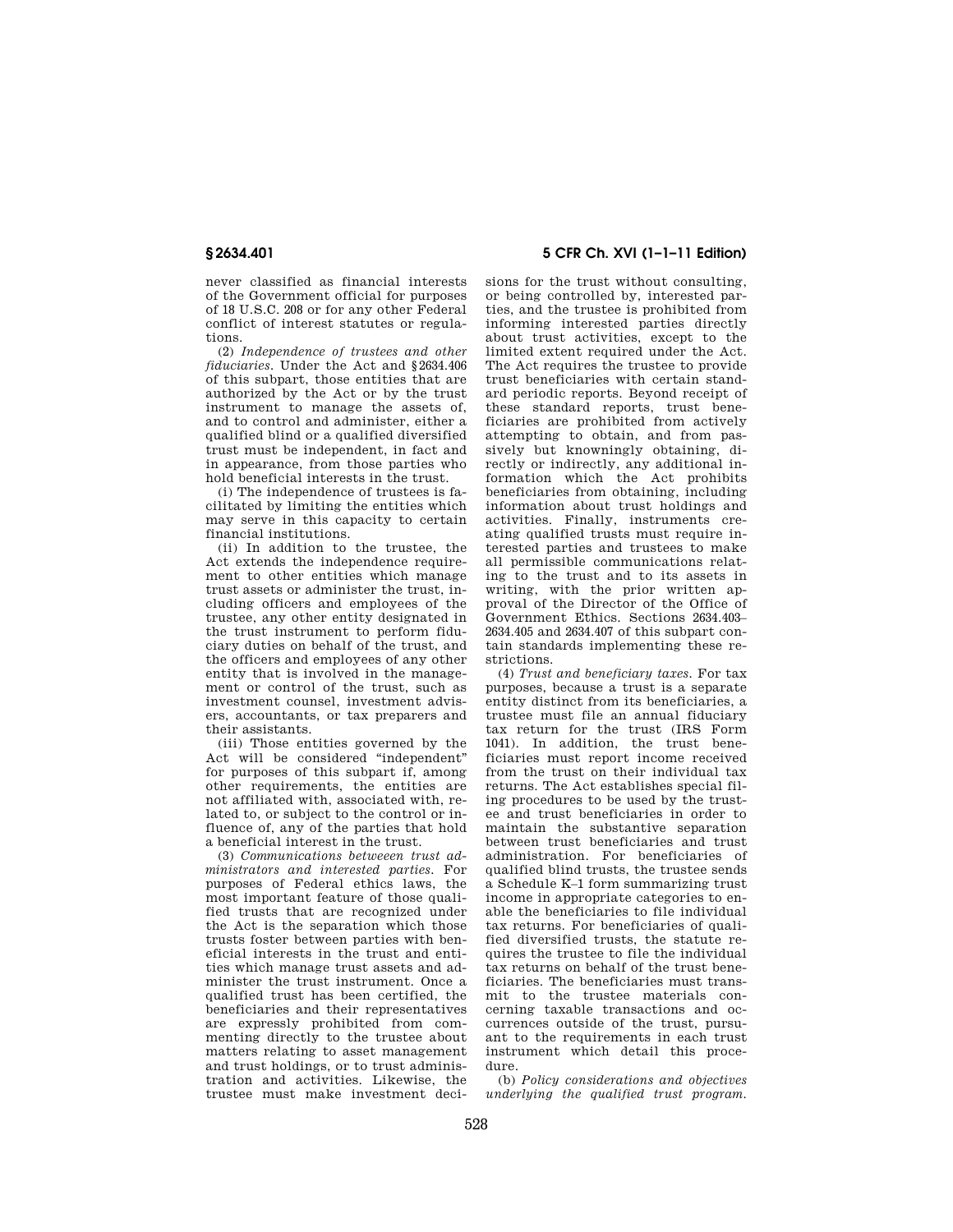never classified as financial interests of the Government official for purposes of 18 U.S.C. 208 or for any other Federal conflict of interest statutes or regulations.

(2) *Independence of trustees and other fiduciaries.* Under the Act and §2634.406 of this subpart, those entities that are authorized by the Act or by the trust instrument to manage the assets of, and to control and administer, either a qualified blind or a qualified diversified trust must be independent, in fact and in appearance, from those parties who hold beneficial interests in the trust.

(i) The independence of trustees is facilitated by limiting the entities which may serve in this capacity to certain financial institutions.

(ii) In addition to the trustee, the Act extends the independence requirement to other entities which manage trust assets or administer the trust, including officers and employees of the trustee, any other entity designated in the trust instrument to perform fiduciary duties on behalf of the trust, and the officers and employees of any other entity that is involved in the management or control of the trust, such as investment counsel, investment advisers, accountants, or tax preparers and their assistants.

(iii) Those entities governed by the Act will be considered "independent" for purposes of this subpart if, among other requirements, the entities are not affiliated with, associated with, related to, or subject to the control or influence of, any of the parties that hold a beneficial interest in the trust.

(3) *Communications betweeen trust administrators and interested parties.* For purposes of Federal ethics laws, the most important feature of those qualified trusts that are recognized under the Act is the separation which those trusts foster between parties with beneficial interests in the trust and entities which manage trust assets and administer the trust instrument. Once a qualified trust has been certified, the beneficiaries and their representatives are expressly prohibited from commenting directly to the trustee about matters relating to asset management and trust holdings, or to trust administration and activities. Likewise, the trustee must make investment deci-

**§ 2634.401 5 CFR Ch. XVI (1–1–11 Edition)** 

sions for the trust without consulting, or being controlled by, interested parties, and the trustee is prohibited from informing interested parties directly about trust activities, except to the limited extent required under the Act. The Act requires the trustee to provide trust beneficiaries with certain standard periodic reports. Beyond receipt of these standard reports, trust beneficiaries are prohibited from actively attempting to obtain, and from passively but knowningly obtaining, directly or indirectly, any additional information which the Act prohibits beneficiaries from obtaining, including information about trust holdings and activities. Finally, instruments creating qualified trusts must require interested parties and trustees to make all permissible communications relating to the trust and to its assets in writing, with the prior written approval of the Director of the Office of Government Ethics. Sections 2634.403– 2634.405 and 2634.407 of this subpart contain standards implementing these restrictions.

(4) *Trust and beneficiary taxes.* For tax purposes, because a trust is a separate entity distinct from its beneficiaries, a trustee must file an annual fiduciary tax return for the trust (IRS Form 1041). In addition, the trust beneficiaries must report income received from the trust on their individual tax returns. The Act establishes special filing procedures to be used by the trustee and trust beneficiaries in order to maintain the substantive separation between trust beneficiaries and trust administration. For beneficiaries of qualified blind trusts, the trustee sends a Schedule K–1 form summarizing trust income in appropriate categories to enable the beneficiaries to file individual tax returns. For beneficiaries of qualified diversified trusts, the statute requires the trustee to file the individual tax returns on behalf of the trust beneficiaries. The beneficiaries must transmit to the trustee materials concerning taxable transactions and occurrences outside of the trust, pursuant to the requirements in each trust instrument which detail this procedure.

(b) *Policy considerations and objectives underlying the qualified trust program.*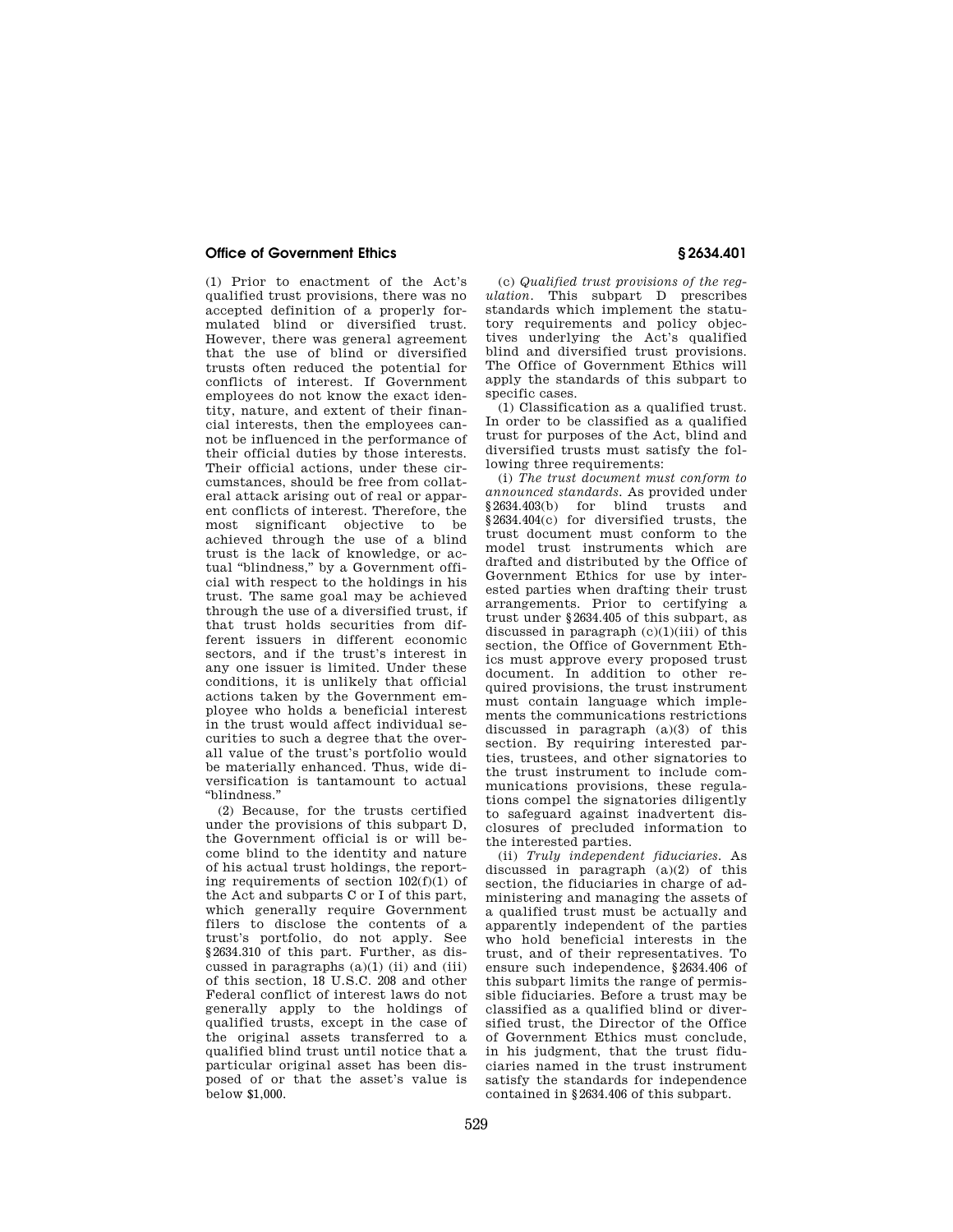(1) Prior to enactment of the Act's qualified trust provisions, there was no accepted definition of a properly formulated blind or diversified trust. However, there was general agreement that the use of blind or diversified trusts often reduced the potential for conflicts of interest. If Government employees do not know the exact identity, nature, and extent of their financial interests, then the employees cannot be influenced in the performance of their official duties by those interests. Their official actions, under these circumstances, should be free from collateral attack arising out of real or apparent conflicts of interest. Therefore, the most significant objective to be achieved through the use of a blind trust is the lack of knowledge, or actual ''blindness,'' by a Government official with respect to the holdings in his trust. The same goal may be achieved through the use of a diversified trust, if that trust holds securities from different issuers in different economic sectors, and if the trust's interest in any one issuer is limited. Under these conditions, it is unlikely that official actions taken by the Government employee who holds a beneficial interest in the trust would affect individual securities to such a degree that the overall value of the trust's portfolio would be materially enhanced. Thus, wide diversification is tantamount to actual ''blindness.''

(2) Because, for the trusts certified under the provisions of this subpart D, the Government official is or will become blind to the identity and nature of his actual trust holdings, the reporting requirements of section  $102(f)(1)$  of the Act and subparts C or I of this part, which generally require Government filers to disclose the contents of a trust's portfolio, do not apply. See §2634.310 of this part. Further, as discussed in paragraphs (a)(1) (ii) and (iii) of this section, 18 U.S.C. 208 and other Federal conflict of interest laws do not generally apply to the holdings of qualified trusts, except in the case of the original assets transferred to a qualified blind trust until notice that a particular original asset has been disposed of or that the asset's value is .<br>below \$1,000.

(c) *Qualified trust provisions of the regulation.* This subpart D prescribes standards which implement the statutory requirements and policy objectives underlying the Act's qualified blind and diversified trust provisions. The Office of Government Ethics will apply the standards of this subpart to specific cases.

(1) Classification as a qualified trust. In order to be classified as a qualified trust for purposes of the Act, blind and diversified trusts must satisfy the following three requirements:

(i) *The trust document must conform to announced standards.* As provided under §2634.403(b) for blind trusts and §2634.404(c) for diversified trusts, the trust document must conform to the model trust instruments which are drafted and distributed by the Office of Government Ethics for use by interested parties when drafting their trust arrangements. Prior to certifying a trust under §2634.405 of this subpart, as discussed in paragraph  $(c)(1)(iii)$  of this section, the Office of Government Ethics must approve every proposed trust document. In addition to other required provisions, the trust instrument must contain language which implements the communications restrictions discussed in paragraph (a)(3) of this section. By requiring interested parties, trustees, and other signatories to the trust instrument to include communications provisions, these regulations compel the signatories diligently to safeguard against inadvertent disclosures of precluded information to the interested parties.

(ii) *Truly independent fiduciaries.* As discussed in paragraph (a)(2) of this section, the fiduciaries in charge of administering and managing the assets of a qualified trust must be actually and apparently independent of the parties who hold beneficial interests in the trust, and of their representatives. To ensure such independence, §2634.406 of this subpart limits the range of permissible fiduciaries. Before a trust may be classified as a qualified blind or diversified trust, the Director of the Office of Government Ethics must conclude, in his judgment, that the trust fiduciaries named in the trust instrument satisfy the standards for independence contained in §2634.406 of this subpart.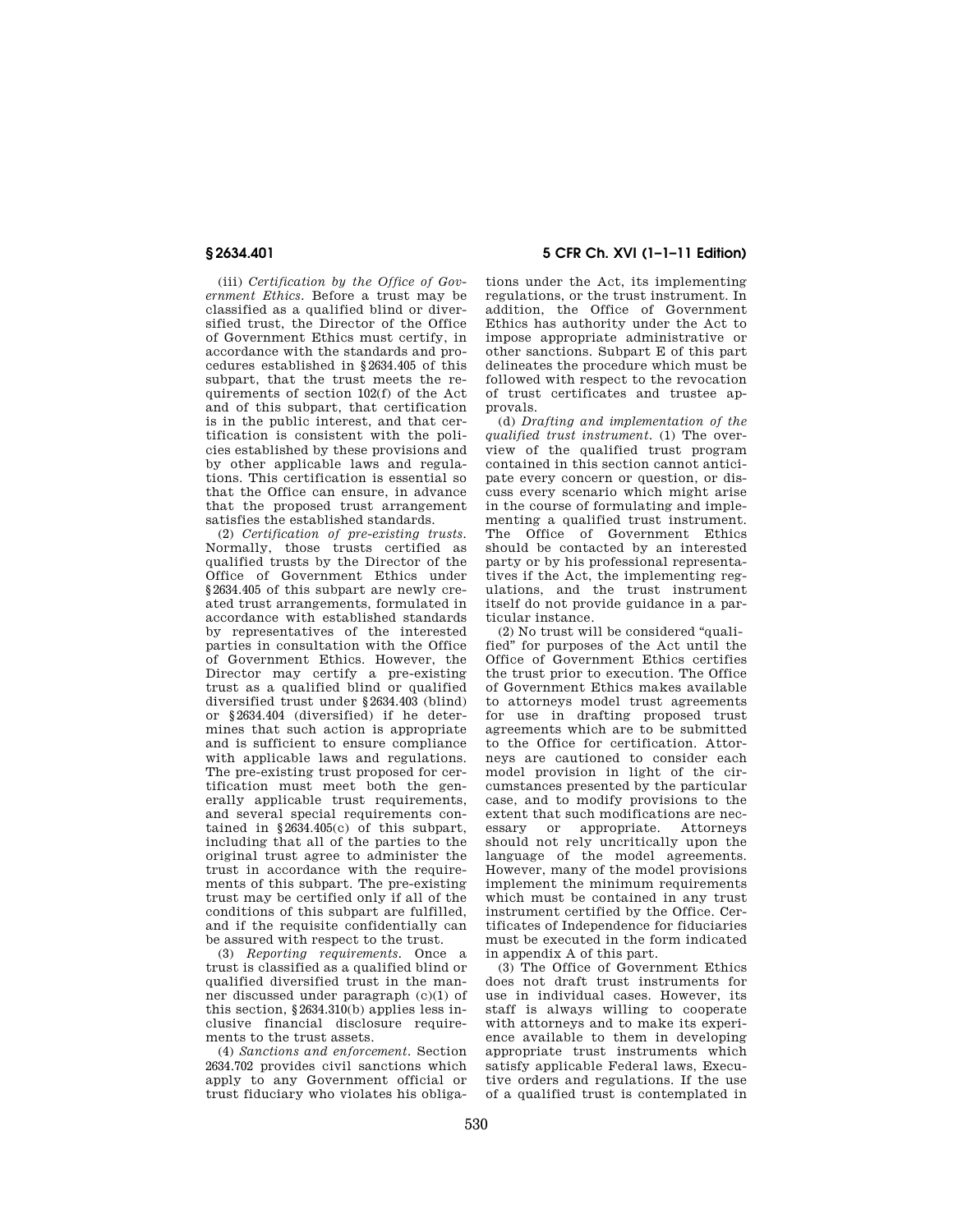(iii) *Certification by the Office of Government Ethics.* Before a trust may be classified as a qualified blind or diversified trust, the Director of the Office of Government Ethics must certify, in accordance with the standards and procedures established in §2634.405 of this subpart, that the trust meets the requirements of section 102(f) of the Act and of this subpart, that certification is in the public interest, and that certification is consistent with the policies established by these provisions and by other applicable laws and regulations. This certification is essential so that the Office can ensure, in advance that the proposed trust arrangement satisfies the established standards.

(2) *Certification of pre-existing trusts.*  Normally, those trusts certified as qualified trusts by the Director of the Office of Government Ethics under §2634.405 of this subpart are newly created trust arrangements, formulated in accordance with established standards by representatives of the interested parties in consultation with the Office of Government Ethics. However, the Director may certify a pre-existing trust as a qualified blind or qualified diversified trust under §2634.403 (blind) or §2634.404 (diversified) if he determines that such action is appropriate and is sufficient to ensure compliance with applicable laws and regulations. The pre-existing trust proposed for certification must meet both the generally applicable trust requirements, and several special requirements contained in §2634.405(c) of this subpart, including that all of the parties to the original trust agree to administer the trust in accordance with the requirements of this subpart. The pre-existing trust may be certified only if all of the conditions of this subpart are fulfilled, and if the requisite confidentially can be assured with respect to the trust.

(3) *Reporting requirements.* Once a trust is classified as a qualified blind or qualified diversified trust in the manner discussed under paragraph (c)(1) of this section, §2634.310(b) applies less inclusive financial disclosure requirements to the trust assets.

(4) *Sanctions and enforcement.* Section 2634.702 provides civil sanctions which apply to any Government official or trust fiduciary who violates his obliga-

**§ 2634.401 5 CFR Ch. XVI (1–1–11 Edition)** 

tions under the Act, its implementing regulations, or the trust instrument. In addition, the Office of Government Ethics has authority under the Act to impose appropriate administrative or other sanctions. Subpart E of this part delineates the procedure which must be followed with respect to the revocation of trust certificates and trustee approvals.

(d) *Drafting and implementation of the qualified trust instrument.* (1) The overview of the qualified trust program contained in this section cannot anticipate every concern or question, or discuss every scenario which might arise in the course of formulating and implementing a qualified trust instrument. The Office of Government Ethics should be contacted by an interested party or by his professional representatives if the Act, the implementing regulations, and the trust instrument itself do not provide guidance in a particular instance.

(2) No trust will be considered ''qualified'' for purposes of the Act until the Office of Government Ethics certifies the trust prior to execution. The Office of Government Ethics makes available to attorneys model trust agreements for use in drafting proposed trust agreements which are to be submitted to the Office for certification. Attorneys are cautioned to consider each model provision in light of the circumstances presented by the particular case, and to modify provisions to the extent that such modifications are necessary or appropriate. Attorneys should not rely uncritically upon the language of the model agreements. However, many of the model provisions implement the minimum requirements which must be contained in any trust instrument certified by the Office. Certificates of Independence for fiduciaries must be executed in the form indicated in appendix A of this part.

(3) The Office of Government Ethics does not draft trust instruments for use in individual cases. However, its staff is always willing to cooperate with attorneys and to make its experience available to them in developing appropriate trust instruments which satisfy applicable Federal laws, Executive orders and regulations. If the use of a qualified trust is contemplated in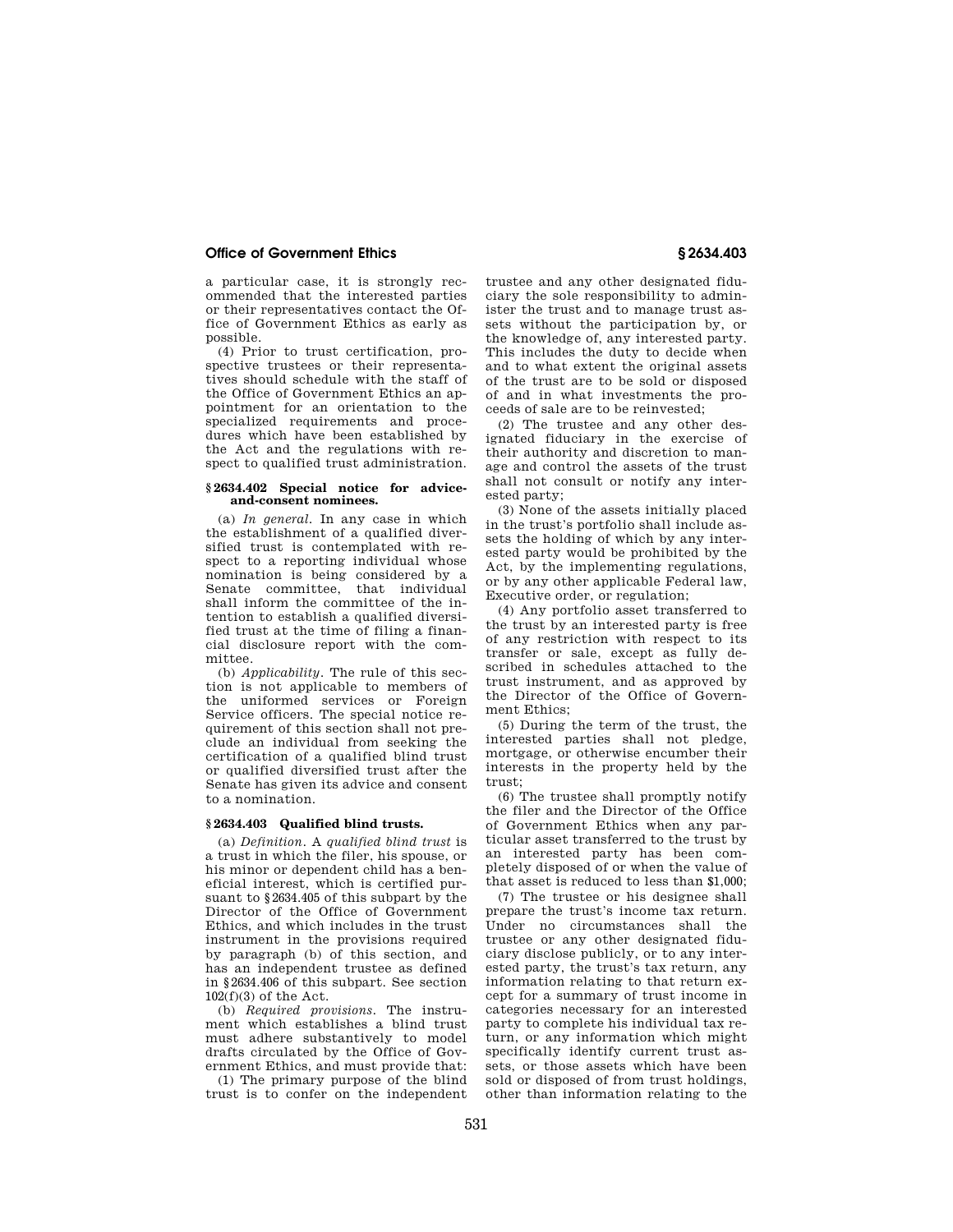a particular case, it is strongly recommended that the interested parties or their representatives contact the Office of Government Ethics as early as possible.

(4) Prior to trust certification, prospective trustees or their representatives should schedule with the staff of the Office of Government Ethics an appointment for an orientation to the specialized requirements and procedures which have been established by the Act and the regulations with respect to qualified trust administration.

### **§ 2634.402 Special notice for adviceand-consent nominees.**

(a) *In general.* In any case in which the establishment of a qualified diversified trust is contemplated with respect to a reporting individual whose nomination is being considered by a Senate committee, that individual shall inform the committee of the intention to establish a qualified diversified trust at the time of filing a financial disclosure report with the committee.

(b) *Applicability.* The rule of this section is not applicable to members of the uniformed services or Foreign Service officers. The special notice requirement of this section shall not preclude an individual from seeking the certification of a qualified blind trust or qualified diversified trust after the Senate has given its advice and consent to a nomination.

#### **§ 2634.403 Qualified blind trusts.**

(a) *Definition.* A *qualified blind trust* is a trust in which the filer, his spouse, or his minor or dependent child has a beneficial interest, which is certified pursuant to §2634.405 of this subpart by the Director of the Office of Government Ethics, and which includes in the trust instrument in the provisions required by paragraph (b) of this section, and has an independent trustee as defined in §2634.406 of this subpart. See section  $102(f)(3)$  of the Act.

(b) *Required provisions.* The instrument which establishes a blind trust must adhere substantively to model drafts circulated by the Office of Government Ethics, and must provide that:

(1) The primary purpose of the blind trust is to confer on the independent

trustee and any other designated fiduciary the sole responsibility to administer the trust and to manage trust assets without the participation by, or the knowledge of, any interested party. This includes the duty to decide when and to what extent the original assets of the trust are to be sold or disposed of and in what investments the proceeds of sale are to be reinvested;

(2) The trustee and any other designated fiduciary in the exercise of their authority and discretion to manage and control the assets of the trust shall not consult or notify any interested party;

(3) None of the assets initially placed in the trust's portfolio shall include assets the holding of which by any interested party would be prohibited by the Act, by the implementing regulations, or by any other applicable Federal law, Executive order, or regulation;

(4) Any portfolio asset transferred to the trust by an interested party is free of any restriction with respect to its transfer or sale, except as fully described in schedules attached to the trust instrument, and as approved by the Director of the Office of Government Ethics;

(5) During the term of the trust, the interested parties shall not pledge, mortgage, or otherwise encumber their interests in the property held by the trust;

(6) The trustee shall promptly notify the filer and the Director of the Office of Government Ethics when any particular asset transferred to the trust by an interested party has been completely disposed of or when the value of that asset is reduced to less than \$1,000;

(7) The trustee or his designee shall prepare the trust's income tax return. Under no circumstances shall the trustee or any other designated fiduciary disclose publicly, or to any interested party, the trust's tax return, any information relating to that return except for a summary of trust income in categories necessary for an interested party to complete his individual tax return, or any information which might specifically identify current trust assets, or those assets which have been sold or disposed of from trust holdings, other than information relating to the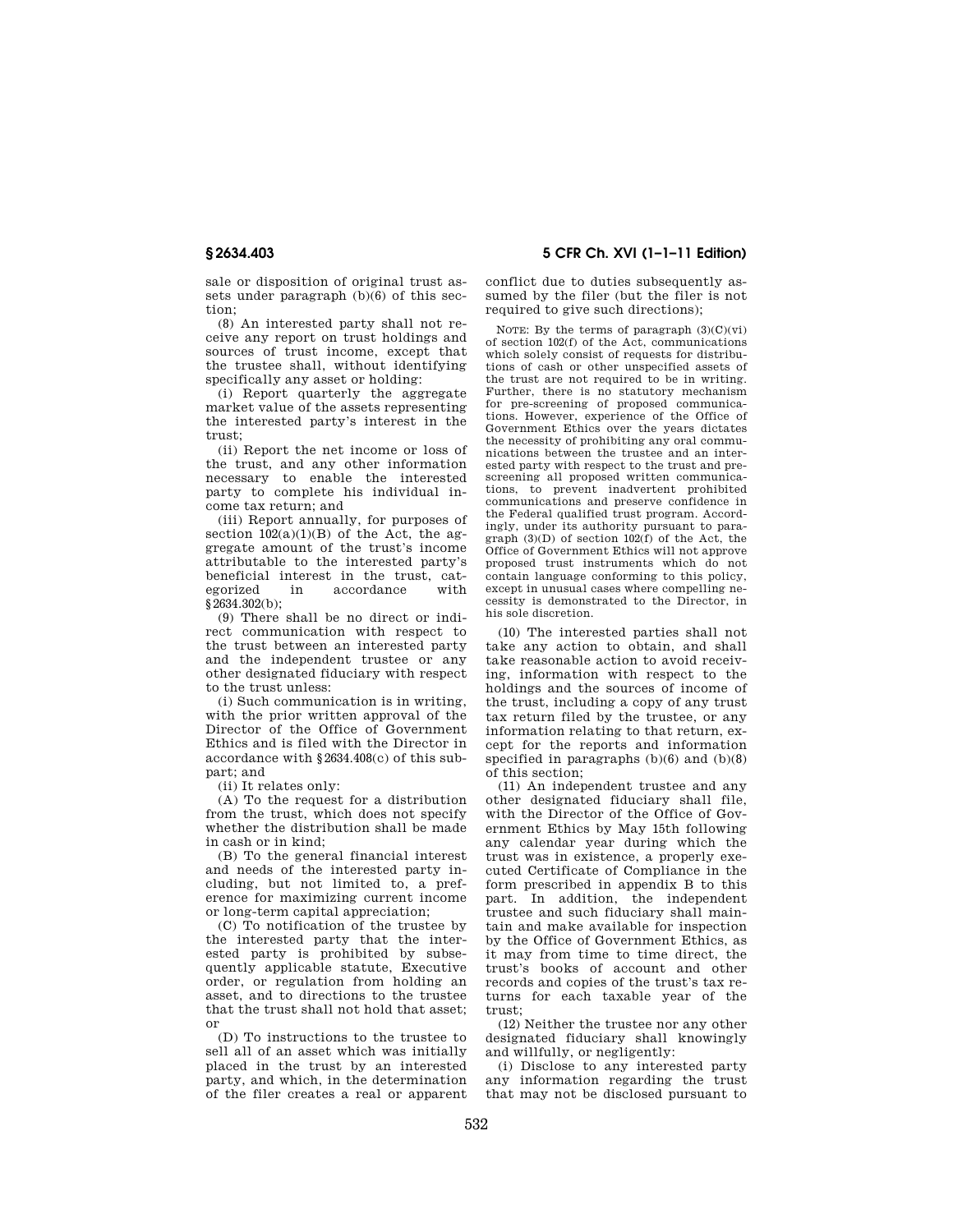sale or disposition of original trust assets under paragraph (b)(6) of this section;

(8) An interested party shall not receive any report on trust holdings and sources of trust income, except that the trustee shall, without identifying specifically any asset or holding:

(i) Report quarterly the aggregate market value of the assets representing the interested party's interest in the trust;

(ii) Report the net income or loss of the trust, and any other information necessary to enable the interested party to complete his individual income tax return; and

(iii) Report annually, for purposes of section  $102(a)(1)(B)$  of the Act, the aggregate amount of the trust's income attributable to the interested party's beneficial interest in the trust, categorized in accordance with §2634.302(b):

(9) There shall be no direct or indirect communication with respect to the trust between an interested party and the independent trustee or any other designated fiduciary with respect to the trust unless:

(i) Such communication is in writing, with the prior written approval of the Director of the Office of Government Ethics and is filed with the Director in accordance with §2634.408(c) of this subpart; and

(ii) It relates only:

(A) To the request for a distribution from the trust, which does not specify whether the distribution shall be made in cash or in kind;

(B) To the general financial interest and needs of the interested party including, but not limited to, a preference for maximizing current income or long-term capital appreciation;

(C) To notification of the trustee by the interested party that the interested party is prohibited by subsequently applicable statute, Executive order, or regulation from holding an asset, and to directions to the trustee that the trust shall not hold that asset; or

(D) To instructions to the trustee to sell all of an asset which was initially placed in the trust by an interested party, and which, in the determination of the filer creates a real or apparent

**§ 2634.403 5 CFR Ch. XVI (1–1–11 Edition)** 

conflict due to duties subsequently assumed by the filer (but the filer is not required to give such directions);

NOTE: By the terms of paragraph  $(3)(C)(vi)$ of section 102(f) of the Act, communications which solely consist of requests for distributions of cash or other unspecified assets of the trust are not required to be in writing. Further, there is no statutory mechanism for pre-screening of proposed communications. However, experience of the Office of Government Ethics over the years dictates the necessity of prohibiting any oral communications between the trustee and an interested party with respect to the trust and prescreening all proposed written communications, to prevent inadvertent prohibited communications and preserve confidence in the Federal qualified trust program. Accordingly, under its authority pursuant to paragraph  $(3)(D)$  of section  $102(f)$  of the Act, the Office of Government Ethics will not approve proposed trust instruments which do not contain language conforming to this policy, except in unusual cases where compelling necessity is demonstrated to the Director, in his sole discretion.

(10) The interested parties shall not take any action to obtain, and shall take reasonable action to avoid receiving, information with respect to the holdings and the sources of income of the trust, including a copy of any trust tax return filed by the trustee, or any information relating to that return, except for the reports and information specified in paragraphs (b)(6) and (b)(8) of this section;

(11) An independent trustee and any other designated fiduciary shall file, with the Director of the Office of Government Ethics by May 15th following any calendar year during which the trust was in existence, a properly executed Certificate of Compliance in the form prescribed in appendix B to this part. In addition, the independent trustee and such fiduciary shall maintain and make available for inspection by the Office of Government Ethics, as it may from time to time direct, the trust's books of account and other records and copies of the trust's tax returns for each taxable year of the trust;

(12) Neither the trustee nor any other designated fiduciary shall knowingly and willfully, or negligently:

(i) Disclose to any interested party any information regarding the trust that may not be disclosed pursuant to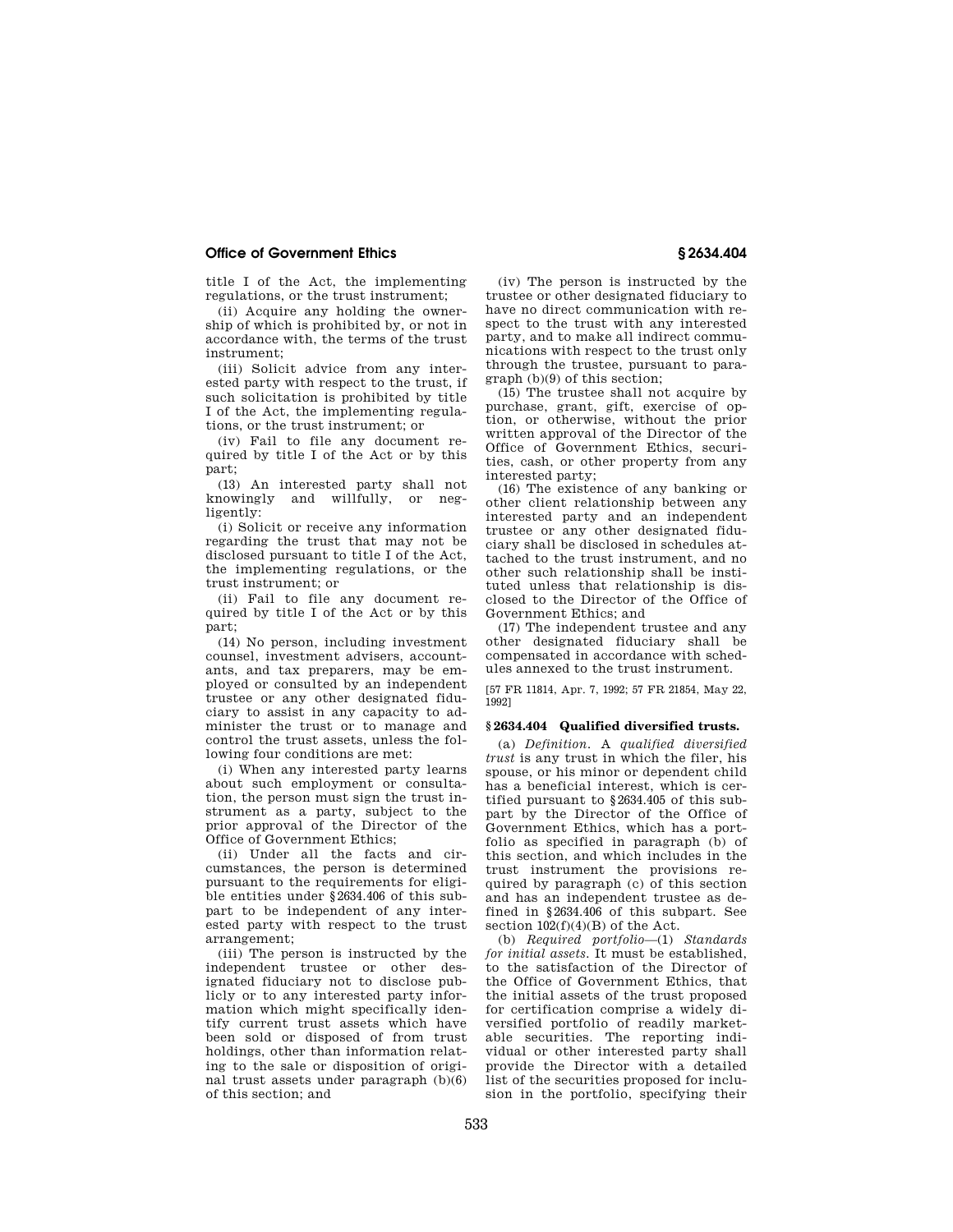title I of the Act, the implementing regulations, or the trust instrument;

(ii) Acquire any holding the ownership of which is prohibited by, or not in accordance with, the terms of the trust instrument;

(iii) Solicit advice from any interested party with respect to the trust, if such solicitation is prohibited by title I of the Act, the implementing regulations, or the trust instrument; or

(iv) Fail to file any document required by title I of the Act or by this part;

(13) An interested party shall not knowingly and willfully, or negligently:

(i) Solicit or receive any information regarding the trust that may not be disclosed pursuant to title I of the Act, the implementing regulations, or the trust instrument; or

(ii) Fail to file any document required by title I of the Act or by this part;

(14) No person, including investment counsel, investment advisers, accountants, and tax preparers, may be employed or consulted by an independent trustee or any other designated fiduciary to assist in any capacity to administer the trust or to manage and control the trust assets, unless the following four conditions are met:

(i) When any interested party learns about such employment or consultation, the person must sign the trust instrument as a party, subject to the prior approval of the Director of the Office of Government Ethics;

(ii) Under all the facts and circumstances, the person is determined pursuant to the requirements for eligible entities under §2634.406 of this subpart to be independent of any interested party with respect to the trust arrangement;

(iii) The person is instructed by the independent trustee or other designated fiduciary not to disclose publicly or to any interested party information which might specifically identify current trust assets which have been sold or disposed of from trust holdings, other than information relating to the sale or disposition of original trust assets under paragraph (b)(6) of this section; and

(iv) The person is instructed by the trustee or other designated fiduciary to have no direct communication with respect to the trust with any interested party, and to make all indirect communications with respect to the trust only through the trustee, pursuant to paragraph (b)(9) of this section;

(15) The trustee shall not acquire by purchase, grant, gift, exercise of option, or otherwise, without the prior written approval of the Director of the Office of Government Ethics, securities, cash, or other property from any interested party;

(16) The existence of any banking or other client relationship between any interested party and an independent trustee or any other designated fiduciary shall be disclosed in schedules attached to the trust instrument, and no other such relationship shall be instituted unless that relationship is disclosed to the Director of the Office of Government Ethics; and

(17) The independent trustee and any other designated fiduciary shall be compensated in accordance with schedules annexed to the trust instrument.

[57 FR 11814, Apr. 7, 1992; 57 FR 21854, May 22, 1992]

#### **§ 2634.404 Qualified diversified trusts.**

(a) *Definition.* A *qualified diversified trust* is any trust in which the filer, his spouse, or his minor or dependent child has a beneficial interest, which is certified pursuant to §2634.405 of this subpart by the Director of the Office of Government Ethics, which has a portfolio as specified in paragraph (b) of this section, and which includes in the trust instrument the provisions required by paragraph (c) of this section and has an independent trustee as defined in §2634.406 of this subpart. See section  $102(f)(4)(B)$  of the Act.

(b) *Required portfolio*—(1) *Standards for initial assets.* It must be established, to the satisfaction of the Director of the Office of Government Ethics, that the initial assets of the trust proposed for certification comprise a widely diversified portfolio of readily marketable securities. The reporting individual or other interested party shall provide the Director with a detailed list of the securities proposed for inclusion in the portfolio, specifying their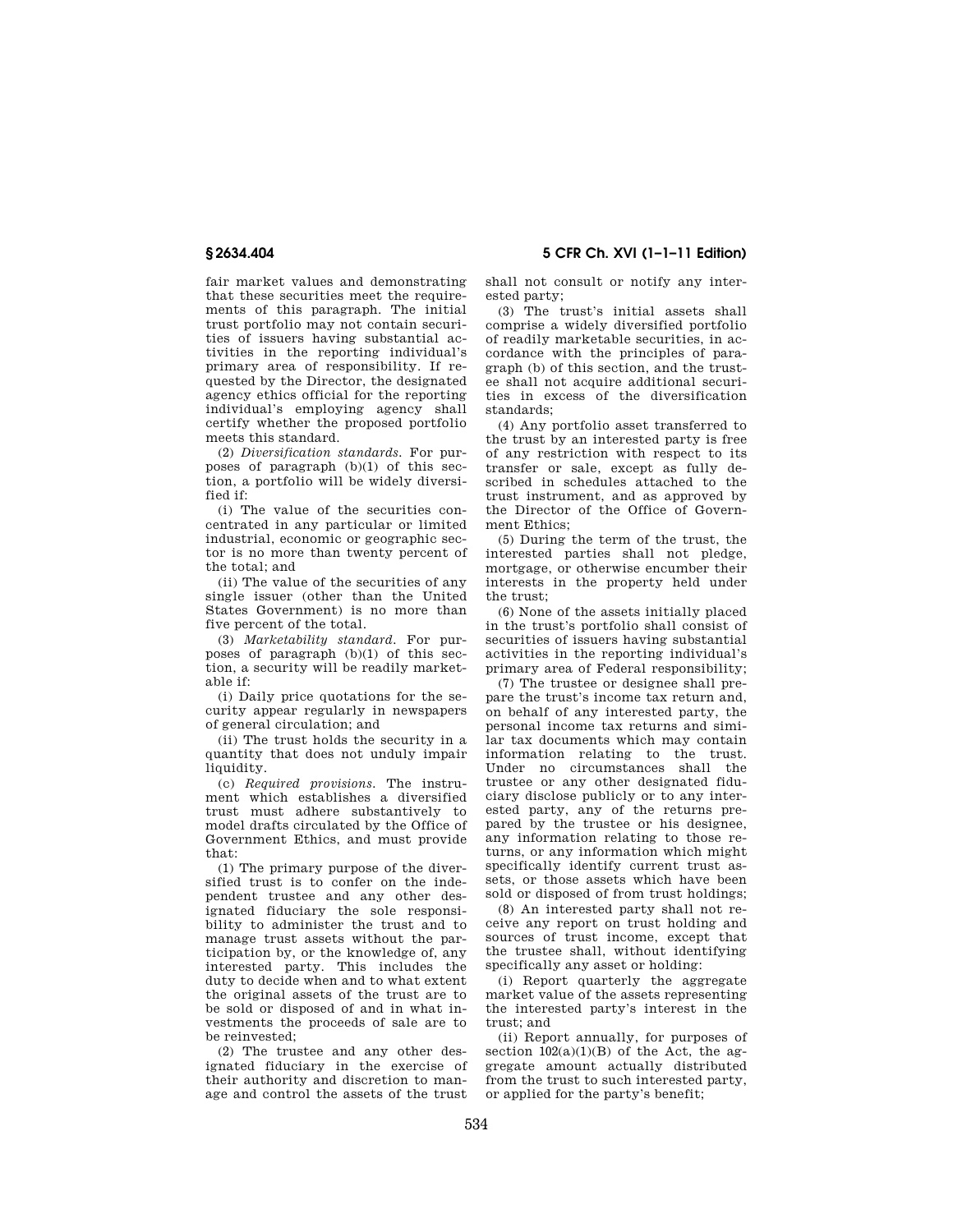fair market values and demonstrating that these securities meet the requirements of this paragraph. The initial trust portfolio may not contain securities of issuers having substantial activities in the reporting individual's primary area of responsibility. If requested by the Director, the designated agency ethics official for the reporting individual's employing agency shall certify whether the proposed portfolio meets this standard.

(2) *Diversification standards.* For purposes of paragraph (b)(1) of this section, a portfolio will be widely diversified if:

(i) The value of the securities concentrated in any particular or limited industrial, economic or geographic sector is no more than twenty percent of the total; and

(ii) The value of the securities of any single issuer (other than the United States Government) is no more than five percent of the total.

(3) *Marketability standard.* For purposes of paragraph (b)(1) of this section, a security will be readily marketable if:

(i) Daily price quotations for the security appear regularly in newspapers of general circulation; and

(ii) The trust holds the security in a quantity that does not unduly impair liquidity.

(c) *Required provisions.* The instrument which establishes a diversified trust must adhere substantively to model drafts circulated by the Office of Government Ethics, and must provide that:

(1) The primary purpose of the diversified trust is to confer on the independent trustee and any other designated fiduciary the sole responsibility to administer the trust and to manage trust assets without the participation by, or the knowledge of, any interested party. This includes the duty to decide when and to what extent the original assets of the trust are to be sold or disposed of and in what investments the proceeds of sale are to be reinvested;

(2) The trustee and any other designated fiduciary in the exercise of their authority and discretion to manage and control the assets of the trust

shall not consult or notify any interested party;

(3) The trust's initial assets shall comprise a widely diversified portfolio of readily marketable securities, in accordance with the principles of paragraph (b) of this section, and the trustee shall not acquire additional securities in excess of the diversification standards;

(4) Any portfolio asset transferred to the trust by an interested party is free of any restriction with respect to its transfer or sale, except as fully described in schedules attached to the trust instrument, and as approved by the Director of the Office of Government Ethics;

(5) During the term of the trust, the interested parties shall not pledge, mortgage, or otherwise encumber their interests in the property held under the trust;

(6) None of the assets initially placed in the trust's portfolio shall consist of securities of issuers having substantial activities in the reporting individual's primary area of Federal responsibility;

(7) The trustee or designee shall prepare the trust's income tax return and, on behalf of any interested party, the personal income tax returns and similar tax documents which may contain information relating to the trust. Under no circumstances shall the trustee or any other designated fiduciary disclose publicly or to any interested party, any of the returns prepared by the trustee or his designee, any information relating to those returns, or any information which might specifically identify current trust assets, or those assets which have been sold or disposed of from trust holdings;

(8) An interested party shall not receive any report on trust holding and sources of trust income, except that the trustee shall, without identifying specifically any asset or holding:

(i) Report quarterly the aggregate market value of the assets representing the interested party's interest in the trust; and

(ii) Report annually, for purposes of section  $102(a)(1)(B)$  of the Act, the aggregate amount actually distributed from the trust to such interested party, or applied for the party's benefit;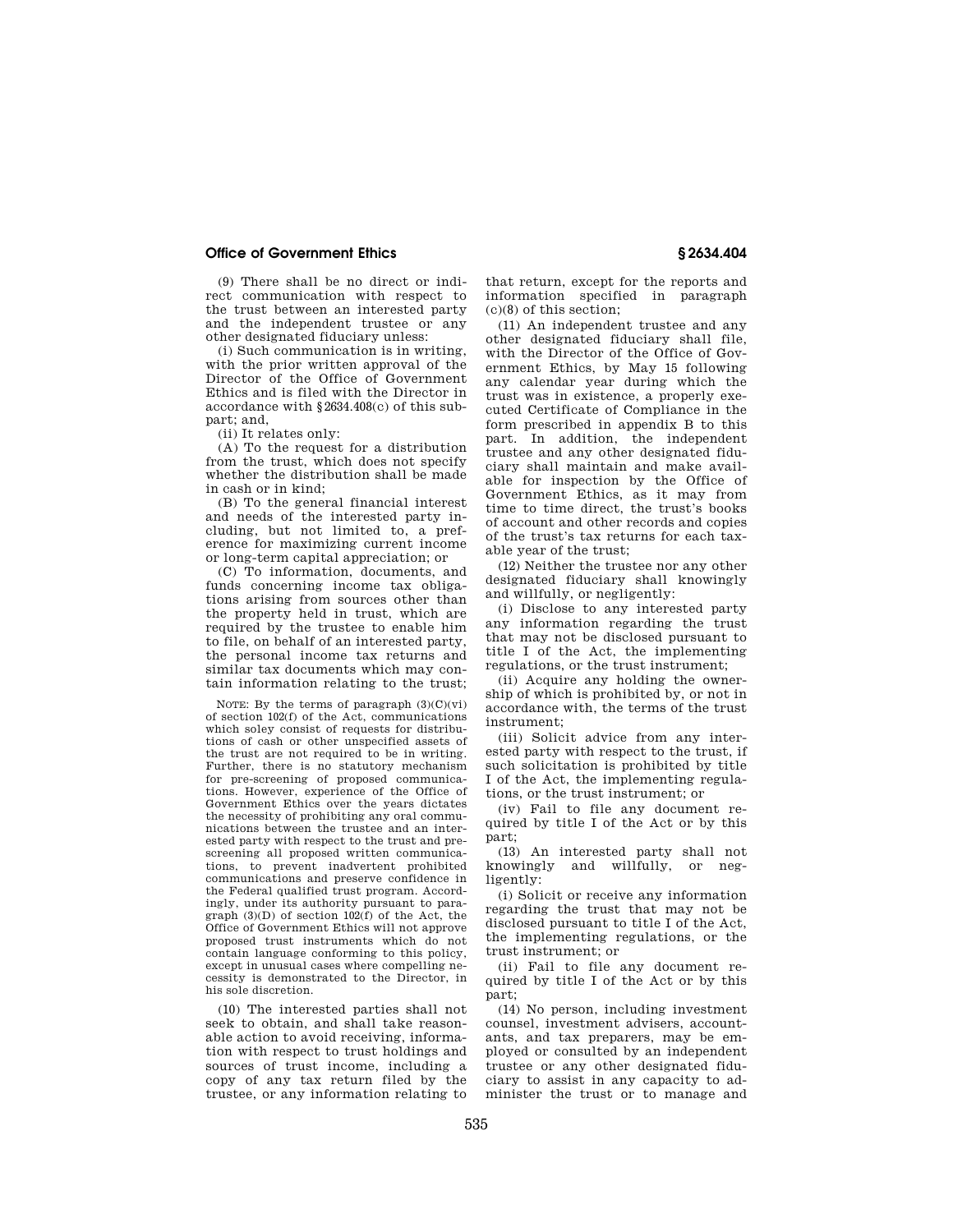(9) There shall be no direct or indirect communication with respect to the trust between an interested party and the independent trustee or any other designated fiduciary unless:

(i) Such communication is in writing, with the prior written approval of the Director of the Office of Government Ethics and is filed with the Director in accordance with §2634.408(c) of this subpart; and,

(ii) It relates only:

(A) To the request for a distribution from the trust, which does not specify whether the distribution shall be made in cash or in kind;

(B) To the general financial interest and needs of the interested party including, but not limited to, a preference for maximizing current income or long-term capital appreciation; or

(C) To information, documents, and funds concerning income tax obligations arising from sources other than the property held in trust, which are required by the trustee to enable him to file, on behalf of an interested party, the personal income tax returns and similar tax documents which may contain information relating to the trust;

NOTE: By the terms of paragraph  $(3)(C)(vi)$ of section 102(f) of the Act, communications which soley consist of requests for distributions of cash or other unspecified assets of the trust are not required to be in writing. Further, there is no statutory mechanism for pre-screening of proposed communications. However, experience of the Office of Government Ethics over the years dictates the necessity of prohibiting any oral communications between the trustee and an interested party with respect to the trust and prescreening all proposed written communications, to prevent inadvertent prohibited communications and preserve confidence in the Federal qualified trust program. Accordingly, under its authority pursuant to paragraph  $(3)(D)$  of section  $102(f)$  of the Act, the Office of Government Ethics will not approve proposed trust instruments which do not contain language conforming to this policy, except in unusual cases where compelling necessity is demonstrated to the Director, in his sole discretion.

(10) The interested parties shall not seek to obtain, and shall take reasonable action to avoid receiving, information with respect to trust holdings and sources of trust income, including a copy of any tax return filed by the trustee, or any information relating to

that return, except for the reports and information specified in paragraph (c)(8) of this section;

(11) An independent trustee and any other designated fiduciary shall file, with the Director of the Office of Government Ethics, by May 15 following any calendar year during which the trust was in existence, a properly executed Certificate of Compliance in the form prescribed in appendix B to this part. In addition, the independent trustee and any other designated fiduciary shall maintain and make available for inspection by the Office of Government Ethics, as it may from time to time direct, the trust's books of account and other records and copies of the trust's tax returns for each taxable year of the trust;

(12) Neither the trustee nor any other designated fiduciary shall knowingly and willfully, or negligently:

(i) Disclose to any interested party any information regarding the trust that may not be disclosed pursuant to title I of the Act, the implementing regulations, or the trust instrument;

(ii) Acquire any holding the ownership of which is prohibited by, or not in accordance with, the terms of the trust instrument;

(iii) Solicit advice from any interested party with respect to the trust, if such solicitation is prohibited by title I of the Act, the implementing regulations, or the trust instrument; or

(iv) Fail to file any document required by title I of the Act or by this part;

(13) An interested party shall not knowingly and willfully, or negligently:

(i) Solicit or receive any information regarding the trust that may not be disclosed pursuant to title I of the Act, the implementing regulations, or the trust instrument; or

(ii) Fail to file any document required by title I of the Act or by this part;

(14) No person, including investment counsel, investment advisers, accountants, and tax preparers, may be employed or consulted by an independent trustee or any other designated fiduciary to assist in any capacity to administer the trust or to manage and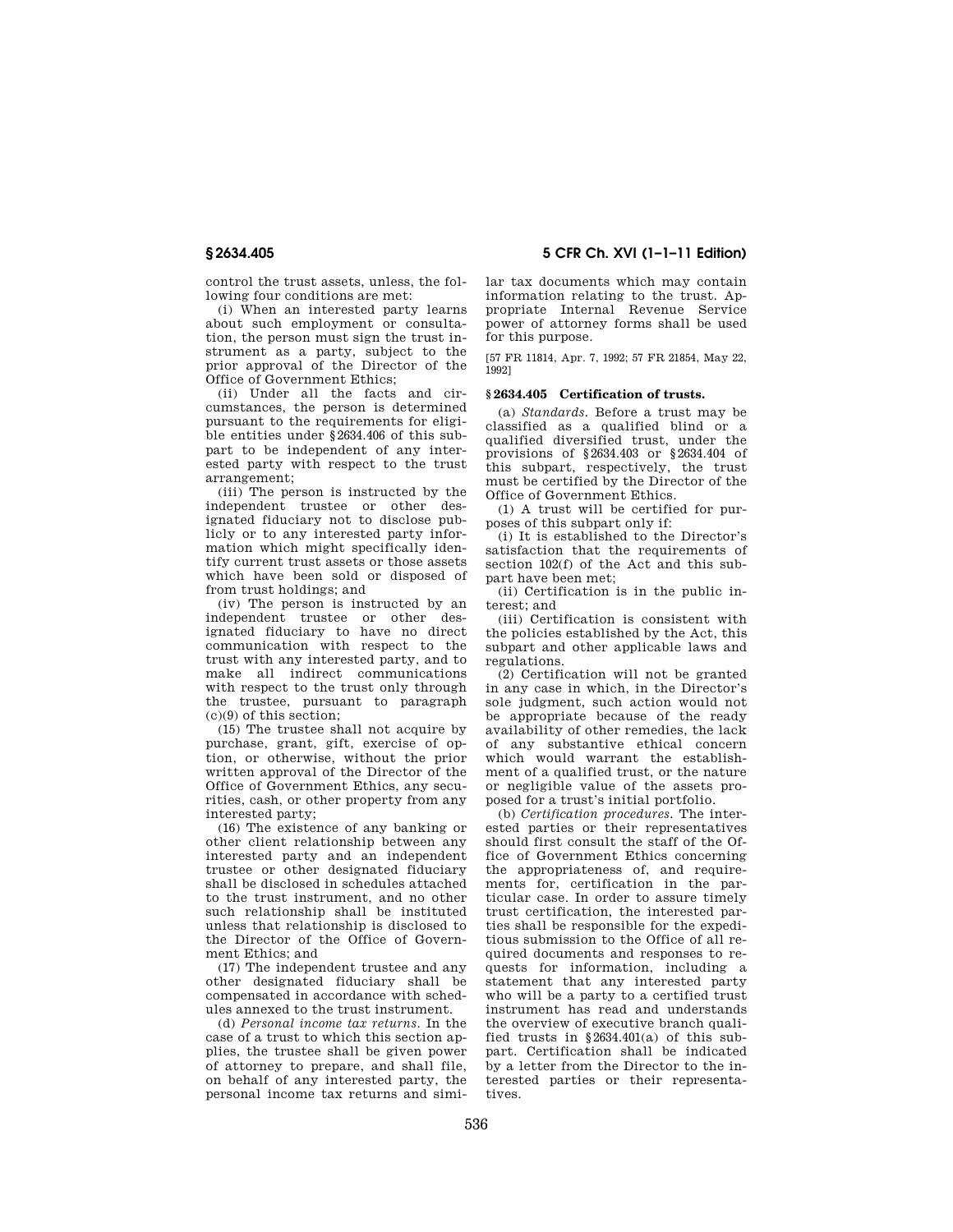control the trust assets, unless, the fol-

lowing four conditions are met: (i) When an interested party learns about such employment or consultation, the person must sign the trust instrument as a party, subject to the prior approval of the Director of the Office of Government Ethics;

(ii) Under all the facts and circumstances, the person is determined pursuant to the requirements for eligible entities under §2634.406 of this subpart to be independent of any interested party with respect to the trust arrangement;

(iii) The person is instructed by the independent trustee or other designated fiduciary not to disclose publicly or to any interested party information which might specifically identify current trust assets or those assets which have been sold or disposed of from trust holdings; and

(iv) The person is instructed by an independent trustee or other designated fiduciary to have no direct communication with respect to the trust with any interested party, and to make all indirect communications with respect to the trust only through the trustee, pursuant to paragraph (c)(9) of this section;

(15) The trustee shall not acquire by purchase, grant, gift, exercise of option, or otherwise, without the prior written approval of the Director of the Office of Government Ethics, any securities, cash, or other property from any interested party;

(16) The existence of any banking or other client relationship between any interested party and an independent trustee or other designated fiduciary shall be disclosed in schedules attached to the trust instrument, and no other such relationship shall be instituted unless that relationship is disclosed to the Director of the Office of Government Ethics; and

(17) The independent trustee and any other designated fiduciary shall be compensated in accordance with schedules annexed to the trust instrument.

(d) *Personal income tax returns.* In the case of a trust to which this section applies, the trustee shall be given power of attorney to prepare, and shall file, on behalf of any interested party, the personal income tax returns and simi-

**§ 2634.405 5 CFR Ch. XVI (1–1–11 Edition)** 

lar tax documents which may contain information relating to the trust. Appropriate Internal Revenue Service power of attorney forms shall be used for this purpose.

[57 FR 11814, Apr. 7, 1992; 57 FR 21854, May 22, 1992]

### **§ 2634.405 Certification of trusts.**

(a) *Standards.* Before a trust may be classified as a qualified blind or a qualified diversified trust, under the provisions of §2634.403 or §2634.404 of this subpart, respectively, the trust must be certified by the Director of the Office of Government Ethics.

(1) A trust will be certified for purposes of this subpart only if:

(i) It is established to the Director's satisfaction that the requirements of section 102(f) of the Act and this subpart have been met;

(ii) Certification is in the public interest; and

(iii) Certification is consistent with the policies established by the Act, this subpart and other applicable laws and regulations.

(2) Certification will not be granted in any case in which, in the Director's sole judgment, such action would not be appropriate because of the ready availability of other remedies, the lack of any substantive ethical concern which would warrant the establishment of a qualified trust, or the nature or negligible value of the assets proposed for a trust's initial portfolio.

(b) *Certification procedures.* The interested parties or their representatives should first consult the staff of the Office of Government Ethics concerning the appropriateness of, and requirements for, certification in the particular case. In order to assure timely trust certification, the interested parties shall be responsible for the expeditious submission to the Office of all required documents and responses to requests for information, including a statement that any interested party who will be a party to a certified trust instrument has read and understands the overview of executive branch qualified trusts in  $§2634.401(a)$  of this subpart. Certification shall be indicated by a letter from the Director to the interested parties or their representatives.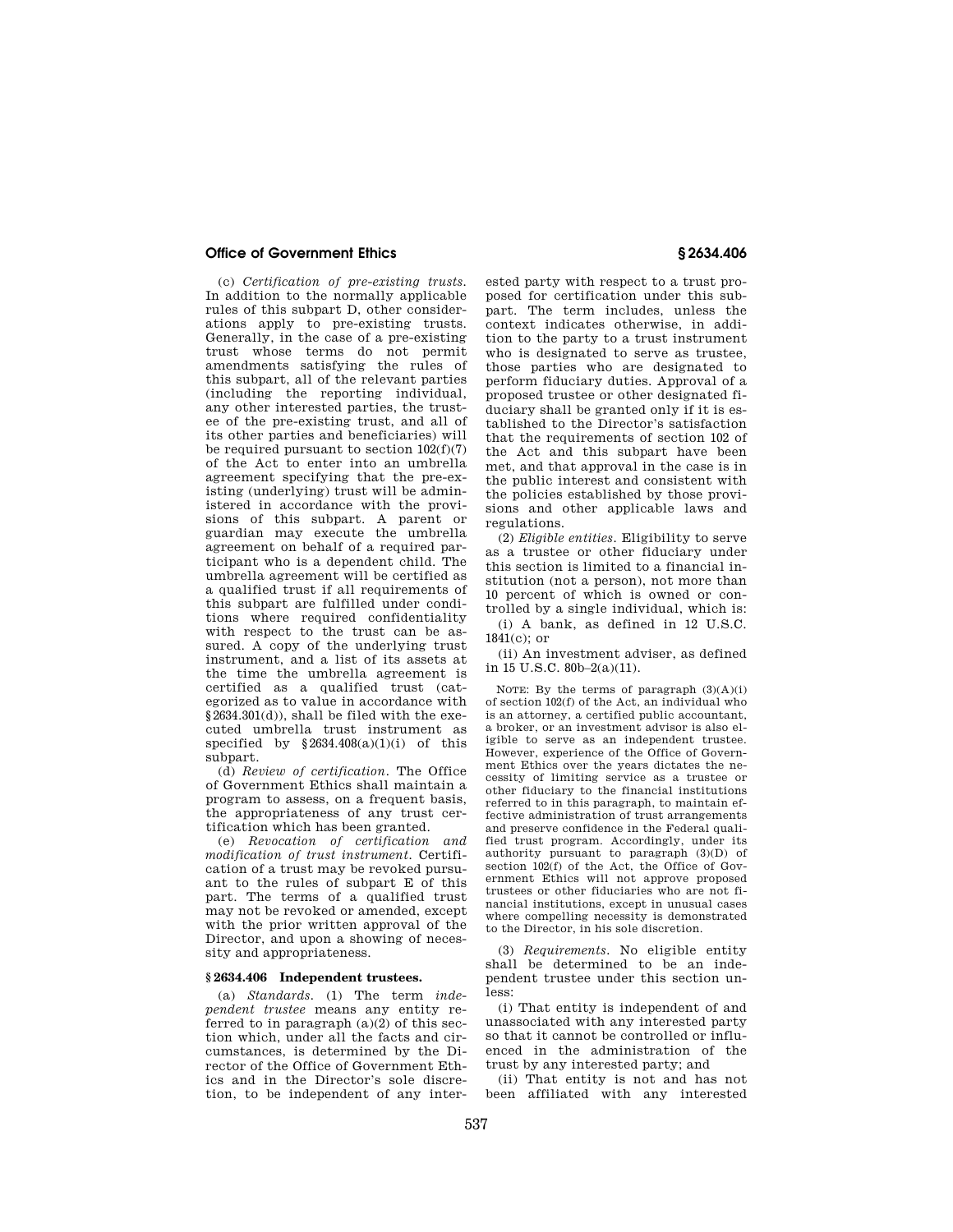(c) *Certification of pre-existing trusts.*  In addition to the normally applicable rules of this subpart D, other considerations apply to pre-existing trusts. Generally, in the case of a pre-existing trust whose terms do not permit amendments satisfying the rules of this subpart, all of the relevant parties (including the reporting individual, any other interested parties, the trustee of the pre-existing trust, and all of its other parties and beneficiaries) will be required pursuant to section  $102(f)(7)$ of the Act to enter into an umbrella agreement specifying that the pre-existing (underlying) trust will be administered in accordance with the provisions of this subpart. A parent or guardian may execute the umbrella agreement on behalf of a required participant who is a dependent child. The umbrella agreement will be certified as a qualified trust if all requirements of this subpart are fulfilled under conditions where required confidentiality with respect to the trust can be assured. A copy of the underlying trust instrument, and a list of its assets at the time the umbrella agreement is certified as a qualified trust (categorized as to value in accordance with §2634.301(d)), shall be filed with the executed umbrella trust instrument as specified by  $§2634.408(a)(1)(i)$  of this subpart.

(d) *Review of certification.* The Office of Government Ethics shall maintain a program to assess, on a frequent basis, the appropriateness of any trust certification which has been granted.

(e) *Revocation of certification and modification of trust instrument.* Certification of a trust may be revoked pursuant to the rules of subpart E of this part. The terms of a qualified trust may not be revoked or amended, except with the prior written approval of the Director, and upon a showing of necessity and appropriateness.

# **§ 2634.406 Independent trustees.**

(a) *Standards.* (1) The term *independent trustee* means any entity referred to in paragraph  $(a)(2)$  of this section which, under all the facts and circumstances, is determined by the Director of the Office of Government Ethics and in the Director's sole discretion, to be independent of any inter-

ested party with respect to a trust proposed for certification under this subpart. The term includes, unless the context indicates otherwise, in addition to the party to a trust instrument who is designated to serve as trustee, those parties who are designated to perform fiduciary duties. Approval of a proposed trustee or other designated fiduciary shall be granted only if it is established to the Director's satisfaction that the requirements of section 102 of the Act and this subpart have been met, and that approval in the case is in the public interest and consistent with the policies established by those provisions and other applicable laws and regulations.

(2) *Eligible entities.* Eligibility to serve as a trustee or other fiduciary under this section is limited to a financial institution (not a person), not more than 10 percent of which is owned or controlled by a single individual, which is:

(i) A bank, as defined in 12 U.S.C.  $1841(c)$ ; or

(ii) An investment adviser, as defined in 15 U.S.C. 80b–2(a)(11).

NOTE: By the terms of paragraph  $(3)(A)(i)$ of section 102(f) of the Act, an individual who is an attorney, a certified public accountant, a broker, or an investment advisor is also eligible to serve as an independent trustee. However, experience of the Office of Government Ethics over the years dictates the necessity of limiting service as a trustee or other fiduciary to the financial institutions referred to in this paragraph, to maintain effective administration of trust arrangements and preserve confidence in the Federal qualified trust program. Accordingly, under its authority pursuant to paragraph (3)(D) of section 102(f) of the Act, the Office of Government Ethics will not approve proposed trustees or other fiduciaries who are not financial institutions, except in unusual cases where compelling necessity is demonstrated to the Director, in his sole discretion.

(3) *Requirements.* No eligible entity shall be determined to be an independent trustee under this section unless:

(i) That entity is independent of and unassociated with any interested party so that it cannot be controlled or influenced in the administration of the trust by any interested party; and

(ii) That entity is not and has not been affiliated with any interested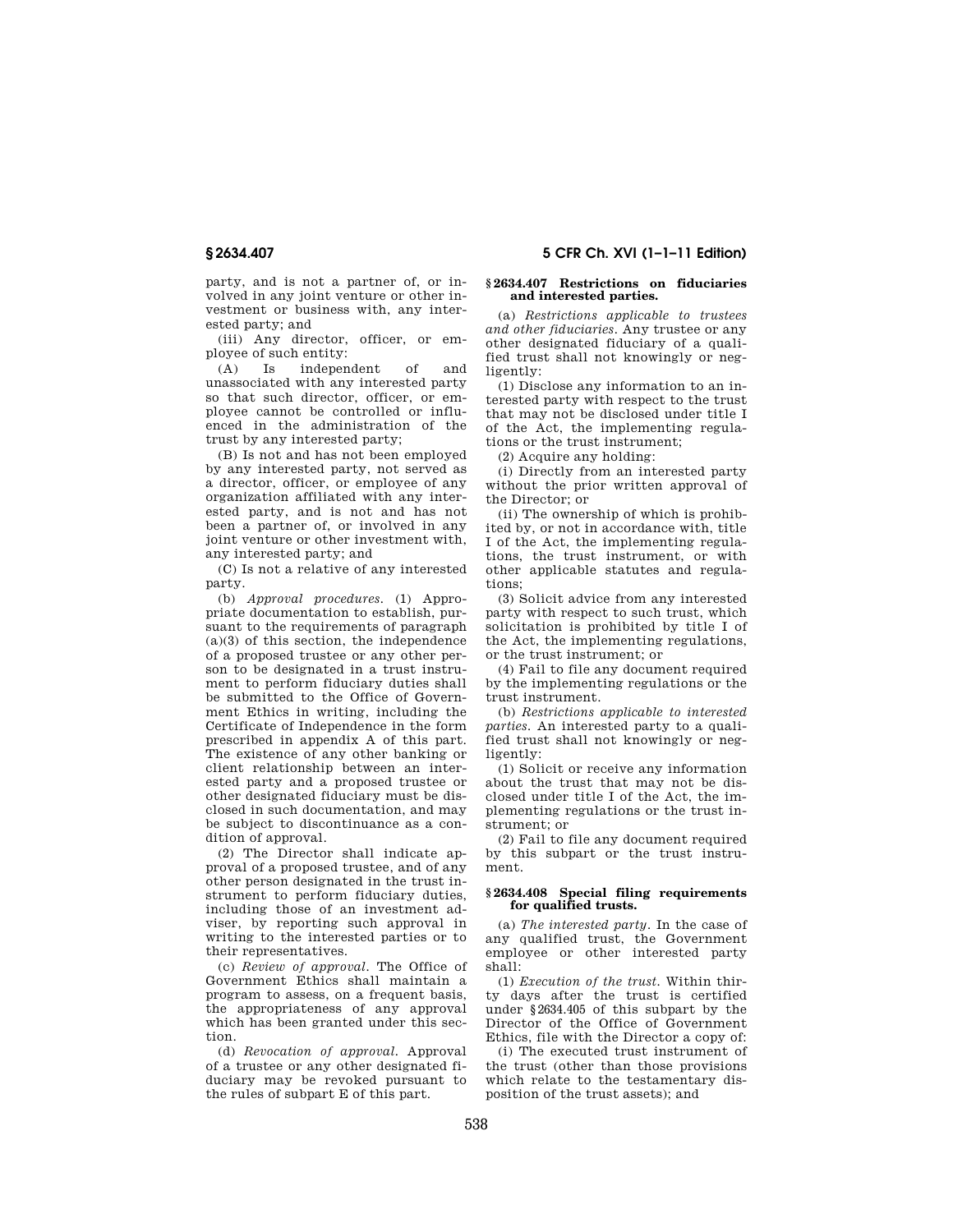party, and is not a partner of, or involved in any joint venture or other investment or business with, any interested party; and

(iii) Any director, officer, or employee of such entity:

(A) Is independent of and unassociated with any interested party so that such director, officer, or employee cannot be controlled or influenced in the administration of the trust by any interested party;

(B) Is not and has not been employed by any interested party, not served as a director, officer, or employee of any organization affiliated with any interested party, and is not and has not been a partner of, or involved in any joint venture or other investment with, any interested party; and

(C) Is not a relative of any interested party.

(b) *Approval procedures.* (1) Appropriate documentation to establish, pursuant to the requirements of paragraph  $(a)(3)$  of this section, the independence of a proposed trustee or any other person to be designated in a trust instrument to perform fiduciary duties shall be submitted to the Office of Government Ethics in writing, including the Certificate of Independence in the form prescribed in appendix A of this part. The existence of any other banking or client relationship between an interested party and a proposed trustee or other designated fiduciary must be disclosed in such documentation, and may be subject to discontinuance as a condition of approval.

(2) The Director shall indicate approval of a proposed trustee, and of any other person designated in the trust instrument to perform fiduciary duties, including those of an investment adviser, by reporting such approval in writing to the interested parties or to their representatives.

(c) *Review of approval.* The Office of Government Ethics shall maintain a program to assess, on a frequent basis, the appropriateness of any approval which has been granted under this section.

(d) *Revocation of approval.* Approval of a trustee or any other designated fiduciary may be revoked pursuant to the rules of subpart E of this part.

# **§ 2634.407 5 CFR Ch. XVI (1–1–11 Edition)**

## **§ 2634.407 Restrictions on fiduciaries and interested parties.**

(a) *Restrictions applicable to trustees and other fiduciaries.* Any trustee or any other designated fiduciary of a qualified trust shall not knowingly or negligently:

(1) Disclose any information to an interested party with respect to the trust that may not be disclosed under title I of the Act, the implementing regulations or the trust instrument;

(2) Acquire any holding:

(i) Directly from an interested party without the prior written approval of the Director; or

(ii) The ownership of which is prohibited by, or not in accordance with, title I of the Act, the implementing regulations, the trust instrument, or with other applicable statutes and regulations;

(3) Solicit advice from any interested party with respect to such trust, which solicitation is prohibited by title I of the Act, the implementing regulations, or the trust instrument; or

(4) Fail to file any document required by the implementing regulations or the trust instrument.

(b) *Restrictions applicable to interested parties.* An interested party to a qualified trust shall not knowingly or negligently:

(1) Solicit or receive any information about the trust that may not be disclosed under title I of the Act, the implementing regulations or the trust instrument; or

(2) Fail to file any document required by this subpart or the trust instrument.

## **§ 2634.408 Special filing requirements for qualified trusts.**

(a) *The interested party.* In the case of any qualified trust, the Government employee or other interested party shall:

(1) *Execution of the trust.* Within thirty days after the trust is certified under §2634.405 of this subpart by the Director of the Office of Government Ethics, file with the Director a copy of:

(i) The executed trust instrument of the trust (other than those provisions which relate to the testamentary disposition of the trust assets); and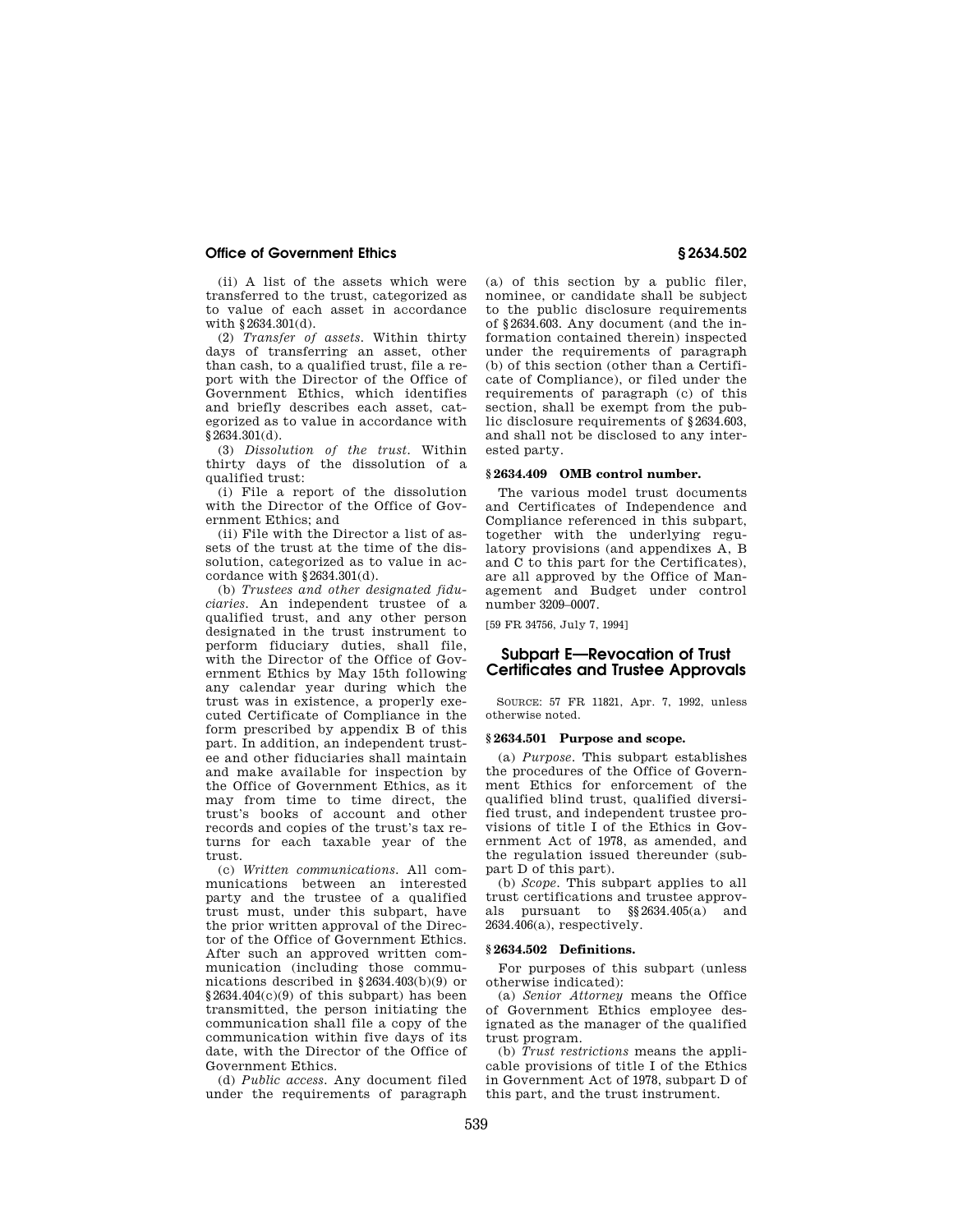(ii) A list of the assets which were transferred to the trust, categorized as to value of each asset in accordance with §2634.301(d).

(2) *Transfer of assets.* Within thirty days of transferring an asset, other than cash, to a qualified trust, file a report with the Director of the Office of Government Ethics, which identifies and briefly describes each asset, categorized as to value in accordance with  $§2634.301(d).$ 

(3) *Dissolution of the trust.* Within thirty days of the dissolution of a qualified trust:

(i) File a report of the dissolution with the Director of the Office of Government Ethics; and

(ii) File with the Director a list of assets of the trust at the time of the dissolution, categorized as to value in accordance with §2634.301(d).

(b) *Trustees and other designated fiduciaries.* An independent trustee of a qualified trust, and any other person designated in the trust instrument to perform fiduciary duties, shall file, with the Director of the Office of Government Ethics by May 15th following any calendar year during which the trust was in existence, a properly executed Certificate of Compliance in the form prescribed by appendix B of this part. In addition, an independent trustee and other fiduciaries shall maintain and make available for inspection by the Office of Government Ethics, as it may from time to time direct, the trust's books of account and other records and copies of the trust's tax returns for each taxable year of the trust.

(c) *Written communications.* All communications between an interested party and the trustee of a qualified trust must, under this subpart, have the prior written approval of the Director of the Office of Government Ethics. After such an approved written communication (including those communications described in §2634.403(b)(9) or §2634.404(c)(9) of this subpart) has been transmitted, the person initiating the communication shall file a copy of the communication within five days of its date, with the Director of the Office of Government Ethics.

(d) *Public access.* Any document filed under the requirements of paragraph

(a) of this section by a public filer, nominee, or candidate shall be subject to the public disclosure requirements of §2634.603. Any document (and the information contained therein) inspected under the requirements of paragraph (b) of this section (other than a Certificate of Compliance), or filed under the requirements of paragraph (c) of this section, shall be exempt from the public disclosure requirements of §2634.603, and shall not be disclosed to any interested party.

# **§ 2634.409 OMB control number.**

The various model trust documents and Certificates of Independence and Compliance referenced in this subpart, together with the underlying regulatory provisions (and appendixes A, B and C to this part for the Certificates), are all approved by the Office of Management and Budget under control number 3209–0007.

[59 FR 34756, July 7, 1994]

# **Subpart E—Revocation of Trust Certificates and Trustee Approvals**

SOURCE: 57 FR 11821, Apr. 7, 1992, unless otherwise noted.

# **§ 2634.501 Purpose and scope.**

(a) *Purpose.* This subpart establishes the procedures of the Office of Government Ethics for enforcement of the qualified blind trust, qualified diversified trust, and independent trustee provisions of title I of the Ethics in Government Act of 1978, as amended, and the regulation issued thereunder (subpart D of this part).

(b) *Scope.* This subpart applies to all trust certifications and trustee approvals pursuant to §§2634.405(a) and 2634.406(a), respectively.

## **§ 2634.502 Definitions.**

For purposes of this subpart (unless otherwise indicated):

(a) *Senior Attorney* means the Office of Government Ethics employee designated as the manager of the qualified trust program.

(b) *Trust restrictions* means the applicable provisions of title I of the Ethics in Government Act of 1978, subpart D of this part, and the trust instrument.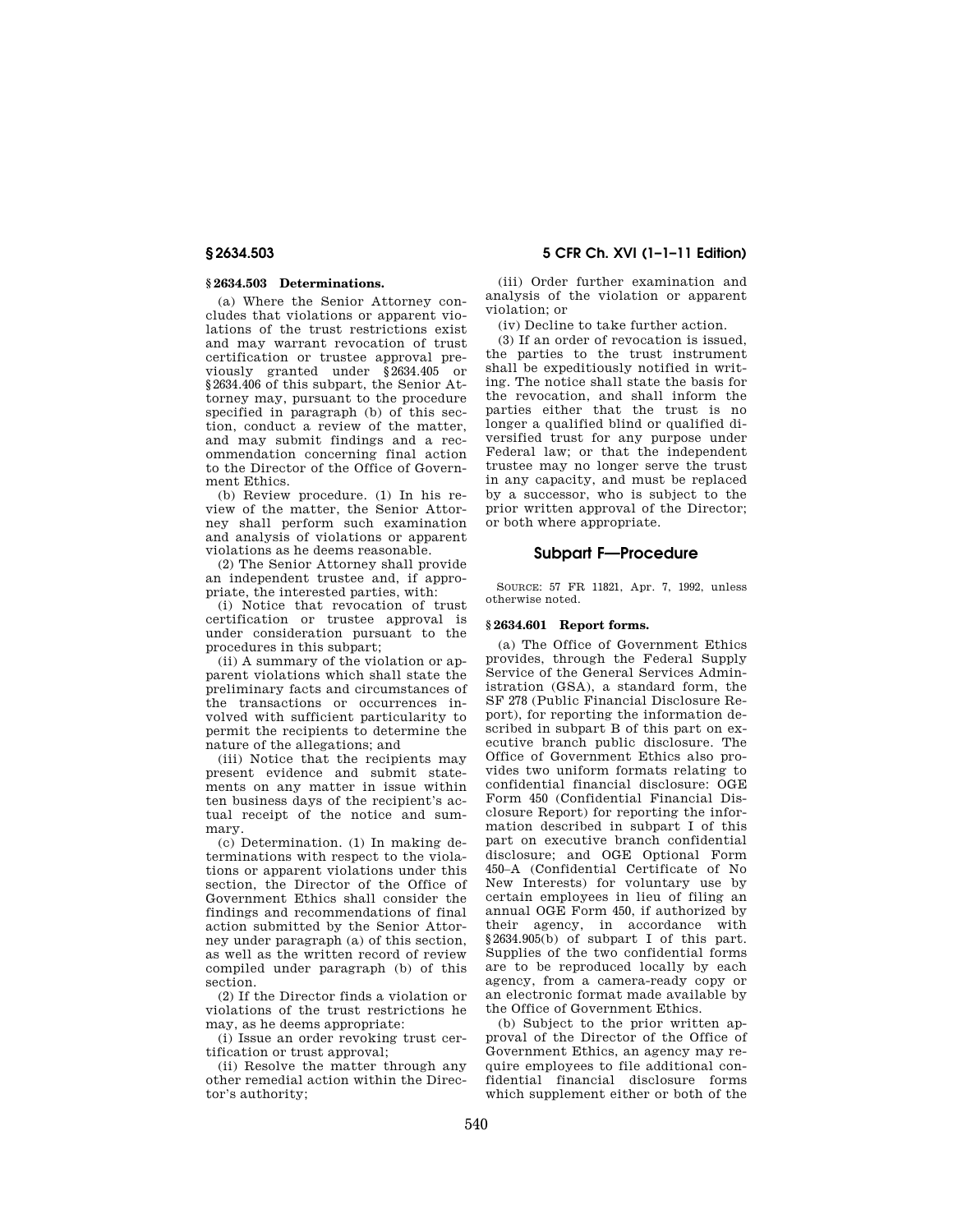### **§ 2634.503 Determinations.**

(a) Where the Senior Attorney concludes that violations or apparent violations of the trust restrictions exist and may warrant revocation of trust certification or trustee approval previously granted under §2634.405 or §2634.406 of this subpart, the Senior Attorney may, pursuant to the procedure specified in paragraph (b) of this section, conduct a review of the matter, and may submit findings and a recommendation concerning final action to the Director of the Office of Government Ethics.

(b) Review procedure. (1) In his review of the matter, the Senior Attorney shall perform such examination and analysis of violations or apparent violations as he deems reasonable.

(2) The Senior Attorney shall provide an independent trustee and, if appropriate, the interested parties, with:

(i) Notice that revocation of trust certification or trustee approval is under consideration pursuant to the procedures in this subpart;

(ii) A summary of the violation or apparent violations which shall state the preliminary facts and circumstances of the transactions or occurrences involved with sufficient particularity to permit the recipients to determine the nature of the allegations; and

(iii) Notice that the recipients may present evidence and submit statements on any matter in issue within ten business days of the recipient's actual receipt of the notice and summary.

(c) Determination. (1) In making determinations with respect to the violations or apparent violations under this section, the Director of the Office of Government Ethics shall consider the findings and recommendations of final action submitted by the Senior Attorney under paragraph (a) of this section, as well as the written record of review compiled under paragraph (b) of this section.

(2) If the Director finds a violation or violations of the trust restrictions he may, as he deems appropriate:

(i) Issue an order revoking trust certification or trust approval;

(ii) Resolve the matter through any other remedial action within the Director's authority;

**§ 2634.503 5 CFR Ch. XVI (1–1–11 Edition)** 

(iii) Order further examination and analysis of the violation or apparent violation; or

(iv) Decline to take further action.

(3) If an order of revocation is issued, the parties to the trust instrument shall be expeditiously notified in writing. The notice shall state the basis for the revocation, and shall inform the parties either that the trust is no longer a qualified blind or qualified diversified trust for any purpose under Federal law; or that the independent trustee may no longer serve the trust in any capacity, and must be replaced by a successor, who is subject to the prior written approval of the Director; or both where appropriate.

## **Subpart F—Procedure**

SOURCE: 57 FR 11821, Apr. 7, 1992, unless otherwise noted.

#### **§ 2634.601 Report forms.**

(a) The Office of Government Ethics provides, through the Federal Supply Service of the General Services Administration (GSA), a standard form, the SF 278 (Public Financial Disclosure Report), for reporting the information described in subpart B of this part on executive branch public disclosure. The Office of Government Ethics also provides two uniform formats relating to confidential financial disclosure: OGE Form 450 (Confidential Financial Disclosure Report) for reporting the information described in subpart I of this part on executive branch confidential disclosure; and OGE Optional Form 450–A (Confidential Certificate of No New Interests) for voluntary use by certain employees in lieu of filing an annual OGE Form 450, if authorized by their agency, in accordance with §2634.905(b) of subpart I of this part. Supplies of the two confidential forms are to be reproduced locally by each agency, from a camera-ready copy or an electronic format made available by the Office of Government Ethics.

(b) Subject to the prior written approval of the Director of the Office of Government Ethics, an agency may require employees to file additional confidential financial disclosure forms which supplement either or both of the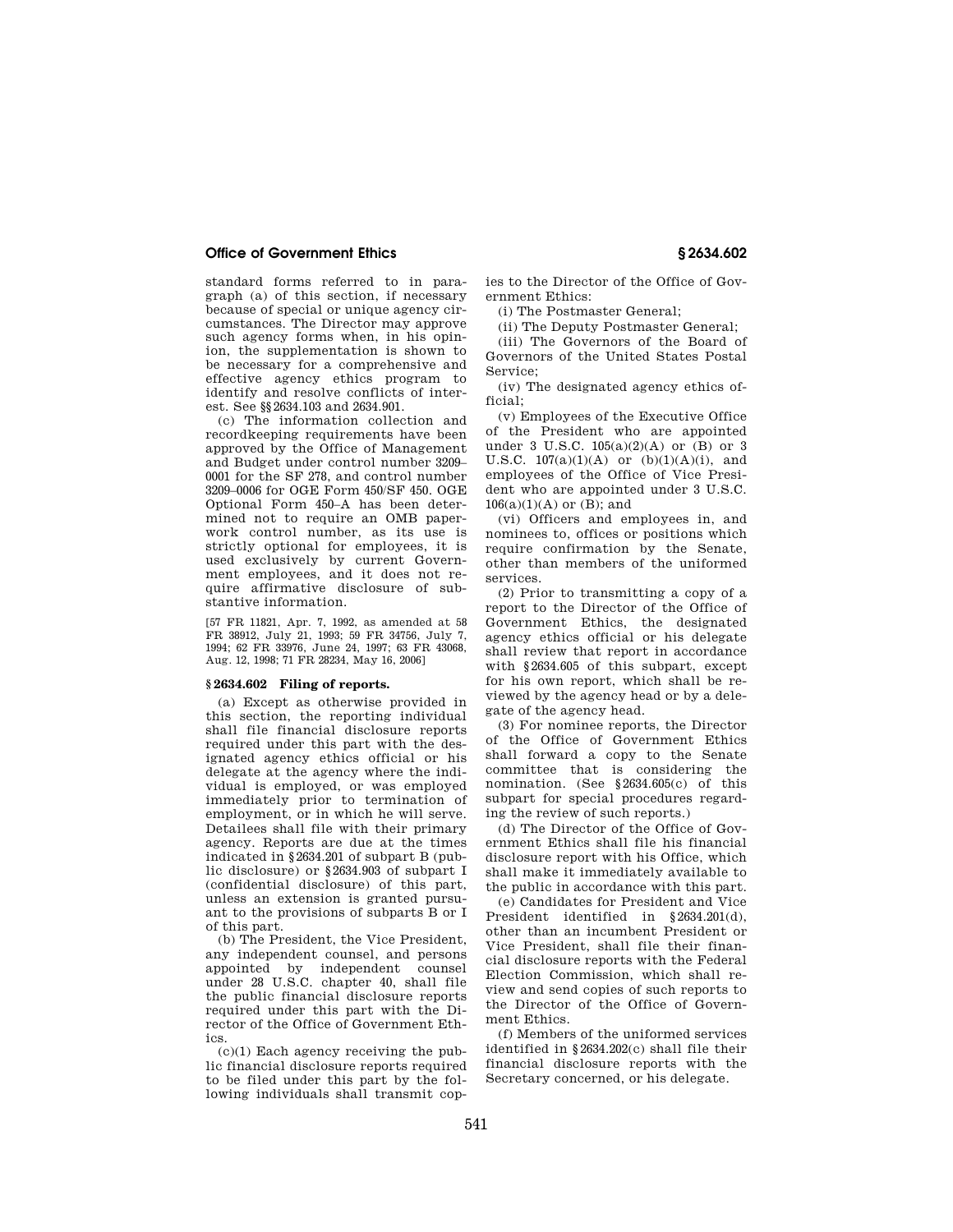standard forms referred to in paragraph (a) of this section, if necessary because of special or unique agency circumstances. The Director may approve such agency forms when, in his opinion, the supplementation is shown to be necessary for a comprehensive and effective agency ethics program to identify and resolve conflicts of interest. See §§2634.103 and 2634.901.

(c) The information collection and recordkeeping requirements have been approved by the Office of Management and Budget under control number 3209– 0001 for the SF 278, and control number 3209–0006 for OGE Form 450/SF 450. OGE Optional Form 450–A has been determined not to require an OMB paperwork control number, as its use is strictly optional for employees, it is used exclusively by current Government employees, and it does not require affirmative disclosure of substantive information.

[57 FR 11821, Apr. 7, 1992, as amended at 58 FR 38912, July 21, 1993; 59 FR 34756, July 7, 1994; 62 FR 33976, June 24, 1997; 63 FR 43068, Aug. 12, 1998; 71 FR 28234, May 16, 2006]

# **§ 2634.602 Filing of reports.**

(a) Except as otherwise provided in this section, the reporting individual shall file financial disclosure reports required under this part with the designated agency ethics official or his delegate at the agency where the individual is employed, or was employed immediately prior to termination of employment, or in which he will serve. Detailees shall file with their primary agency. Reports are due at the times indicated in §2634.201 of subpart B (public disclosure) or §2634.903 of subpart I (confidential disclosure) of this part, unless an extension is granted pursuant to the provisions of subparts B or I of this part.

(b) The President, the Vice President, any independent counsel, and persons appointed by independent counsel under 28 U.S.C. chapter 40, shall file the public financial disclosure reports required under this part with the Director of the Office of Government Ethics.

 $(c)(1)$  Each agency receiving the public financial disclosure reports required to be filed under this part by the following individuals shall transmit copies to the Director of the Office of Government Ethics:

(i) The Postmaster General;

(ii) The Deputy Postmaster General; (iii) The Governors of the Board of Governors of the United States Postal Service;

(iv) The designated agency ethics official;

(v) Employees of the Executive Office of the President who are appointed under 3 U.S.C. 105(a)(2)(A) or (B) or 3 U.S.C.  $107(a)(1)(A)$  or  $(b)(1)(A)(i)$ , and employees of the Office of Vice President who are appointed under 3 U.S.C.  $106(a)(1)(A)$  or (B); and

(vi) Officers and employees in, and nominees to, offices or positions which require confirmation by the Senate, other than members of the uniformed services.

(2) Prior to transmitting a copy of a report to the Director of the Office of Government Ethics, the designated agency ethics official or his delegate shall review that report in accordance with §2634.605 of this subpart, except for his own report, which shall be reviewed by the agency head or by a delegate of the agency head.

(3) For nominee reports, the Director of the Office of Government Ethics shall forward a copy to the Senate committee that is considering the nomination. (See §2634.605(c) of this subpart for special procedures regarding the review of such reports.)

(d) The Director of the Office of Government Ethics shall file his financial disclosure report with his Office, which shall make it immediately available to the public in accordance with this part.

(e) Candidates for President and Vice President identified in §2634.201(d), other than an incumbent President or Vice President, shall file their financial disclosure reports with the Federal Election Commission, which shall review and send copies of such reports to the Director of the Office of Government Ethics.

(f) Members of the uniformed services identified in §2634.202(c) shall file their financial disclosure reports with the Secretary concerned, or his delegate.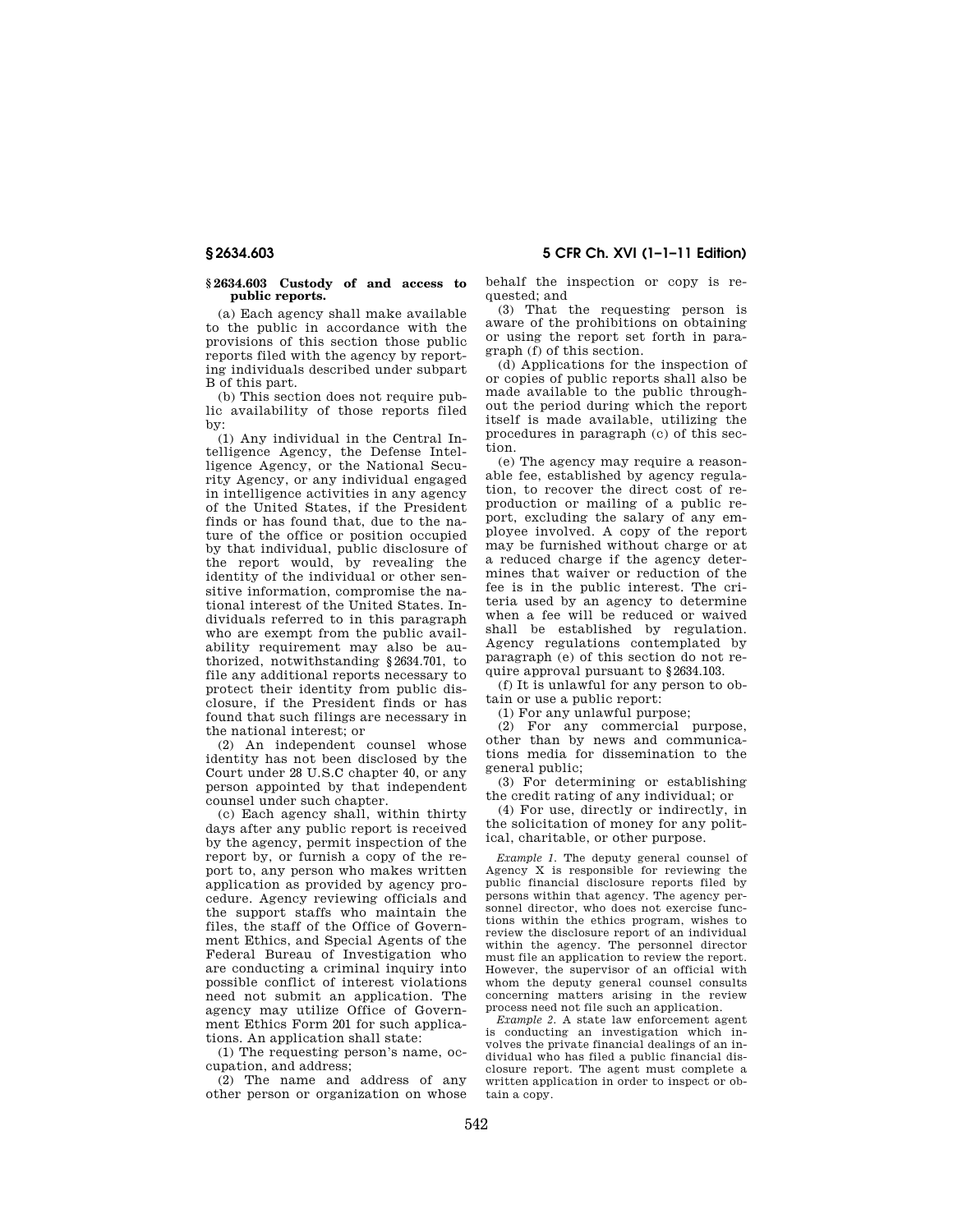#### **§ 2634.603 Custody of and access to public reports.**

(a) Each agency shall make available to the public in accordance with the provisions of this section those public reports filed with the agency by reporting individuals described under subpart B of this part.

(b) This section does not require public availability of those reports filed by:

(1) Any individual in the Central Intelligence Agency, the Defense Intelligence Agency, or the National Security Agency, or any individual engaged in intelligence activities in any agency of the United States, if the President finds or has found that, due to the nature of the office or position occupied by that individual, public disclosure of the report would, by revealing the identity of the individual or other sensitive information, compromise the national interest of the United States. Individuals referred to in this paragraph who are exempt from the public availability requirement may also be authorized, notwithstanding §2634.701, to file any additional reports necessary to protect their identity from public disclosure, if the President finds or has found that such filings are necessary in the national interest; or

(2) An independent counsel whose identity has not been disclosed by the Court under 28 U.S.C chapter 40, or any person appointed by that independent counsel under such chapter.

(c) Each agency shall, within thirty days after any public report is received by the agency, permit inspection of the report by, or furnish a copy of the report to, any person who makes written application as provided by agency procedure. Agency reviewing officials and the support staffs who maintain the files, the staff of the Office of Government Ethics, and Special Agents of the Federal Bureau of Investigation who are conducting a criminal inquiry into possible conflict of interest violations need not submit an application. The agency may utilize Office of Government Ethics Form 201 for such applications. An application shall state:

(1) The requesting person's name, occupation, and address;

(2) The name and address of any other person or organization on whose behalf the inspection or copy is requested; and

(3) That the requesting person is aware of the prohibitions on obtaining or using the report set forth in paragraph (f) of this section.

(d) Applications for the inspection of or copies of public reports shall also be made available to the public throughout the period during which the report itself is made available, utilizing the procedures in paragraph (c) of this section.

(e) The agency may require a reasonable fee, established by agency regulation, to recover the direct cost of reproduction or mailing of a public report, excluding the salary of any employee involved. A copy of the report may be furnished without charge or at a reduced charge if the agency determines that waiver or reduction of the fee is in the public interest. The criteria used by an agency to determine when a fee will be reduced or waived shall be established by regulation. Agency regulations contemplated by paragraph (e) of this section do not require approval pursuant to §2634.103.

(f) It is unlawful for any person to obtain or use a public report:

(1) For any unlawful purpose;

(2) For any commercial purpose, other than by news and communications media for dissemination to the general public;

(3) For determining or establishing the credit rating of any individual; or

(4) For use, directly or indirectly, in the solicitation of money for any political, charitable, or other purpose.

*Example 1.* The deputy general counsel of Agency X is responsible for reviewing the public financial disclosure reports filed by persons within that agency. The agency personnel director, who does not exercise functions within the ethics program, wishes to review the disclosure report of an individual within the agency. The personnel director must file an application to review the report. However, the supervisor of an official with whom the deputy general counsel consults concerning matters arising in the review process need not file such an application.

*Example 2.* A state law enforcement agent is conducting an investigation which involves the private financial dealings of an individual who has filed a public financial disclosure report. The agent must complete a written application in order to inspect or obtain a copy.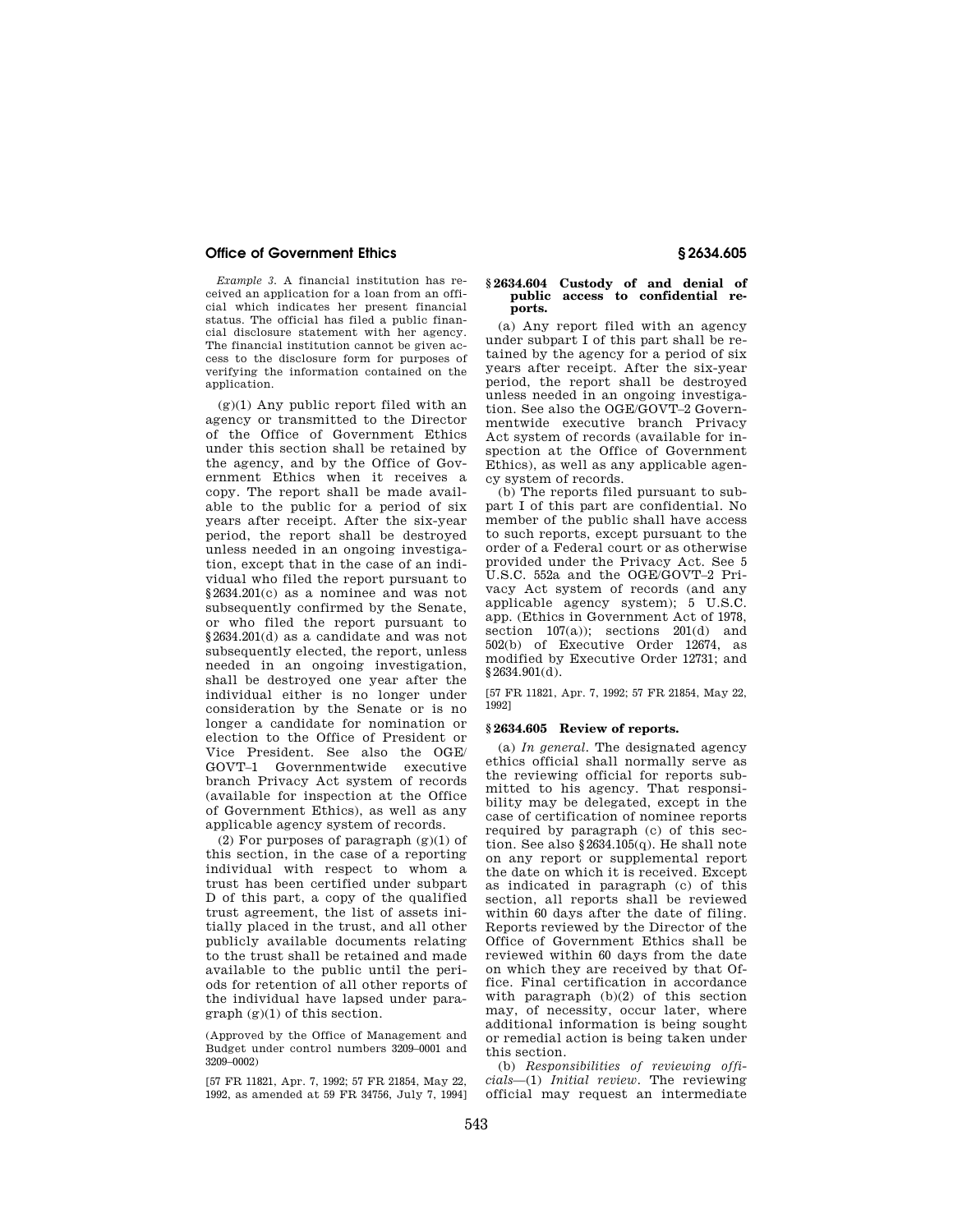*Example 3.* A financial institution has received an application for a loan from an official which indicates her present financial status. The official has filed a public financial disclosure statement with her agency. The financial institution cannot be given access to the disclosure form for purposes of verifying the information contained on the application.

 $(g)(1)$  Any public report filed with an agency or transmitted to the Director of the Office of Government Ethics under this section shall be retained by the agency, and by the Office of Government Ethics when it receives a copy. The report shall be made available to the public for a period of six years after receipt. After the six-year period, the report shall be destroyed unless needed in an ongoing investigation, except that in the case of an individual who filed the report pursuant to §2634.201(c) as a nominee and was not subsequently confirmed by the Senate, or who filed the report pursuant to §2634.201(d) as a candidate and was not subsequently elected, the report, unless needed in an ongoing investigation, shall be destroyed one year after the individual either is no longer under consideration by the Senate or is no longer a candidate for nomination or election to the Office of President or Vice President. See also the OGE/ GOVT–1 Governmentwide executive branch Privacy Act system of records (available for inspection at the Office of Government Ethics), as well as any applicable agency system of records.

(2) For purposes of paragraph  $(g)(1)$  of this section, in the case of a reporting individual with respect to whom a trust has been certified under subpart D of this part, a copy of the qualified trust agreement, the list of assets initially placed in the trust, and all other publicly available documents relating to the trust shall be retained and made available to the public until the periods for retention of all other reports of the individual have lapsed under para $graph (g)(1)$  of this section.

(Approved by the Office of Management and Budget under control numbers 3209–0001 and 3209–0002)

[57 FR 11821, Apr. 7, 1992; 57 FR 21854, May 22, 1992, as amended at 59 FR 34756, July 7, 1994]

#### **§ 2634.604 Custody of and denial of public access to confidential reports.**

(a) Any report filed with an agency under subpart I of this part shall be retained by the agency for a period of six years after receipt. After the six-year period, the report shall be destroyed unless needed in an ongoing investigation. See also the OGE/GOVT–2 Governmentwide executive branch Privacy Act system of records (available for inspection at the Office of Government Ethics), as well as any applicable agency system of records.

(b) The reports filed pursuant to subpart I of this part are confidential. No member of the public shall have access to such reports, except pursuant to the order of a Federal court or as otherwise provided under the Privacy Act. See 5 U.S.C. 552a and the OGE/GOVT–2 Privacy Act system of records (and any applicable agency system); 5 U.S.C. app. (Ethics in Government Act of 1978, section  $107(a)$ ); sections  $201(d)$  and 502(b) of Executive Order 12674, as modified by Executive Order 12731; and  $§2634.901(d).$ 

[57 FR 11821, Apr. 7, 1992; 57 FR 21854, May 22, 1992]

#### **§ 2634.605 Review of reports.**

(a) *In general.* The designated agency ethics official shall normally serve as the reviewing official for reports submitted to his agency. That responsibility may be delegated, except in the case of certification of nominee reports required by paragraph (c) of this section. See also §2634.105(q). He shall note on any report or supplemental report the date on which it is received. Except as indicated in paragraph (c) of this section, all reports shall be reviewed within 60 days after the date of filing. Reports reviewed by the Director of the Office of Government Ethics shall be reviewed within 60 days from the date on which they are received by that Office. Final certification in accordance with paragraph (b)(2) of this section may, of necessity, occur later, where additional information is being sought or remedial action is being taken under this section.

(b) *Responsibilities of reviewing officials*—(1) *Initial review.* The reviewing official may request an intermediate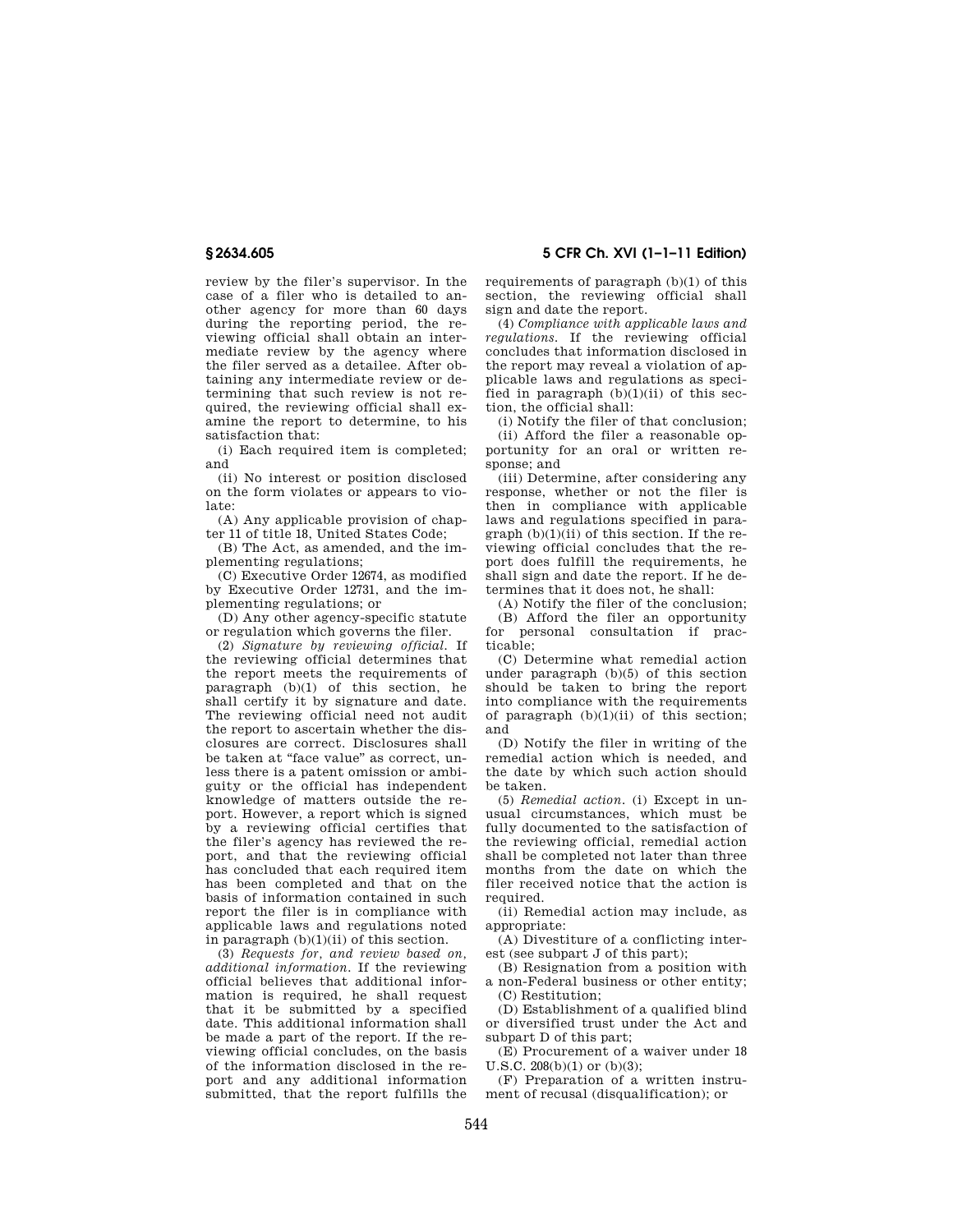review by the filer's supervisor. In the case of a filer who is detailed to another agency for more than 60 days during the reporting period, the reviewing official shall obtain an intermediate review by the agency where the filer served as a detailee. After obtaining any intermediate review or determining that such review is not required, the reviewing official shall examine the report to determine, to his satisfaction that:

(i) Each required item is completed; and

(ii) No interest or position disclosed on the form violates or appears to violate:

(A) Any applicable provision of chapter 11 of title 18, United States Code;

(B) The Act, as amended, and the implementing regulations;

(C) Executive Order 12674, as modified by Executive Order 12731, and the implementing regulations; or

(D) Any other agency-specific statute or regulation which governs the filer.

(2) *Signature by reviewing official.* If the reviewing official determines that the report meets the requirements of paragraph  $(b)(1)$  of this section, he shall certify it by signature and date. The reviewing official need not audit the report to ascertain whether the disclosures are correct. Disclosures shall be taken at ''face value'' as correct, unless there is a patent omission or ambiguity or the official has independent knowledge of matters outside the report. However, a report which is signed by a reviewing official certifies that the filer's agency has reviewed the report, and that the reviewing official has concluded that each required item has been completed and that on the basis of information contained in such report the filer is in compliance with applicable laws and regulations noted in paragraph  $(b)(1)(ii)$  of this section.

(3) *Requests for, and review based on, additional information.* If the reviewing official believes that additional information is required, he shall request that it be submitted by a specified date. This additional information shall be made a part of the report. If the reviewing official concludes, on the basis of the information disclosed in the report and any additional information submitted, that the report fulfills the requirements of paragraph (b)(1) of this section, the reviewing official shall sign and date the report.

(4) *Compliance with applicable laws and regulations.* If the reviewing official concludes that information disclosed in the report may reveal a violation of applicable laws and regulations as specified in paragraph  $(b)(1)(ii)$  of this section, the official shall:

(i) Notify the filer of that conclusion; (ii) Afford the filer a reasonable opportunity for an oral or written response; and

(iii) Determine, after considering any response, whether or not the filer is then in compliance with applicable laws and regulations specified in para $graph (b)(1)(ii)$  of this section. If the reviewing official concludes that the report does fulfill the requirements, he shall sign and date the report. If he determines that it does not, he shall:

(A) Notify the filer of the conclusion;

(B) Afford the filer an opportunity for personal consultation if practicable;

(C) Determine what remedial action under paragraph (b)(5) of this section should be taken to bring the report into compliance with the requirements of paragraph  $(b)(1)(ii)$  of this section; and

(D) Notify the filer in writing of the remedial action which is needed, and the date by which such action should be taken.

(5) *Remedial action.* (i) Except in unusual circumstances, which must be fully documented to the satisfaction of the reviewing official, remedial action shall be completed not later than three months from the date on which the filer received notice that the action is required

(ii) Remedial action may include, as appropriate:

(A) Divestiture of a conflicting interest (see subpart J of this part);

(B) Resignation from a position with a non-Federal business or other entity; (C) Restitution;

(D) Establishment of a qualified blind or diversified trust under the Act and subpart D of this part;

(E) Procurement of a waiver under 18  $U.S.C. 208(b)(1)$  or (b)(3);

(F) Preparation of a written instrument of recusal (disqualification); or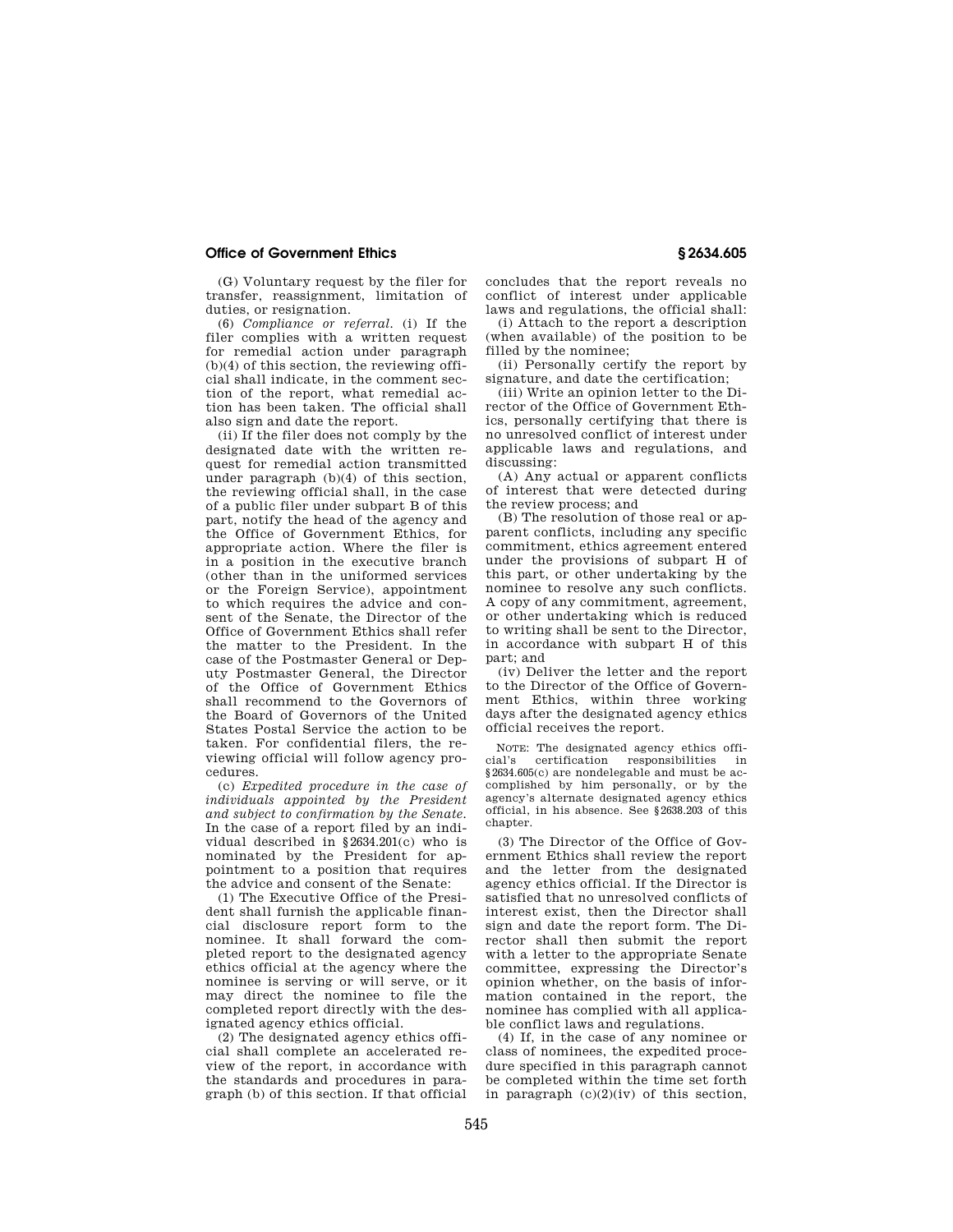(G) Voluntary request by the filer for transfer, reassignment, limitation of duties, or resignation.

(6) *Compliance or referral.* (i) If the filer complies with a written request for remedial action under paragraph  $(b)(4)$  of this section, the reviewing official shall indicate, in the comment section of the report, what remedial action has been taken. The official shall also sign and date the report.

(ii) If the filer does not comply by the designated date with the written request for remedial action transmitted under paragraph (b)(4) of this section, the reviewing official shall, in the case of a public filer under subpart B of this part, notify the head of the agency and the Office of Government Ethics, for appropriate action. Where the filer is in a position in the executive branch (other than in the uniformed services or the Foreign Service), appointment to which requires the advice and consent of the Senate, the Director of the Office of Government Ethics shall refer the matter to the President. In the case of the Postmaster General or Deputy Postmaster General, the Director of the Office of Government Ethics shall recommend to the Governors of the Board of Governors of the United States Postal Service the action to be taken. For confidential filers, the reviewing official will follow agency procedures.

(c) *Expedited procedure in the case of individuals appointed by the President and subject to confirmation by the Senate.*  In the case of a report filed by an individual described in §2634.201(c) who is nominated by the President for appointment to a position that requires the advice and consent of the Senate:

(1) The Executive Office of the President shall furnish the applicable financial disclosure report form to the nominee. It shall forward the completed report to the designated agency ethics official at the agency where the nominee is serving or will serve, or it may direct the nominee to file the completed report directly with the designated agency ethics official.

(2) The designated agency ethics official shall complete an accelerated review of the report, in accordance with the standards and procedures in paragraph (b) of this section. If that official concludes that the report reveals no conflict of interest under applicable laws and regulations, the official shall:

(i) Attach to the report a description (when available) of the position to be filled by the nominee;

(ii) Personally certify the report by signature, and date the certification;

(iii) Write an opinion letter to the Director of the Office of Government Ethics, personally certifying that there is no unresolved conflict of interest under applicable laws and regulations, and discussing:

(A) Any actual or apparent conflicts of interest that were detected during the review process; and

(B) The resolution of those real or apparent conflicts, including any specific commitment, ethics agreement entered under the provisions of subpart H of this part, or other undertaking by the nominee to resolve any such conflicts. A copy of any commitment, agreement, or other undertaking which is reduced to writing shall be sent to the Director, in accordance with subpart H of this part; and

(iv) Deliver the letter and the report to the Director of the Office of Government Ethics, within three working days after the designated agency ethics official receives the report.

NOTE: The designated agency ethics officertification responsibilities in §2634.605(c) are nondelegable and must be accomplished by him personally, or by the agency's alternate designated agency ethics official, in his absence. See §2638.203 of this chapter.

(3) The Director of the Office of Government Ethics shall review the report and the letter from the designated agency ethics official. If the Director is satisfied that no unresolved conflicts of interest exist, then the Director shall sign and date the report form. The Director shall then submit the report with a letter to the appropriate Senate committee, expressing the Director's opinion whether, on the basis of information contained in the report, the nominee has complied with all applicable conflict laws and regulations.

(4) If, in the case of any nominee or class of nominees, the expedited procedure specified in this paragraph cannot be completed within the time set forth in paragraph  $(c)(2)(iv)$  of this section,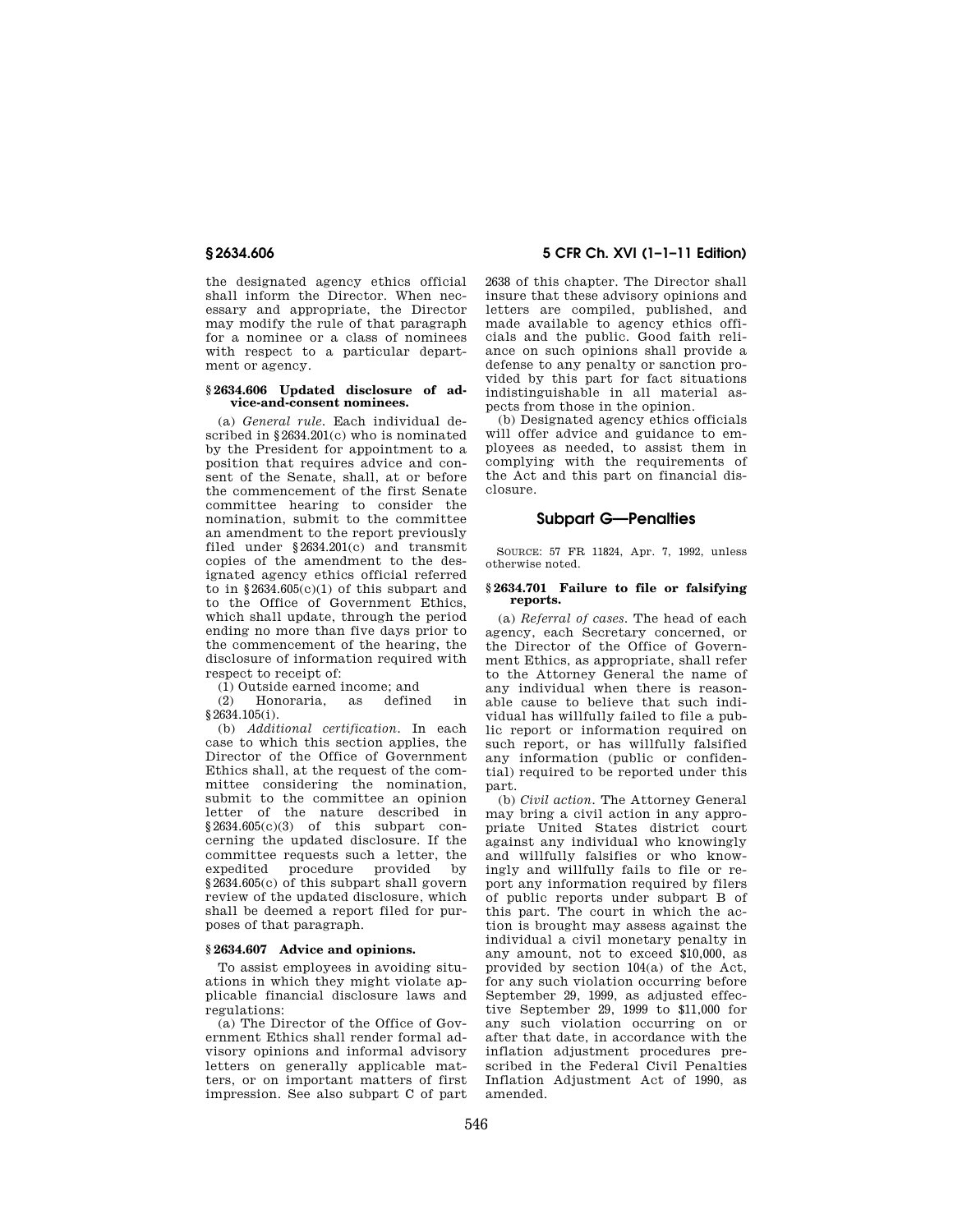the designated agency ethics official shall inform the Director. When necessary and appropriate, the Director may modify the rule of that paragraph for a nominee or a class of nominees with respect to a particular department or agency.

## **§ 2634.606 Updated disclosure of advice-and-consent nominees.**

(a) *General rule.* Each individual described in §2634.201(c) who is nominated by the President for appointment to a position that requires advice and consent of the Senate, shall, at or before the commencement of the first Senate committee hearing to consider the nomination, submit to the committee an amendment to the report previously filed under §2634.201(c) and transmit copies of the amendment to the designated agency ethics official referred to in  $$2634.605(c)(1)$  of this subpart and to the Office of Government Ethics, which shall update, through the period ending no more than five days prior to the commencement of the hearing, the disclosure of information required with respect to receipt of:

(1) Outside earned income; and

(2) Honoraria, as defined in §2634.105(i).

(b) *Additional certification.* In each case to which this section applies, the Director of the Office of Government Ethics shall, at the request of the committee considering the nomination, submit to the committee an opinion letter of the nature described in §2634.605(c)(3) of this subpart concerning the updated disclosure. If the committee requests such a letter, the expedited procedure provided by §2634.605(c) of this subpart shall govern review of the updated disclosure, which shall be deemed a report filed for purposes of that paragraph.

## **§ 2634.607 Advice and opinions.**

To assist employees in avoiding situations in which they might violate applicable financial disclosure laws and regulations:

(a) The Director of the Office of Government Ethics shall render formal advisory opinions and informal advisory letters on generally applicable matters, or on important matters of first impression. See also subpart C of part

**§ 2634.606 5 CFR Ch. XVI (1–1–11 Edition)** 

2638 of this chapter. The Director shall insure that these advisory opinions and letters are compiled, published, and made available to agency ethics officials and the public. Good faith reliance on such opinions shall provide a defense to any penalty or sanction provided by this part for fact situations indistinguishable in all material aspects from those in the opinion.

(b) Designated agency ethics officials will offer advice and guidance to employees as needed, to assist them in complying with the requirements of the Act and this part on financial disclosure.

## **Subpart G—Penalties**

SOURCE: 57 FR 11824, Apr. 7, 1992, unless otherwise noted.

### **§ 2634.701 Failure to file or falsifying reports.**

(a) *Referral of cases.* The head of each agency, each Secretary concerned, or the Director of the Office of Government Ethics, as appropriate, shall refer to the Attorney General the name of any individual when there is reasonable cause to believe that such individual has willfully failed to file a public report or information required on such report, or has willfully falsified any information (public or confidential) required to be reported under this part.

(b) *Civil action.* The Attorney General may bring a civil action in any appropriate United States district court against any individual who knowingly and willfully falsifies or who knowingly and willfully fails to file or report any information required by filers of public reports under subpart B of this part. The court in which the action is brought may assess against the individual a civil monetary penalty in any amount, not to exceed \$10,000, as provided by section 104(a) of the Act, for any such violation occurring before September 29, 1999, as adjusted effective September 29, 1999 to \$11,000 for any such violation occurring on or after that date, in accordance with the inflation adjustment procedures prescribed in the Federal Civil Penalties Inflation Adjustment Act of 1990, as amended.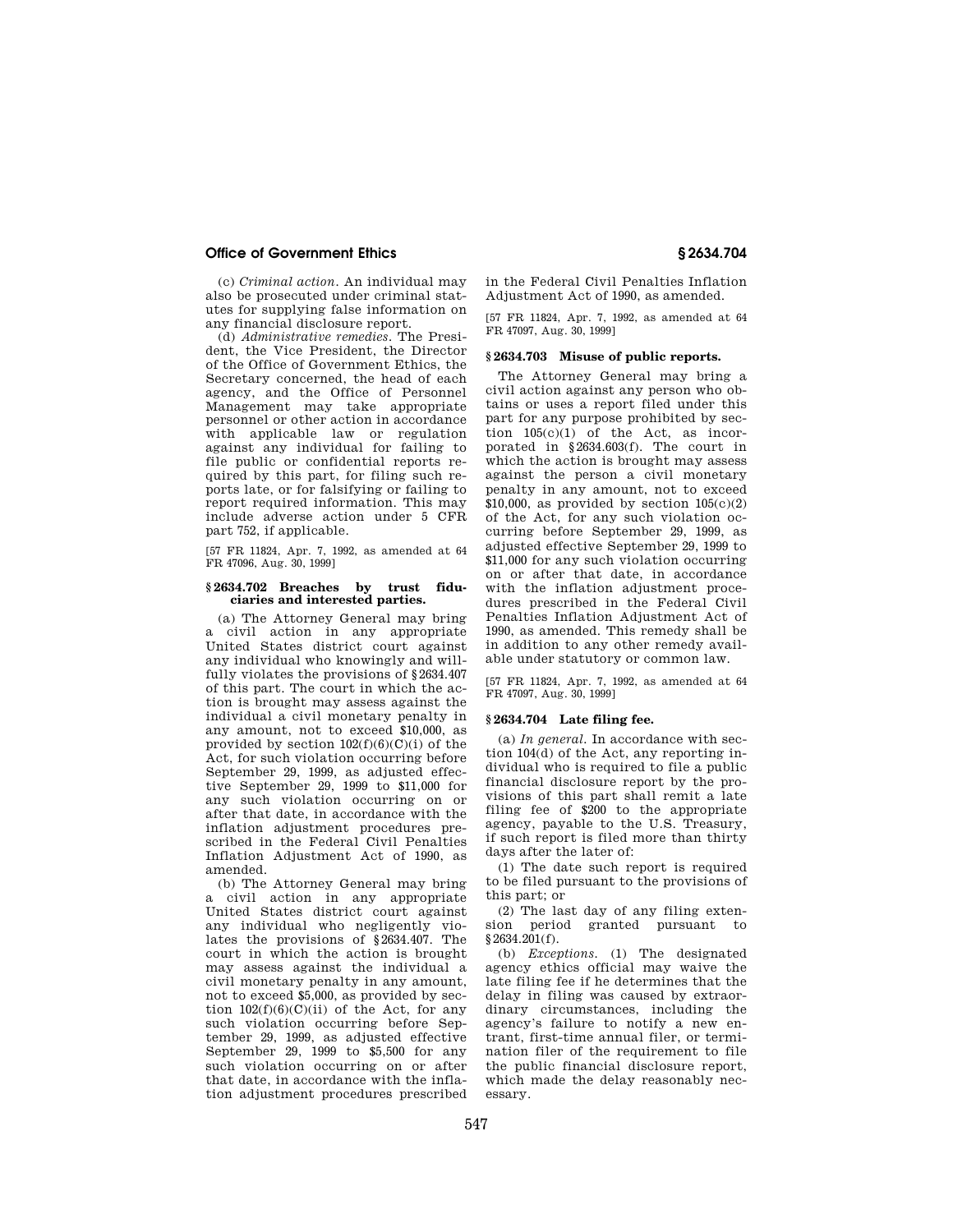(c) *Criminal action.* An individual may also be prosecuted under criminal statutes for supplying false information on any financial disclosure report.

(d) *Administrative remedies.* The President, the Vice President, the Director of the Office of Government Ethics, the Secretary concerned, the head of each agency, and the Office of Personnel Management may take appropriate personnel or other action in accordance with applicable law or regulation against any individual for failing to file public or confidential reports required by this part, for filing such reports late, or for falsifying or failing to report required information. This may include adverse action under 5 CFR part 752, if applicable.

[57 FR 11824, Apr. 7, 1992, as amended at 64 FR 47096, Aug. 30, 1999]

## **§ 2634.702 Breaches by trust fiduciaries and interested parties.**

(a) The Attorney General may bring a civil action in any appropriate United States district court against any individual who knowingly and willfully violates the provisions of §2634.407 of this part. The court in which the action is brought may assess against the individual a civil monetary penalty in any amount, not to exceed \$10,000, as provided by section  $102(f)(6)(C)(i)$  of the Act, for such violation occurring before September 29, 1999, as adjusted effective September 29, 1999 to \$11,000 for any such violation occurring on or after that date, in accordance with the inflation adjustment procedures prescribed in the Federal Civil Penalties Inflation Adjustment Act of 1990, as amended.

(b) The Attorney General may bring a civil action in any appropriate United States district court against any individual who negligently violates the provisions of §2634.407. The court in which the action is brought may assess against the individual a civil monetary penalty in any amount, not to exceed \$5,000, as provided by section  $102(f)(6)(C)(ii)$  of the Act, for any such violation occurring before September 29, 1999, as adjusted effective September 29, 1999 to \$5,500 for any such violation occurring on or after that date, in accordance with the inflation adjustment procedures prescribed

in the Federal Civil Penalties Inflation Adjustment Act of 1990, as amended.

[57 FR 11824, Apr. 7, 1992, as amended at 64 FR 47097, Aug. 30, 1999]

## **§ 2634.703 Misuse of public reports.**

The Attorney General may bring a civil action against any person who obtains or uses a report filed under this part for any purpose prohibited by section 105(c)(1) of the Act, as incorporated in §2634.603(f). The court in which the action is brought may assess against the person a civil monetary penalty in any amount, not to exceed  $$10,000$ , as provided by section  $105(c)(2)$ of the Act, for any such violation occurring before September 29, 1999, as adjusted effective September 29, 1999 to \$11,000 for any such violation occurring on or after that date, in accordance with the inflation adjustment procedures prescribed in the Federal Civil Penalties Inflation Adjustment Act of 1990, as amended. This remedy shall be in addition to any other remedy available under statutory or common law.

[57 FR 11824, Apr. 7, 1992, as amended at 64 FR 47097, Aug. 30, 1999]

## **§ 2634.704 Late filing fee.**

(a) *In general.* In accordance with section 104(d) of the Act, any reporting individual who is required to file a public financial disclosure report by the provisions of this part shall remit a late filing fee of \$200 to the appropriate agency, payable to the U.S. Treasury, if such report is filed more than thirty days after the later of:

(1) The date such report is required to be filed pursuant to the provisions of this part; or

(2) The last day of any filing extension period granted pursuant to §2634.201(f).

(b) *Exceptions.* (1) The designated agency ethics official may waive the late filing fee if he determines that the delay in filing was caused by extraordinary circumstances, including the agency's failure to notify a new entrant, first-time annual filer, or termination filer of the requirement to file the public financial disclosure report, which made the delay reasonably necessary.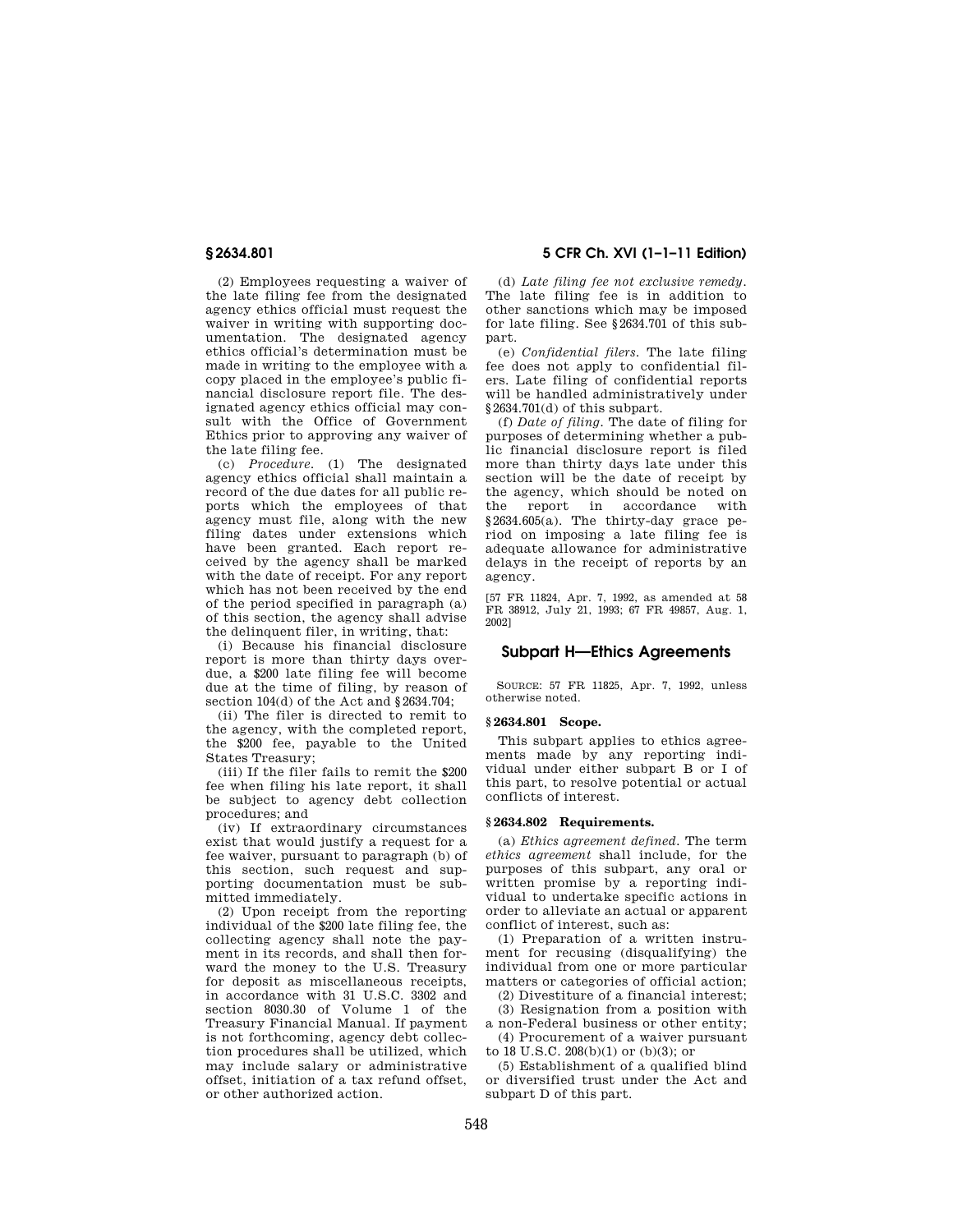(2) Employees requesting a waiver of the late filing fee from the designated agency ethics official must request the waiver in writing with supporting documentation. The designated agency ethics official's determination must be made in writing to the employee with a copy placed in the employee's public financial disclosure report file. The designated agency ethics official may consult with the Office of Government Ethics prior to approving any waiver of the late filing fee.

(c) *Procedure.* (1) The designated agency ethics official shall maintain a record of the due dates for all public reports which the employees of that agency must file, along with the new filing dates under extensions which have been granted. Each report received by the agency shall be marked with the date of receipt. For any report which has not been received by the end of the period specified in paragraph (a) of this section, the agency shall advise the delinquent filer, in writing, that:

(i) Because his financial disclosure report is more than thirty days overdue, a \$200 late filing fee will become due at the time of filing, by reason of section 104(d) of the Act and §2634.704;

(ii) The filer is directed to remit to the agency, with the completed report, the \$200 fee, payable to the United States Treasury;

(iii) If the filer fails to remit the \$200 fee when filing his late report, it shall be subject to agency debt collection procedures; and

(iv) If extraordinary circumstances exist that would justify a request for a fee waiver, pursuant to paragraph (b) of this section, such request and supporting documentation must be submitted immediately.

(2) Upon receipt from the reporting individual of the \$200 late filing fee, the collecting agency shall note the payment in its records, and shall then forward the money to the U.S. Treasury for deposit as miscellaneous receipts, in accordance with 31 U.S.C. 3302 and section 8030.30 of Volume 1 of the Treasury Financial Manual. If payment is not forthcoming, agency debt collection procedures shall be utilized, which may include salary or administrative offset, initiation of a tax refund offset, or other authorized action.

**§ 2634.801 5 CFR Ch. XVI (1–1–11 Edition)** 

(d) *Late filing fee not exclusive remedy.*  The late filing fee is in addition to other sanctions which may be imposed for late filing. See §2634.701 of this subpart.

(e) *Confidential filers.* The late filing fee does not apply to confidential filers. Late filing of confidential reports will be handled administratively under §2634.701(d) of this subpart.

(f) *Date of filing.* The date of filing for purposes of determining whether a public financial disclosure report is filed more than thirty days late under this section will be the date of receipt by the agency, which should be noted on the report in accordance with §2634.605(a). The thirty-day grace period on imposing a late filing fee is adequate allowance for administrative delays in the receipt of reports by an agency.

[57 FR 11824, Apr. 7, 1992, as amended at 58 FR 38912, July 21, 1993; 67 FR 49857, Aug. 1, 2002]

# **Subpart H—Ethics Agreements**

SOURCE: 57 FR 11825, Apr. 7, 1992, unless otherwise noted.

## **§ 2634.801 Scope.**

This subpart applies to ethics agreements made by any reporting individual under either subpart B or I of this part, to resolve potential or actual conflicts of interest.

#### **§ 2634.802 Requirements.**

(a) *Ethics agreement defined.* The term *ethics agreement* shall include, for the purposes of this subpart, any oral or written promise by a reporting individual to undertake specific actions in order to alleviate an actual or apparent conflict of interest, such as:

(1) Preparation of a written instrument for recusing (disqualifying) the individual from one or more particular matters or categories of official action;

(2) Divestiture of a financial interest;

(3) Resignation from a position with a non-Federal business or other entity; (4) Procurement of a waiver pursuant

to 18 U.S.C.  $208(b)(1)$  or  $(b)(3)$ ; or

(5) Establishment of a qualified blind or diversified trust under the Act and subpart D of this part.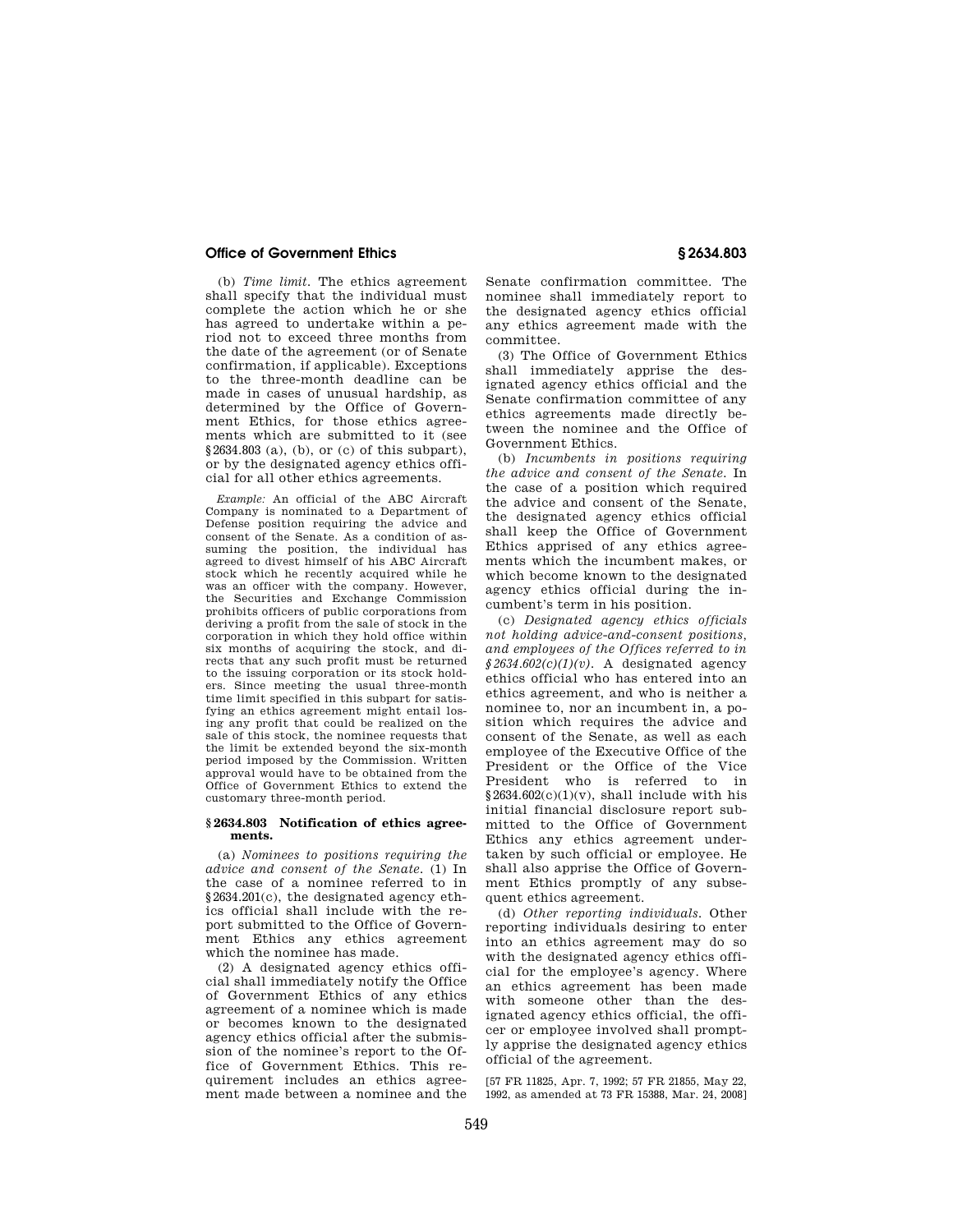(b) *Time limit.* The ethics agreement shall specify that the individual must complete the action which he or she has agreed to undertake within a period not to exceed three months from the date of the agreement (or of Senate confirmation, if applicable). Exceptions to the three-month deadline can be made in cases of unusual hardship, as determined by the Office of Government Ethics, for those ethics agreements which are submitted to it (see §2634.803 (a), (b), or (c) of this subpart), or by the designated agency ethics official for all other ethics agreements.

*Example:* An official of the ABC Aircraft Company is nominated to a Department of Defense position requiring the advice and consent of the Senate. As a condition of assuming the position, the individual has agreed to divest himself of his ABC Aircraft stock which he recently acquired while he was an officer with the company. However, the Securities and Exchange Commission prohibits officers of public corporations from deriving a profit from the sale of stock in the corporation in which they hold office within six months of acquiring the stock, and directs that any such profit must be returned to the issuing corporation or its stock holders. Since meeting the usual three-month time limit specified in this subpart for satisfying an ethics agreement might entail losing any profit that could be realized on the sale of this stock, the nominee requests that the limit be extended beyond the six-month period imposed by the Commission. Written approval would have to be obtained from the Office of Government Ethics to extend the customary three-month period.

## **§ 2634.803 Notification of ethics agreements.**

(a) *Nominees to positions requiring the advice and consent of the Senate.* (1) In the case of a nominee referred to in §2634.201(c), the designated agency ethics official shall include with the report submitted to the Office of Government Ethics any ethics agreement which the nominee has made.

(2) A designated agency ethics official shall immediately notify the Office of Government Ethics of any ethics agreement of a nominee which is made or becomes known to the designated agency ethics official after the submission of the nominee's report to the Office of Government Ethics. This requirement includes an ethics agreement made between a nominee and the

Senate confirmation committee. The nominee shall immediately report to the designated agency ethics official any ethics agreement made with the committee.

(3) The Office of Government Ethics shall immediately apprise the designated agency ethics official and the Senate confirmation committee of any ethics agreements made directly between the nominee and the Office of Government Ethics.

(b) *Incumbents in positions requiring the advice and consent of the Senate.* In the case of a position which required the advice and consent of the Senate, the designated agency ethics official shall keep the Office of Government Ethics apprised of any ethics agreements which the incumbent makes, or which become known to the designated agency ethics official during the incumbent's term in his position.

(c) *Designated agency ethics officials not holding advice-and-consent positions, and employees of the Offices referred to in*   $$2634.602(c)(1)(v)$ . A designated agency ethics official who has entered into an ethics agreement, and who is neither a nominee to, nor an incumbent in, a position which requires the advice and consent of the Senate, as well as each employee of the Executive Office of the President or the Office of the Vice President who is referred to in  $§2634.602(c)(1)(v)$ , shall include with his initial financial disclosure report submitted to the Office of Government Ethics any ethics agreement undertaken by such official or employee. He shall also apprise the Office of Government Ethics promptly of any subsequent ethics agreement.

(d) *Other reporting individuals.* Other reporting individuals desiring to enter into an ethics agreement may do so with the designated agency ethics official for the employee's agency. Where an ethics agreement has been made with someone other than the designated agency ethics official, the officer or employee involved shall promptly apprise the designated agency ethics official of the agreement.

[57 FR 11825, Apr. 7, 1992; 57 FR 21855, May 22, 1992, as amended at 73 FR 15388, Mar. 24, 2008]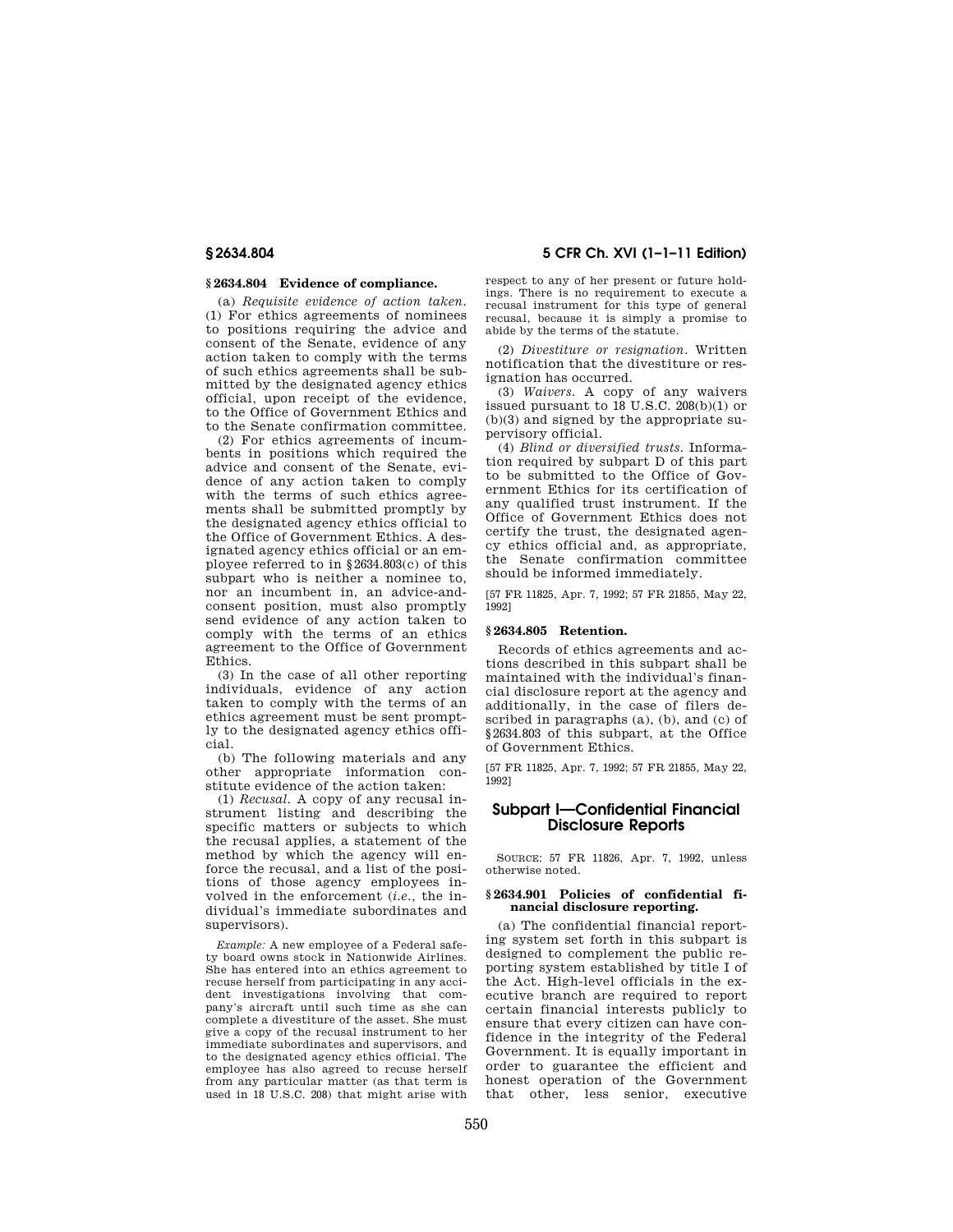## **§ 2634.804 Evidence of compliance.**

(a) *Requisite evidence of action taken.*  (1) For ethics agreements of nominees to positions requiring the advice and consent of the Senate, evidence of any action taken to comply with the terms of such ethics agreements shall be submitted by the designated agency ethics official, upon receipt of the evidence, to the Office of Government Ethics and to the Senate confirmation committee.

(2) For ethics agreements of incumbents in positions which required the advice and consent of the Senate, evidence of any action taken to comply with the terms of such ethics agreements shall be submitted promptly by the designated agency ethics official to the Office of Government Ethics. A designated agency ethics official or an employee referred to in §2634.803(c) of this subpart who is neither a nominee to, nor an incumbent in, an advice-andconsent position, must also promptly send evidence of any action taken to comply with the terms of an ethics agreement to the Office of Government Ethics.

(3) In the case of all other reporting individuals, evidence of any action taken to comply with the terms of an ethics agreement must be sent promptly to the designated agency ethics official.

(b) The following materials and any other appropriate information constitute evidence of the action taken:

(1) *Recusal.* A copy of any recusal instrument listing and describing the specific matters or subjects to which the recusal applies, a statement of the method by which the agency will enforce the recusal, and a list of the positions of those agency employees involved in the enforcement (*i.e.,* the individual's immediate subordinates and supervisors).

*Example:* A new employee of a Federal safety board owns stock in Nationwide Airlines. She has entered into an ethics agreement to recuse herself from participating in any accident investigations involving that company's aircraft until such time as she can complete a divestiture of the asset. She must give a copy of the recusal instrument to her immediate subordinates and supervisors, and to the designated agency ethics official. The employee has also agreed to recuse herself from any particular matter (as that term is used in 18 U.S.C. 208) that might arise with

**§ 2634.804 5 CFR Ch. XVI (1–1–11 Edition)** 

respect to any of her present or future holdings. There is no requirement to execute a recusal instrument for this type of general recusal, because it is simply a promise to abide by the terms of the statute.

(2) *Divestiture or resignation.* Written notification that the divestiture or resignation has occurred.

(3) *Waivers.* A copy of any waivers issued pursuant to 18 U.S.C. 208(b)(1) or (b)(3) and signed by the appropriate supervisory official.

(4) *Blind or diversified trusts.* Information required by subpart D of this part to be submitted to the Office of Government Ethics for its certification of any qualified trust instrument. If the Office of Government Ethics does not certify the trust, the designated agency ethics official and, as appropriate, the Senate confirmation committee should be informed immediately.

[57 FR 11825, Apr. 7, 1992; 57 FR 21855, May 22, 1992]

## **§ 2634.805 Retention.**

Records of ethics agreements and actions described in this subpart shall be maintained with the individual's financial disclosure report at the agency and additionally, in the case of filers described in paragraphs (a), (b), and (c) of §2634.803 of this subpart, at the Office of Government Ethics.

[57 FR 11825, Apr. 7, 1992; 57 FR 21855, May 22, 1992]

# **Subpart I—Confidential Financial Disclosure Reports**

SOURCE: 57 FR 11826, Apr. 7, 1992, unless otherwise noted.

#### **§ 2634.901 Policies of confidential financial disclosure reporting.**

(a) The confidential financial reporting system set forth in this subpart is designed to complement the public reporting system established by title I of the Act. High-level officials in the executive branch are required to report certain financial interests publicly to ensure that every citizen can have confidence in the integrity of the Federal Government. It is equally important in order to guarantee the efficient and honest operation of the Government that other, less senior, executive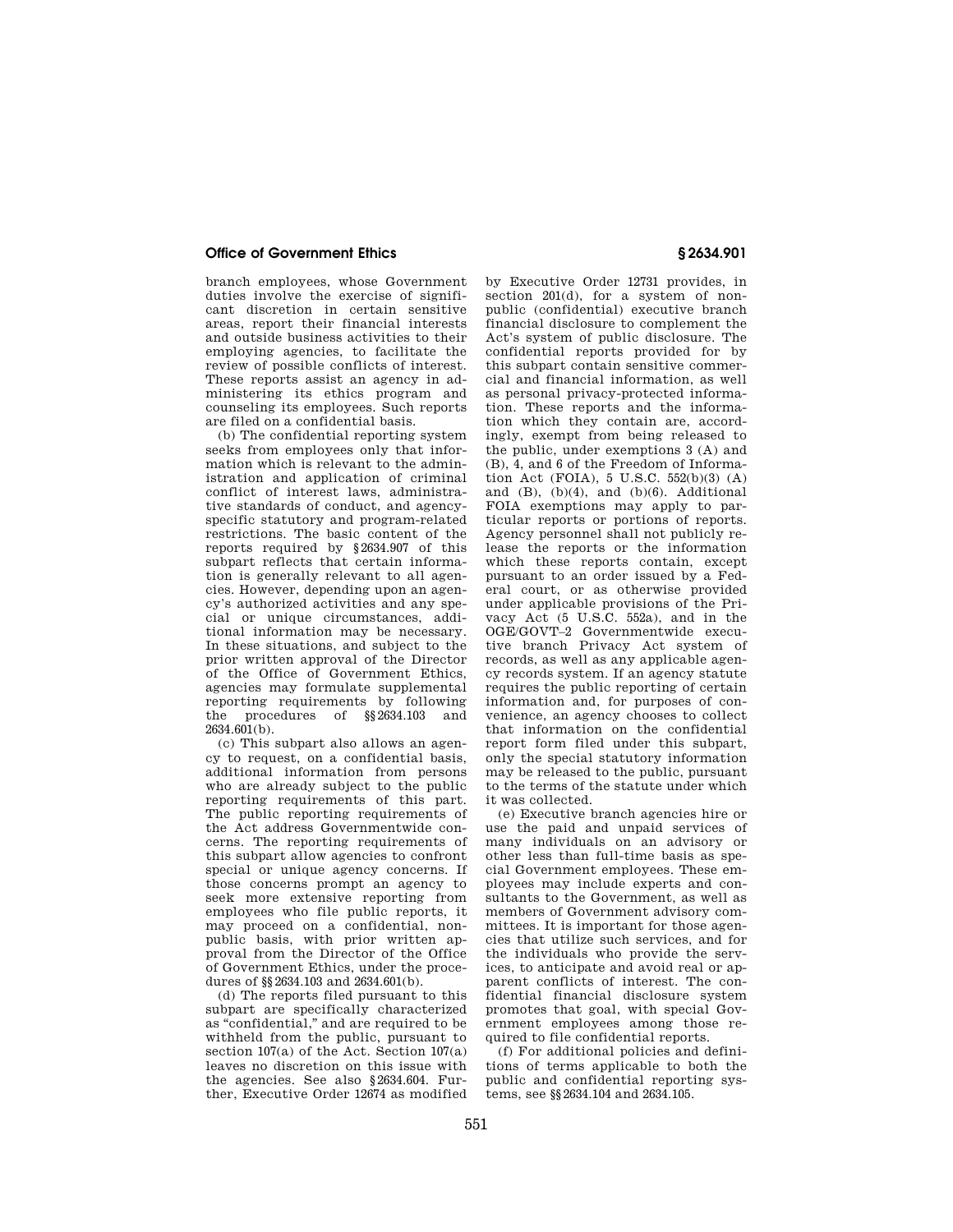branch employees, whose Government duties involve the exercise of significant discretion in certain sensitive areas, report their financial interests and outside business activities to their employing agencies, to facilitate the review of possible conflicts of interest. These reports assist an agency in administering its ethics program and counseling its employees. Such reports are filed on a confidential basis.

(b) The confidential reporting system seeks from employees only that information which is relevant to the administration and application of criminal conflict of interest laws, administrative standards of conduct, and agencyspecific statutory and program-related restrictions. The basic content of the reports required by §2634.907 of this subpart reflects that certain information is generally relevant to all agencies. However, depending upon an agency's authorized activities and any special or unique circumstances, additional information may be necessary. In these situations, and subject to the prior written approval of the Director of the Office of Government Ethics, agencies may formulate supplemental reporting requirements by following the procedures of §§2634.103 and  $2634.601(b)$ .

(c) This subpart also allows an agency to request, on a confidential basis, additional information from persons who are already subject to the public reporting requirements of this part. The public reporting requirements of the Act address Governmentwide concerns. The reporting requirements of this subpart allow agencies to confront special or unique agency concerns. If those concerns prompt an agency to seek more extensive reporting from employees who file public reports, it may proceed on a confidential, nonpublic basis, with prior written approval from the Director of the Office of Government Ethics, under the procedures of §§2634.103 and 2634.601(b).

(d) The reports filed pursuant to this subpart are specifically characterized as ''confidential,'' and are required to be withheld from the public, pursuant to section 107(a) of the Act. Section 107(a) leaves no discretion on this issue with the agencies. See also §2634.604. Further, Executive Order 12674 as modified by Executive Order 12731 provides, in section 201(d), for a system of nonpublic (confidential) executive branch financial disclosure to complement the Act's system of public disclosure. The confidential reports provided for by this subpart contain sensitive commercial and financial information, as well as personal privacy-protected information. These reports and the information which they contain are, accordingly, exempt from being released to the public, under exemptions 3 (A) and (B), 4, and 6 of the Freedom of Information Act (FOIA), 5 U.S.C. 552(b)(3) (A) and  $(B)$ ,  $(b)(4)$ , and  $(b)(6)$ . Additional FOIA exemptions may apply to particular reports or portions of reports. Agency personnel shall not publicly release the reports or the information which these reports contain, except pursuant to an order issued by a Federal court, or as otherwise provided under applicable provisions of the Privacy Act (5 U.S.C. 552a), and in the OGE/GOVT–2 Governmentwide executive branch Privacy Act system of records, as well as any applicable agency records system. If an agency statute requires the public reporting of certain information and, for purposes of convenience, an agency chooses to collect that information on the confidential report form filed under this subpart, only the special statutory information may be released to the public, pursuant to the terms of the statute under which it was collected.

(e) Executive branch agencies hire or use the paid and unpaid services of many individuals on an advisory or other less than full-time basis as special Government employees. These employees may include experts and consultants to the Government, as well as members of Government advisory committees. It is important for those agencies that utilize such services, and for the individuals who provide the services, to anticipate and avoid real or apparent conflicts of interest. The confidential financial disclosure system promotes that goal, with special Government employees among those required to file confidential reports.

(f) For additional policies and definitions of terms applicable to both the public and confidential reporting systems, see §§2634.104 and 2634.105.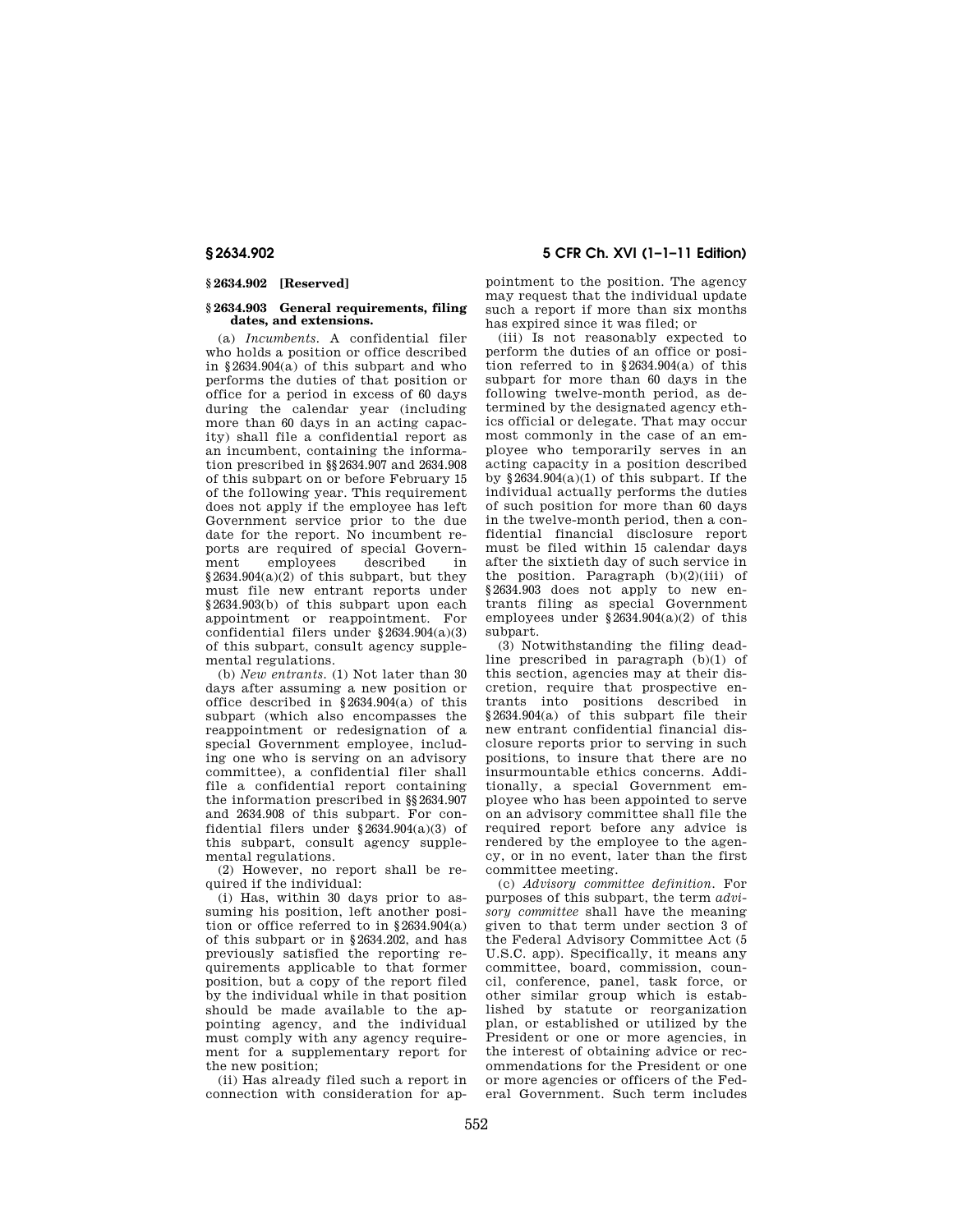## **§ 2634.902 [Reserved]**

#### **§ 2634.903 General requirements, filing dates, and extensions.**

(a) *Incumbents.* A confidential filer who holds a position or office described in §2634.904(a) of this subpart and who performs the duties of that position or office for a period in excess of 60 days during the calendar year (including more than 60 days in an acting capacity) shall file a confidential report as an incumbent, containing the information prescribed in §§2634.907 and 2634.908 of this subpart on or before February 15 of the following year. This requirement does not apply if the employee has left Government service prior to the due date for the report. No incumbent reports are required of special Govern-<br>ment employees described in employees §2634.904(a)(2) of this subpart, but they must file new entrant reports under §2634.903(b) of this subpart upon each appointment or reappointment. For confidential filers under §2634.904(a)(3) of this subpart, consult agency supplemental regulations.

(b) *New entrants.* (1) Not later than 30 days after assuming a new position or office described in  $\S 2634.904(a)$  of this subpart (which also encompasses the reappointment or redesignation of a special Government employee, including one who is serving on an advisory committee), a confidential filer shall file a confidential report containing the information prescribed in §§2634.907 and 2634.908 of this subpart. For confidential filers under §2634.904(a)(3) of this subpart, consult agency supplemental regulations.

(2) However, no report shall be required if the individual:

(i) Has, within 30 days prior to assuming his position, left another position or office referred to in  $§ 2634.904(a)$ of this subpart or in §2634.202, and has previously satisfied the reporting requirements applicable to that former position, but a copy of the report filed by the individual while in that position should be made available to the appointing agency, and the individual must comply with any agency requirement for a supplementary report for the new position;

(ii) Has already filed such a report in connection with consideration for ap-

**§ 2634.902 5 CFR Ch. XVI (1–1–11 Edition)** 

pointment to the position. The agency may request that the individual update such a report if more than six months has expired since it was filed; or

(iii) Is not reasonably expected to perform the duties of an office or position referred to in §2634.904(a) of this subpart for more than 60 days in the following twelve-month period, as determined by the designated agency ethics official or delegate. That may occur most commonly in the case of an employee who temporarily serves in an acting capacity in a position described by  $\frac{82634.904(a)}{1}$  of this subpart. If the individual actually performs the duties of such position for more than 60 days in the twelve-month period, then a confidential financial disclosure report must be filed within 15 calendar days after the sixtieth day of such service in the position. Paragraph  $(b)(2)(iii)$  of §2634.903 does not apply to new entrants filing as special Government employees under  $\S$ 2634.904(a)(2) of this subpart.

(3) Notwithstanding the filing deadline prescribed in paragraph (b)(1) of this section, agencies may at their discretion, require that prospective entrants into positions described in §2634.904(a) of this subpart file their new entrant confidential financial disclosure reports prior to serving in such positions, to insure that there are no insurmountable ethics concerns. Additionally, a special Government employee who has been appointed to serve on an advisory committee shall file the required report before any advice is rendered by the employee to the agency, or in no event, later than the first committee meeting.

(c) *Advisory committee definition.* For purposes of this subpart, the term *advisory committee* shall have the meaning given to that term under section 3 of the Federal Advisory Committee Act (5 U.S.C. app). Specifically, it means any committee, board, commission, council, conference, panel, task force, or other similar group which is established by statute or reorganization plan, or established or utilized by the President or one or more agencies, in the interest of obtaining advice or recommendations for the President or one or more agencies or officers of the Federal Government. Such term includes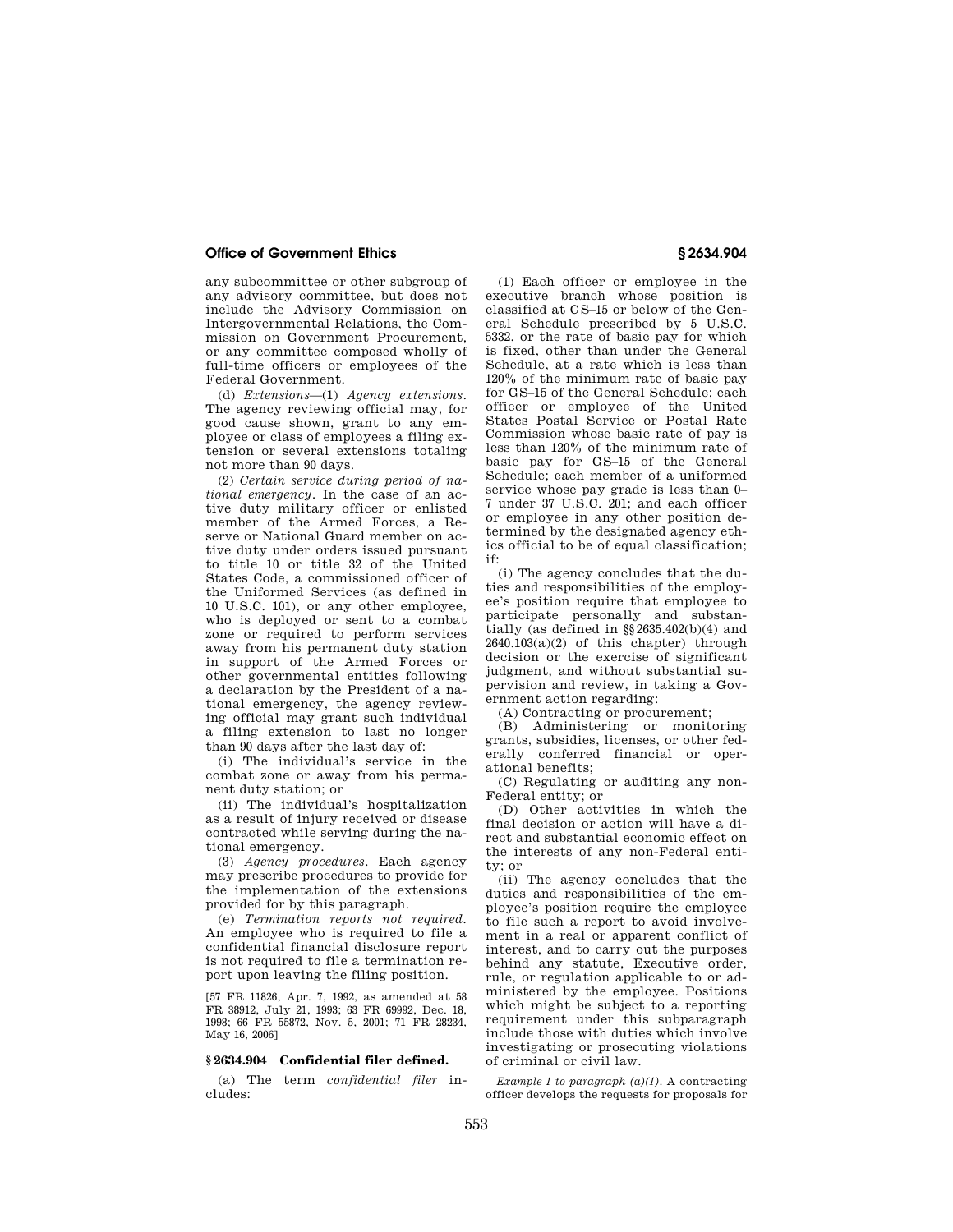any subcommittee or other subgroup of any advisory committee, but does not include the Advisory Commission on Intergovernmental Relations, the Commission on Government Procurement, or any committee composed wholly of full-time officers or employees of the Federal Government.

(d) *Extensions*—(1) *Agency extensions.*  The agency reviewing official may, for good cause shown, grant to any employee or class of employees a filing extension or several extensions totaling not more than 90 days.

(2) *Certain service during period of national emergency.* In the case of an active duty military officer or enlisted member of the Armed Forces, a Reserve or National Guard member on active duty under orders issued pursuant to title 10 or title 32 of the United States Code, a commissioned officer of the Uniformed Services (as defined in 10 U.S.C. 101), or any other employee, who is deployed or sent to a combat zone or required to perform services away from his permanent duty station in support of the Armed Forces or other governmental entities following a declaration by the President of a national emergency, the agency reviewing official may grant such individual a filing extension to last no longer than 90 days after the last day of:

(i) The individual's service in the combat zone or away from his permanent duty station; or

(ii) The individual's hospitalization as a result of injury received or disease contracted while serving during the national emergency.

(3) *Agency procedures.* Each agency may prescribe procedures to provide for the implementation of the extensions provided for by this paragraph.

(e) *Termination reports not required.*  An employee who is required to file a confidential financial disclosure report is not required to file a termination report upon leaving the filing position.

[57 FR 11826, Apr. 7, 1992, as amended at 58 FR 38912, July 21, 1993; 63 FR 69992, Dec. 18, 1998; 66 FR 55872, Nov. 5, 2001; 71 FR 28234, May 16, 2006]

# **§ 2634.904 Confidential filer defined.**

(a) The term *confidential filer* includes:

(1) Each officer or employee in the executive branch whose position is classified at GS–15 or below of the General Schedule prescribed by 5 U.S.C. 5332, or the rate of basic pay for which is fixed, other than under the General Schedule, at a rate which is less than 120% of the minimum rate of basic pay for GS–15 of the General Schedule; each officer or employee of the United States Postal Service or Postal Rate Commission whose basic rate of pay is less than 120% of the minimum rate of basic pay for GS–15 of the General Schedule; each member of a uniformed service whose pay grade is less than 0– 7 under 37 U.S.C. 201; and each officer or employee in any other position determined by the designated agency ethics official to be of equal classification; if:

(i) The agency concludes that the duties and responsibilities of the employee's position require that employee to participate personally and substantially (as defined in §§2635.402(b)(4) and  $2640.103(a)(2)$  of this chapter) through decision or the exercise of significant judgment, and without substantial supervision and review, in taking a Government action regarding:

(A) Contracting or procurement;

(B) Administering or monitoring grants, subsidies, licenses, or other federally conferred financial or operational benefits;

(C) Regulating or auditing any non-Federal entity; or

(D) Other activities in which the final decision or action will have a direct and substantial economic effect on the interests of any non-Federal entity; or

(ii) The agency concludes that the duties and responsibilities of the employee's position require the employee to file such a report to avoid involvement in a real or apparent conflict of interest, and to carry out the purposes behind any statute, Executive order, rule, or regulation applicable to or administered by the employee. Positions which might be subject to a reporting requirement under this subparagraph include those with duties which involve investigating or prosecuting violations of criminal or civil law.

*Example 1 to paragraph (a)(1).* A contracting officer develops the requests for proposals for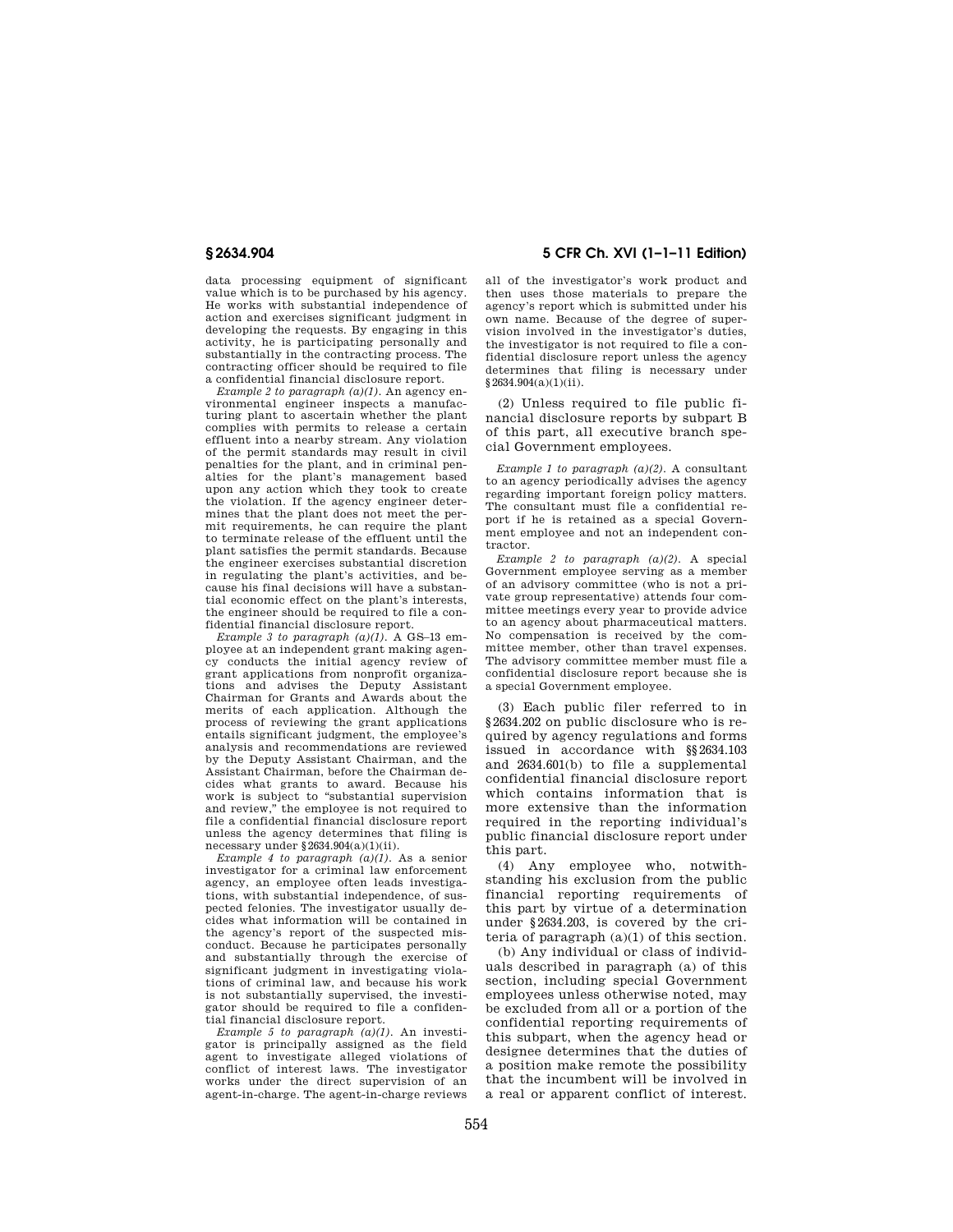data processing equipment of significant value which is to be purchased by his agency. He works with substantial independence of action and exercises significant judgment in developing the requests. By engaging in this activity, he is participating personally and substantially in the contracting process. The contracting officer should be required to file a confidential financial disclosure report.

*Example 2 to paragraph (a)(1).* An agency environmental engineer inspects a manufacturing plant to ascertain whether the plant complies with permits to release a certain effluent into a nearby stream. Any violation of the permit standards may result in civil penalties for the plant, and in criminal penalties for the plant's management based upon any action which they took to create the violation. If the agency engineer determines that the plant does not meet the permit requirements, he can require the plant to terminate release of the effluent until the plant satisfies the permit standards. Because the engineer exercises substantial discretion in regulating the plant's activities, and because his final decisions will have a substantial economic effect on the plant's interests, the engineer should be required to file a confidential financial disclosure report.

*Example 3 to paragraph (a)(1).* A GS–13 employee at an independent grant making agency conducts the initial agency review of grant applications from nonprofit organizations and advises the Deputy Assistant Chairman for Grants and Awards about the merits of each application. Although the process of reviewing the grant applications entails significant judgment, the employee's analysis and recommendations are reviewed by the Deputy Assistant Chairman, and the Assistant Chairman, before the Chairman decides what grants to award. Because his work is subject to ''substantial supervision and review,'' the employee is not required to file a confidential financial disclosure report unless the agency determines that filing is necessary under §2634.904(a)(1)(ii).

*Example 4 to paragraph (a)(1).* As a senior investigator for a criminal law enforcement agency, an employee often leads investigations, with substantial independence, of suspected felonies. The investigator usually decides what information will be contained in the agency's report of the suspected misconduct. Because he participates personally and substantially through the exercise of significant judgment in investigating violations of criminal law, and because his work is not substantially supervised, the investigator should be required to file a confidential financial disclosure report.

*Example 5 to paragraph (a)(1).* An investigator is principally assigned as the field agent to investigate alleged violations of conflict of interest laws. The investigator works under the direct supervision of an agent-in-charge. The agent-in-charge reviews

**§ 2634.904 5 CFR Ch. XVI (1–1–11 Edition)** 

all of the investigator's work product and then uses those materials to prepare the agency's report which is submitted under his own name. Because of the degree of supervision involved in the investigator's duties, the investigator is not required to file a confidential disclosure report unless the agency determines that filing is necessary under §2634.904(a)(1)(ii).

(2) Unless required to file public financial disclosure reports by subpart B of this part, all executive branch special Government employees.

*Example 1 to paragraph (a)(2).* A consultant to an agency periodically advises the agency regarding important foreign policy matters. The consultant must file a confidential report if he is retained as a special Government employee and not an independent contractor.

*Example 2 to paragraph (a)(2).* A special Government employee serving as a member of an advisory committee (who is not a private group representative) attends four committee meetings every year to provide advice to an agency about pharmaceutical matters. No compensation is received by the committee member, other than travel expenses. The advisory committee member must file a confidential disclosure report because she is a special Government employee.

(3) Each public filer referred to in §2634.202 on public disclosure who is required by agency regulations and forms issued in accordance with §§2634.103 and 2634.601(b) to file a supplemental confidential financial disclosure report which contains information that is more extensive than the information required in the reporting individual's public financial disclosure report under this part.

(4) Any employee who, notwithstanding his exclusion from the public financial reporting requirements of this part by virtue of a determination under §2634.203, is covered by the criteria of paragraph (a)(1) of this section.

(b) Any individual or class of individuals described in paragraph (a) of this section, including special Government employees unless otherwise noted, may be excluded from all or a portion of the confidential reporting requirements of this subpart, when the agency head or designee determines that the duties of a position make remote the possibility that the incumbent will be involved in a real or apparent conflict of interest.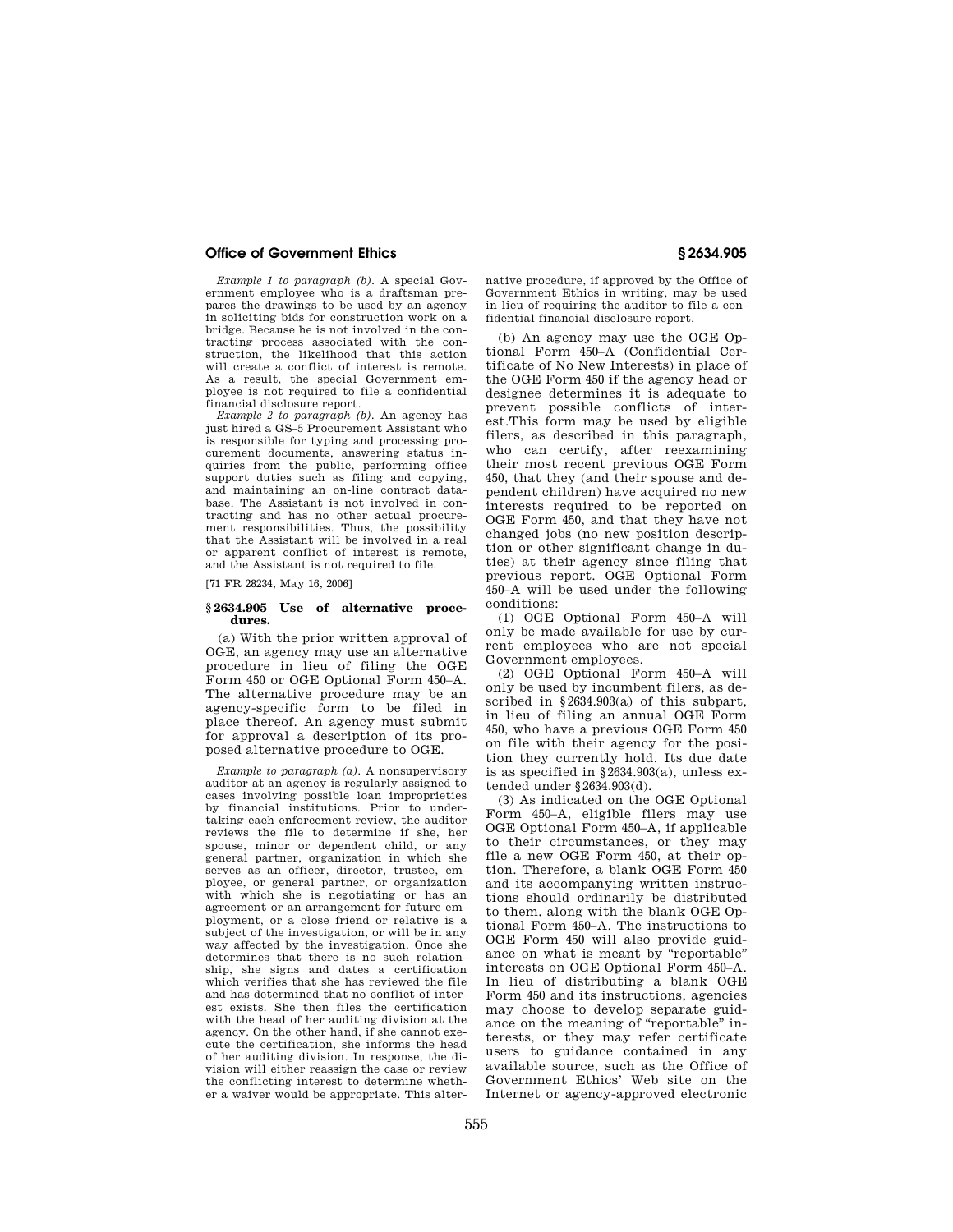*Example 1 to paragraph (b).* A special Government employee who is a draftsman prepares the drawings to be used by an agency in soliciting bids for construction work on a bridge. Because he is not involved in the contracting process associated with the construction, the likelihood that this action will create a conflict of interest is remote. As a result, the special Government employee is not required to file a confidential financial disclosure report.

*Example 2 to paragraph (b).* An agency has just hired a GS–5 Procurement Assistant who is responsible for typing and processing procurement documents, answering status inquiries from the public, performing office support duties such as filing and copying. and maintaining an on-line contract database. The Assistant is not involved in contracting and has no other actual procurement responsibilities. Thus, the possibility that the Assistant will be involved in a real or apparent conflict of interest is remote, and the Assistant is not required to file.

[71 FR 28234, May 16, 2006]

#### **§ 2634.905 Use of alternative procedures.**

(a) With the prior written approval of OGE, an agency may use an alternative procedure in lieu of filing the OGE Form 450 or OGE Optional Form 450–A. The alternative procedure may be an agency-specific form to be filed in place thereof. An agency must submit for approval a description of its proposed alternative procedure to OGE.

*Example to paragraph (a).* A nonsupervisory auditor at an agency is regularly assigned to cases involving possible loan improprieties by financial institutions. Prior to undertaking each enforcement review, the auditor reviews the file to determine if she, her spouse, minor or dependent child, or any general partner, organization in which she serves as an officer, director, trustee, employee, or general partner, or organization with which she is negotiating or has an agreement or an arrangement for future employment, or a close friend or relative is a subject of the investigation, or will be in any way affected by the investigation. Once she determines that there is no such relationship, she signs and dates a certification which verifies that she has reviewed the file and has determined that no conflict of interest exists. She then files the certification with the head of her auditing division at the agency. On the other hand, if she cannot execute the certification, she informs the head of her auditing division. In response, the division will either reassign the case or review the conflicting interest to determine whether a waiver would be appropriate. This alter-

native procedure, if approved by the Office of Government Ethics in writing, may be used in lieu of requiring the auditor to file a confidential financial disclosure report.

(b) An agency may use the OGE Optional Form 450–A (Confidential Certificate of No New Interests) in place of the OGE Form 450 if the agency head or designee determines it is adequate to prevent possible conflicts of interest.This form may be used by eligible filers, as described in this paragraph, who can certify, after reexamining their most recent previous OGE Form 450, that they (and their spouse and dependent children) have acquired no new interests required to be reported on OGE Form 450, and that they have not changed jobs (no new position description or other significant change in duties) at their agency since filing that previous report. OGE Optional Form 450–A will be used under the following conditions:

(1) OGE Optional Form 450–A will only be made available for use by current employees who are not special Government employees.

(2) OGE Optional Form 450–A will only be used by incumbent filers, as described in §2634.903(a) of this subpart, in lieu of filing an annual OGE Form 450, who have a previous OGE Form 450 on file with their agency for the position they currently hold. Its due date is as specified in §2634.903(a), unless extended under §2634.903(d).

(3) As indicated on the OGE Optional Form 450–A, eligible filers may use OGE Optional Form 450–A, if applicable to their circumstances, or they may file a new OGE Form 450, at their option. Therefore, a blank OGE Form 450 and its accompanying written instructions should ordinarily be distributed to them, along with the blank OGE Optional Form 450–A. The instructions to OGE Form 450 will also provide guidance on what is meant by "reportable" interests on OGE Optional Form 450–A. In lieu of distributing a blank OGE Form 450 and its instructions, agencies may choose to develop separate guidance on the meaning of "reportable" interests, or they may refer certificate users to guidance contained in any available source, such as the Office of Government Ethics' Web site on the Internet or agency-approved electronic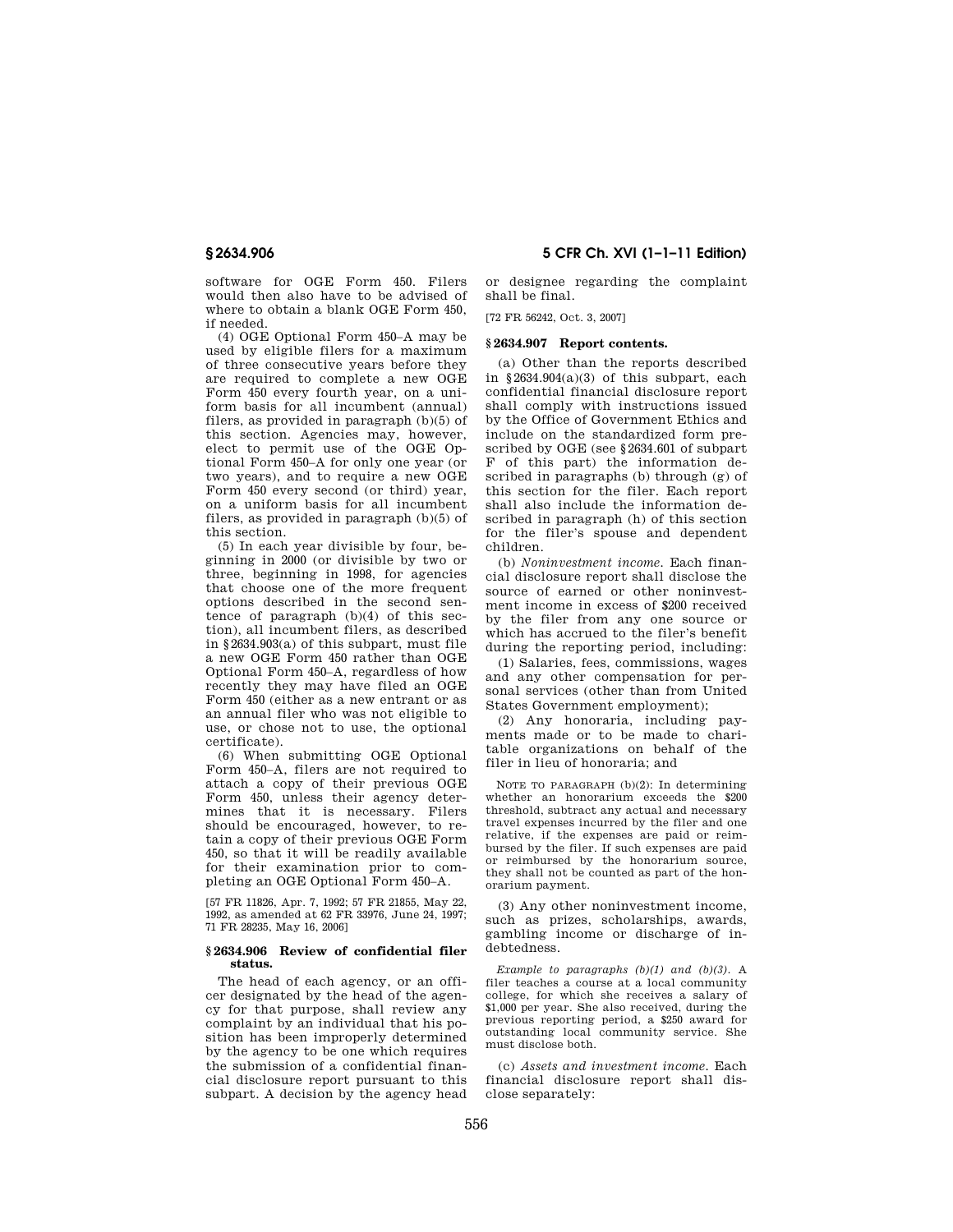software for OGE Form 450. Filers would then also have to be advised of where to obtain a blank OGE Form 450, if needed.

(4) OGE Optional Form 450–A may be used by eligible filers for a maximum of three consecutive years before they are required to complete a new OGE Form 450 every fourth year, on a uniform basis for all incumbent (annual) filers, as provided in paragraph (b)(5) of this section. Agencies may, however, elect to permit use of the OGE Optional Form 450–A for only one year (or two years), and to require a new OGE Form 450 every second (or third) year, on a uniform basis for all incumbent filers, as provided in paragraph (b)(5) of this section.

(5) In each year divisible by four, beginning in 2000 (or divisible by two or three, beginning in 1998, for agencies that choose one of the more frequent options described in the second sentence of paragraph (b)(4) of this section), all incumbent filers, as described in §2634.903(a) of this subpart, must file a new OGE Form 450 rather than OGE Optional Form 450–A, regardless of how recently they may have filed an OGE Form 450 (either as a new entrant or as an annual filer who was not eligible to use, or chose not to use, the optional certificate).

(6) When submitting OGE Optional Form 450–A, filers are not required to attach a copy of their previous OGE Form 450, unless their agency determines that it is necessary. Filers should be encouraged, however, to retain a copy of their previous OGE Form 450, so that it will be readily available for their examination prior to completing an OGE Optional Form 450–A.

[57 FR 11826, Apr. 7, 1992; 57 FR 21855, May 22, 1992, as amended at 62 FR 33976, June 24, 1997; 71 FR 28235, May 16, 2006]

### **§ 2634.906 Review of confidential filer status.**

The head of each agency, or an officer designated by the head of the agency for that purpose, shall review any complaint by an individual that his position has been improperly determined by the agency to be one which requires the submission of a confidential financial disclosure report pursuant to this subpart. A decision by the agency head

**§ 2634.906 5 CFR Ch. XVI (1–1–11 Edition)** 

or designee regarding the complaint shall be final.

[72 FR 56242, Oct. 3, 2007]

## **§ 2634.907 Report contents.**

(a) Other than the reports described in §2634.904(a)(3) of this subpart, each confidential financial disclosure report shall comply with instructions issued by the Office of Government Ethics and include on the standardized form prescribed by OGE (see §2634.601 of subpart F of this part) the information described in paragraphs (b) through (g) of this section for the filer. Each report shall also include the information described in paragraph (h) of this section for the filer's spouse and dependent children.

(b) *Noninvestment income.* Each financial disclosure report shall disclose the source of earned or other noninvestment income in excess of \$200 received by the filer from any one source or which has accrued to the filer's benefit during the reporting period, including:

(1) Salaries, fees, commissions, wages and any other compensation for personal services (other than from United States Government employment);

(2) Any honoraria, including payments made or to be made to charitable organizations on behalf of the filer in lieu of honoraria; and

NOTE TO PARAGRAPH (b)(2): In determining whether an honorarium exceeds the \$200 threshold, subtract any actual and necessary travel expenses incurred by the filer and one relative, if the expenses are paid or reimbursed by the filer. If such expenses are paid or reimbursed by the honorarium source, they shall not be counted as part of the honorarium payment.

(3) Any other noninvestment income, such as prizes, scholarships, awards, gambling income or discharge of indebtedness.

*Example to paragraphs (b)(1) and (b)(3).* A filer teaches a course at a local community college, for which she receives a salary of \$1,000 per year. She also received, during the previous reporting period, a \$250 award for outstanding local community service. She must disclose both.

(c) *Assets and investment income.* Each financial disclosure report shall disclose separately: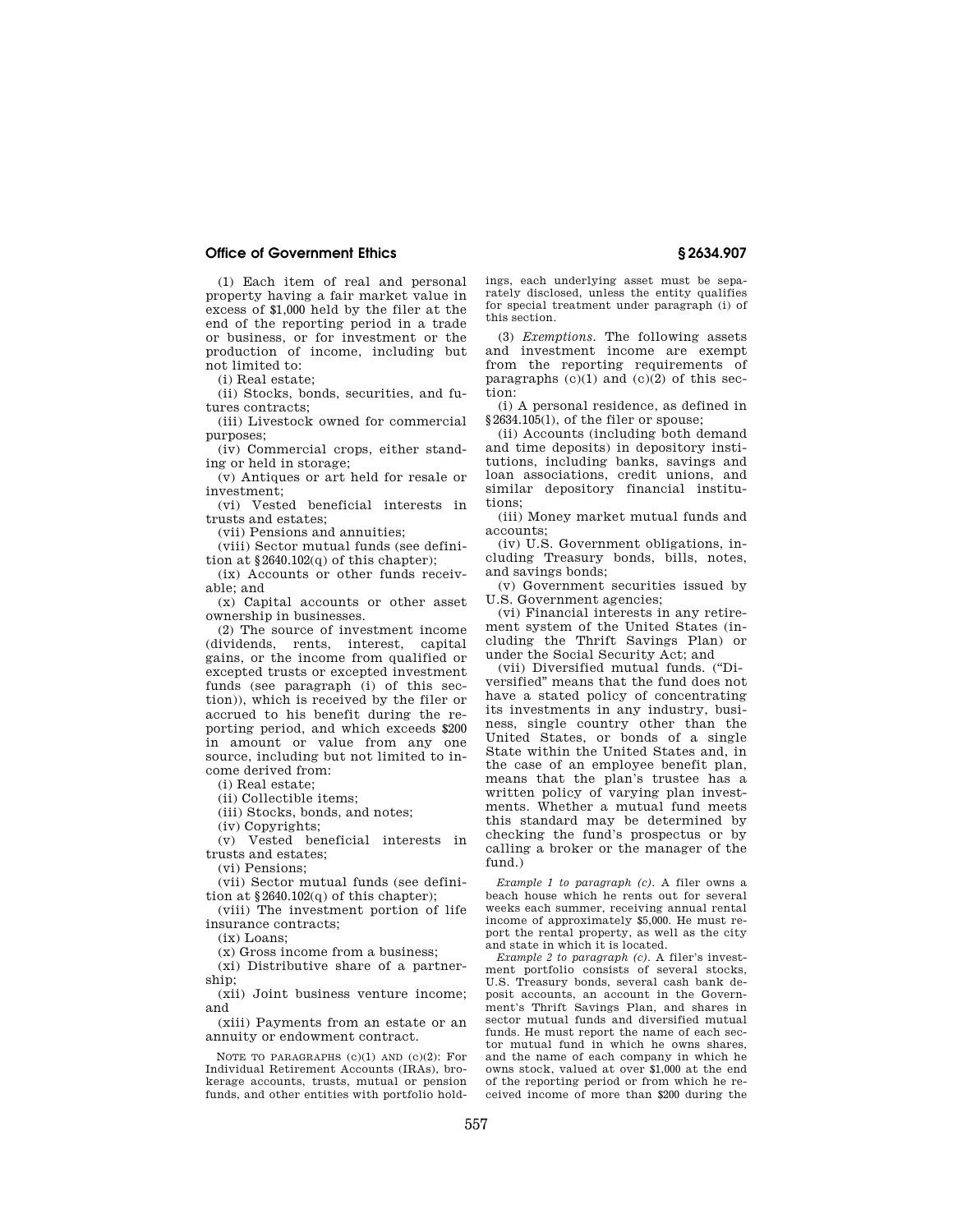(1) Each item of real and personal property having a fair market value in excess of \$1,000 held by the filer at the end of the reporting period in a trade or business, or for investment or the production of income, including but not limited to:

(i) Real estate;

(ii) Stocks, bonds, securities, and futures contracts;

(iii) Livestock owned for commercial purposes;

(iv) Commercial crops, either standing or held in storage;

(v) Antiques or art held for resale or investment;

(vi) Vested beneficial interests in trusts and estates;

(vii) Pensions and annuities;

(viii) Sector mutual funds (see definition at  $§2640.102(q)$  of this chapter);

(ix) Accounts or other funds receivable; and

(x) Capital accounts or other asset ownership in businesses.

(2) The source of investment income (dividends, rents, interest, capital gains, or the income from qualified or excepted trusts or excepted investment funds (see paragraph (i) of this section)), which is received by the filer or accrued to his benefit during the reporting period, and which exceeds \$200 in amount or value from any one source, including but not limited to income derived from:

(i) Real estate;

(ii) Collectible items;

(iii) Stocks, bonds, and notes;

(iv) Copyrights;

(v) Vested beneficial interests in trusts and estates;

(vi) Pensions;

(vii) Sector mutual funds (see definition at §2640.102(q) of this chapter);

(viii) The investment portion of life insurance contracts;

 $(ix)$  Loans:

(x) Gross income from a business;

(xi) Distributive share of a partnership;

(xii) Joint business venture income; and

(xiii) Payments from an estate or an annuity or endowment contract.

NOTE TO PARAGRAPHS (c)(1) AND (c)(2): For Individual Retirement Accounts (IRAs), brokerage accounts, trusts, mutual or pension funds, and other entities with portfolio holdings, each underlying asset must be separately disclosed, unless the entity qualifies for special treatment under paragraph (i) of this section.

(3) *Exemptions.* The following assets and investment income are exempt from the reporting requirements of paragraphs  $(c)(1)$  and  $(c)(2)$  of this section:

(i) A personal residence, as defined in §2634.105(1), of the filer or spouse;

(ii) Accounts (including both demand and time deposits) in depository institutions, including banks, savings and loan associations, credit unions, and similar depository financial institutions;

(iii) Money market mutual funds and accounts;

(iv) U.S. Government obligations, including Treasury bonds, bills, notes, and savings bonds;

(v) Government securities issued by U.S. Government agencies;

(vi) Financial interests in any retirement system of the United States (including the Thrift Savings Plan) or under the Social Security Act; and

(vii) Diversified mutual funds. (''Diversified'' means that the fund does not have a stated policy of concentrating its investments in any industry, business, single country other than the United States, or bonds of a single State within the United States and, in the case of an employee benefit plan, means that the plan's trustee has a written policy of varying plan investments. Whether a mutual fund meets this standard may be determined by checking the fund's prospectus or by calling a broker or the manager of the fund.)

*Example 1 to paragraph (c).* A filer owns a beach house which he rents out for several weeks each summer, receiving annual rental income of approximately \$5,000. He must report the rental property, as well as the city and state in which it is located.

*Example 2 to paragraph (c).* A filer's investment portfolio consists of several stocks, U.S. Treasury bonds, several cash bank deposit accounts, an account in the Government's Thrift Savings Plan, and shares in sector mutual funds and diversified mutual funds. He must report the name of each sector mutual fund in which he owns shares, and the name of each company in which he owns stock, valued at over \$1,000 at the end of the reporting period or from which he received income of more than \$200 during the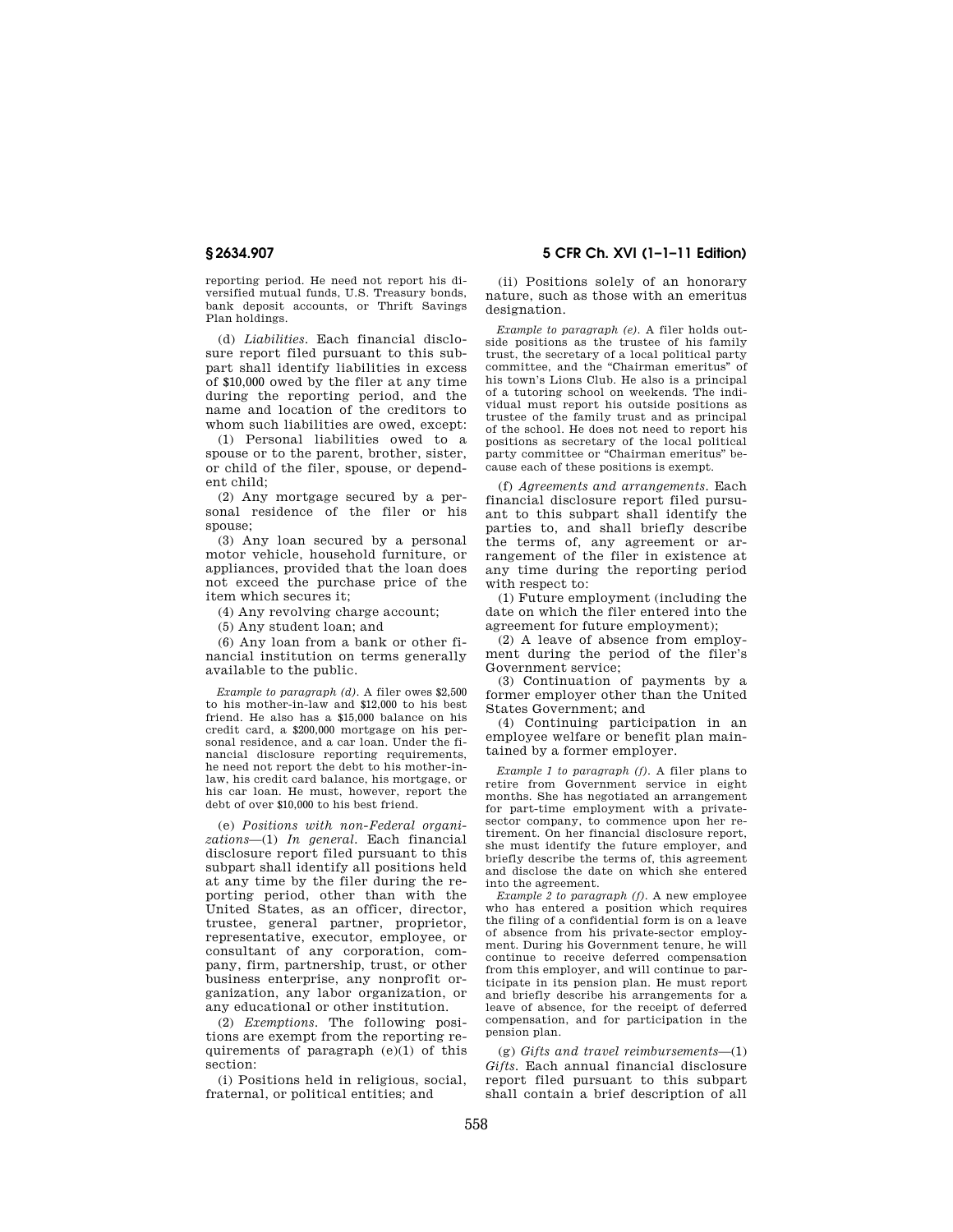reporting period. He need not report his diversified mutual funds, U.S. Treasury bonds, bank deposit accounts, or Thrift Savings Plan holdings.

(d) *Liabilities.* Each financial disclosure report filed pursuant to this subpart shall identify liabilities in excess of \$10,000 owed by the filer at any time during the reporting period, and the name and location of the creditors to whom such liabilities are owed, except:

(1) Personal liabilities owed to a spouse or to the parent, brother, sister, or child of the filer, spouse, or dependent child;

(2) Any mortgage secured by a personal residence of the filer or his spouse;

(3) Any loan secured by a personal motor vehicle, household furniture, or appliances, provided that the loan does not exceed the purchase price of the item which secures it;

(4) Any revolving charge account;

(5) Any student loan; and

(6) Any loan from a bank or other financial institution on terms generally available to the public.

*Example to paragraph (d).* A filer owes \$2,500 to his mother-in-law and \$12,000 to his best friend. He also has a \$15,000 balance on his credit card, a \$200,000 mortgage on his personal residence, and a car loan. Under the financial disclosure reporting requirements, he need not report the debt to his mother-inlaw, his credit card balance, his mortgage, or his car loan. He must, however, report the debt of over \$10,000 to his best friend.

(e) *Positions with non-Federal organizations*—(1) *In general.* Each financial disclosure report filed pursuant to this subpart shall identify all positions held at any time by the filer during the reporting period, other than with the United States, as an officer, director, trustee, general partner, proprietor, representative, executor, employee, or consultant of any corporation, company, firm, partnership, trust, or other business enterprise, any nonprofit organization, any labor organization, or any educational or other institution.

(2) *Exemptions.* The following positions are exempt from the reporting requirements of paragraph  $(e)(1)$  of this section:

(i) Positions held in religious, social, fraternal, or political entities; and

# **§ 2634.907 5 CFR Ch. XVI (1–1–11 Edition)**

(ii) Positions solely of an honorary nature, such as those with an emeritus designation.

*Example to paragraph (e).* A filer holds outside positions as the trustee of his family trust, the secretary of a local political party committee, and the ''Chairman emeritus'' of his town's Lions Club. He also is a principal of a tutoring school on weekends. The individual must report his outside positions as trustee of the family trust and as principal of the school. He does not need to report his positions as secretary of the local political party committee or ''Chairman emeritus'' because each of these positions is exempt.

(f) *Agreements and arrangements.* Each financial disclosure report filed pursuant to this subpart shall identify the parties to, and shall briefly describe the terms of, any agreement or arrangement of the filer in existence at any time during the reporting period with respect to:

(1) Future employment (including the date on which the filer entered into the agreement for future employment);

(2) A leave of absence from employment during the period of the filer's Government service;

(3) Continuation of payments by a former employer other than the United States Government; and

(4) Continuing participation in an employee welfare or benefit plan maintained by a former employer.

*Example 1 to paragraph (f).* A filer plans to retire from Government service in eight months. She has negotiated an arrangement for part-time employment with a privatesector company, to commence upon her retirement. On her financial disclosure report, she must identify the future employer, and briefly describe the terms of, this agreement and disclose the date on which she entered into the agreement.

*Example 2 to paragraph (f).* A new employee who has entered a position which requires the filing of a confidential form is on a leave of absence from his private-sector employment. During his Government tenure, he will continue to receive deferred compensation from this employer, and will continue to participate in its pension plan. He must report and briefly describe his arrangements for a leave of absence, for the receipt of deferred compensation, and for participation in the pension plan.

(g) *Gifts and travel reimbursements*—(1) *Gifts.* Each annual financial disclosure report filed pursuant to this subpart shall contain a brief description of all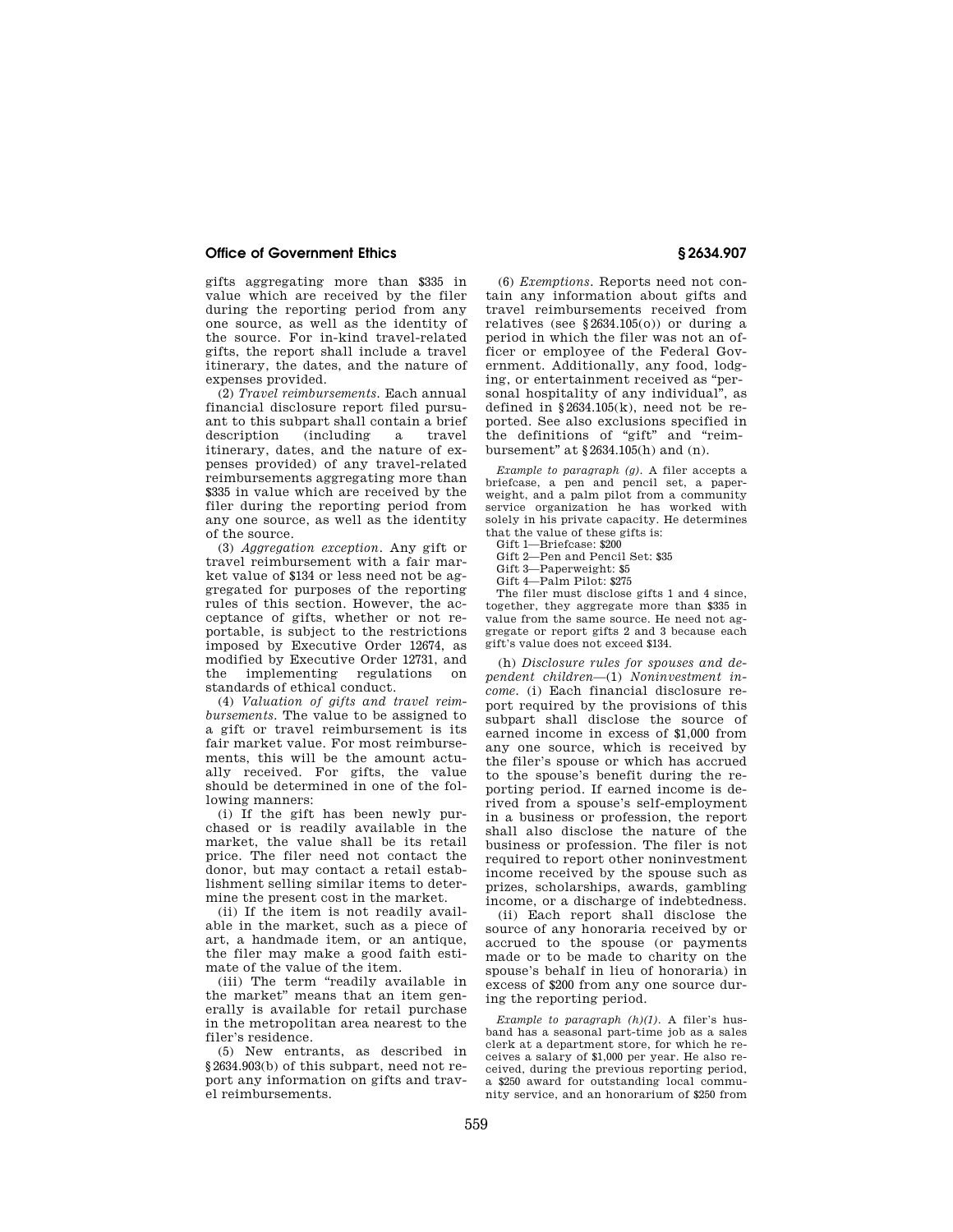gifts aggregating more than \$335 in value which are received by the filer during the reporting period from any one source, as well as the identity of the source. For in-kind travel-related gifts, the report shall include a travel itinerary, the dates, and the nature of expenses provided.

(2) *Travel reimbursements.* Each annual financial disclosure report filed pursuant to this subpart shall contain a brief description itinerary, dates, and the nature of expenses provided) of any travel-related reimbursements aggregating more than \$335 in value which are received by the filer during the reporting period from any one source, as well as the identity of the source.

(3) *Aggregation exception.* Any gift or travel reimbursement with a fair market value of \$134 or less need not be aggregated for purposes of the reporting rules of this section. However, the acceptance of gifts, whether or not reportable, is subject to the restrictions imposed by Executive Order 12674, as modified by Executive Order 12731, and the implementing regulations standards of ethical conduct.

(4) *Valuation of gifts and travel reimbursements.* The value to be assigned to a gift or travel reimbursement is its fair market value. For most reimbursements, this will be the amount actually received. For gifts, the value should be determined in one of the following manners:

(i) If the gift has been newly purchased or is readily available in the market, the value shall be its retail price. The filer need not contact the donor, but may contact a retail establishment selling similar items to determine the present cost in the market.

(ii) If the item is not readily available in the market, such as a piece of art, a handmade item, or an antique, the filer may make a good faith estimate of the value of the item.

(iii) The term "readily available in the market'' means that an item generally is available for retail purchase in the metropolitan area nearest to the filer's residence.

(5) New entrants, as described in §2634.903(b) of this subpart, need not report any information on gifts and travel reimbursements.

(6) *Exemptions.* Reports need not contain any information about gifts and travel reimbursements received from relatives (see  $§2634.105(0)$ ) or during a period in which the filer was not an officer or employee of the Federal Government. Additionally, any food, lodging, or entertainment received as ''personal hospitality of any individual'', as defined in  $$2634.105(k)$ , need not be reported. See also exclusions specified in the definitions of "gift" and "reimbursement'' at §2634.105(h) and (n).

*Example to paragraph (g).* A filer accepts a briefcase, a pen and pencil set, a paperweight, and a palm pilot from a community service organization he has worked with solely in his private capacity. He determines that the value of these gifts is:

Gift 1—Briefcase: \$200

Gift 2—Pen and Pencil Set: \$35

Gift 3—Paperweight: \$5

Gift 4—Palm Pilot: \$275

The filer must disclose gifts 1 and 4 since, together, they aggregate more than \$335 in value from the same source. He need not aggregate or report gifts 2 and 3 because each gift's value does not exceed \$134.

(h) *Disclosure rules for spouses and dependent children*—(1) *Noninvestment income.* (i) Each financial disclosure report required by the provisions of this subpart shall disclose the source of earned income in excess of \$1,000 from any one source, which is received by the filer's spouse or which has accrued to the spouse's benefit during the reporting period. If earned income is derived from a spouse's self-employment in a business or profession, the report shall also disclose the nature of the business or profession. The filer is not required to report other noninvestment income received by the spouse such as prizes, scholarships, awards, gambling income, or a discharge of indebtedness.

(ii) Each report shall disclose the source of any honoraria received by or accrued to the spouse (or payments made or to be made to charity on the spouse's behalf in lieu of honoraria) in excess of \$200 from any one source during the reporting period.

*Example to paragraph (h)(1).* A filer's husband has a seasonal part-time job as a sales clerk at a department store, for which he receives a salary of \$1,000 per year. He also received, during the previous reporting period, a \$250 award for outstanding local community service, and an honorarium of \$250 from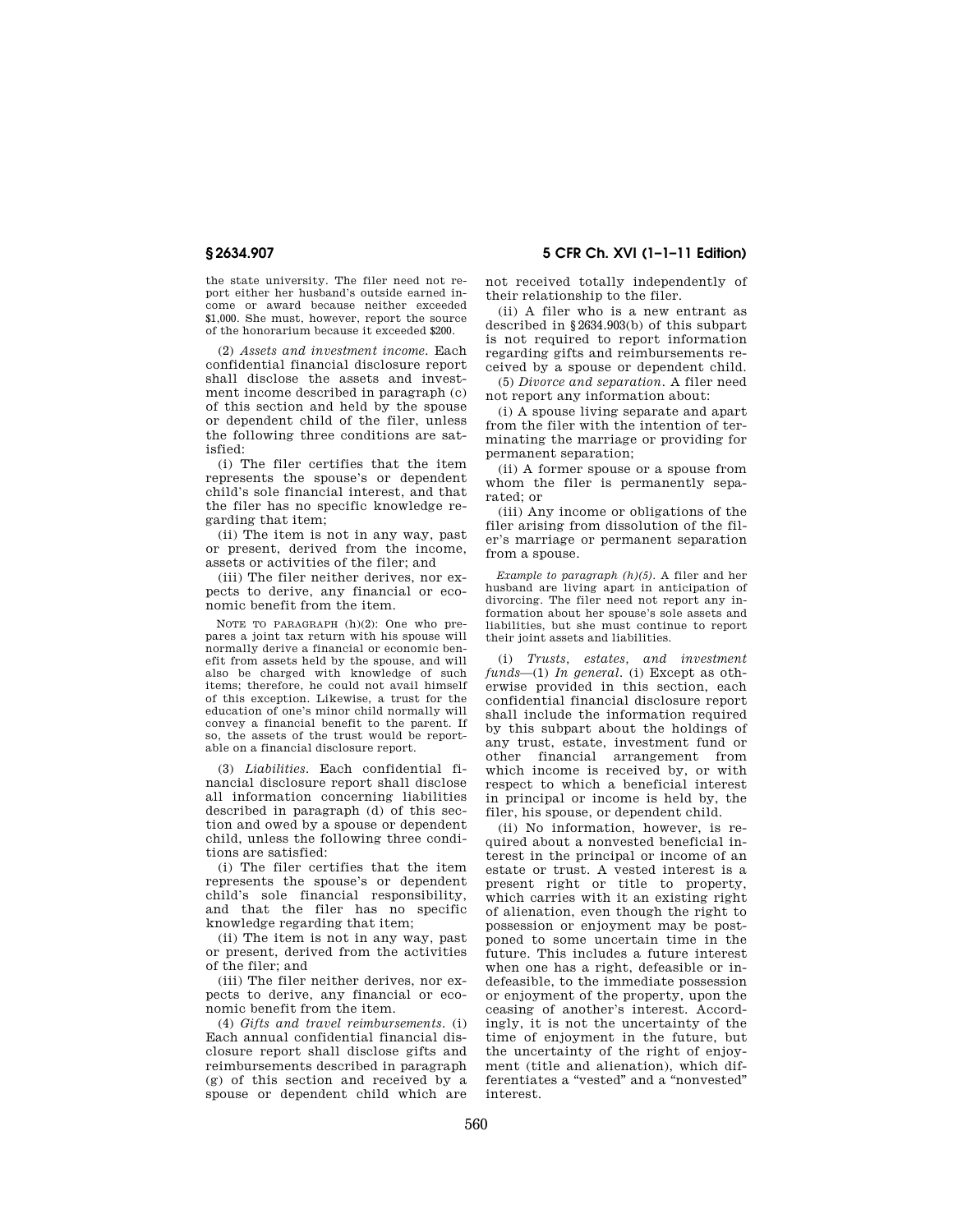the state university. The filer need not report either her husband's outside earned income or award because neither exceeded \$1,000. She must, however, report the source of the honorarium because it exceeded \$200.

(2) *Assets and investment income.* Each confidential financial disclosure report shall disclose the assets and investment income described in paragraph (c) of this section and held by the spouse or dependent child of the filer, unless the following three conditions are satisfied:

(i) The filer certifies that the item represents the spouse's or dependent child's sole financial interest, and that the filer has no specific knowledge regarding that item;

(ii) The item is not in any way, past or present, derived from the income, assets or activities of the filer; and

(iii) The filer neither derives, nor expects to derive, any financial or economic benefit from the item.

NOTE TO PARAGRAPH (h)(2): One who prepares a joint tax return with his spouse will normally derive a financial or economic benefit from assets held by the spouse, and will also be charged with knowledge of such items; therefore, he could not avail himself of this exception. Likewise, a trust for the education of one's minor child normally will convey a financial benefit to the parent. If so, the assets of the trust would be reportable on a financial disclosure report.

(3) *Liabilities.* Each confidential financial disclosure report shall disclose all information concerning liabilities described in paragraph (d) of this section and owed by a spouse or dependent child, unless the following three conditions are satisfied:

(i) The filer certifies that the item represents the spouse's or dependent child's sole financial responsibility, and that the filer has no specific knowledge regarding that item;

(ii) The item is not in any way, past or present, derived from the activities of the filer; and

(iii) The filer neither derives, nor expects to derive, any financial or economic benefit from the item.

(4) *Gifts and travel reimbursements.* (i) Each annual confidential financial disclosure report shall disclose gifts and reimbursements described in paragraph (g) of this section and received by a spouse or dependent child which are not received totally independently of

their relationship to the filer. (ii) A filer who is a new entrant as described in §2634.903(b) of this subpart is not required to report information regarding gifts and reimbursements re-

ceived by a spouse or dependent child. (5) *Divorce and separation.* A filer need not report any information about:

(i) A spouse living separate and apart from the filer with the intention of terminating the marriage or providing for permanent separation;

(ii) A former spouse or a spouse from whom the filer is permanently separated; or

(iii) Any income or obligations of the filer arising from dissolution of the filer's marriage or permanent separation from a spouse.

*Example to paragraph (h)(5).* A filer and her husband are living apart in anticipation of divorcing. The filer need not report any information about her spouse's sole assets and liabilities, but she must continue to report their joint assets and liabilities.

(i) *Trusts, estates, and investment funds*—(1) *In general.* (i) Except as otherwise provided in this section, each confidential financial disclosure report shall include the information required by this subpart about the holdings of any trust, estate, investment fund or other financial arrangement from which income is received by, or with respect to which a beneficial interest in principal or income is held by, the filer, his spouse, or dependent child.

(ii) No information, however, is required about a nonvested beneficial interest in the principal or income of an estate or trust. A vested interest is a present right or title to property, which carries with it an existing right of alienation, even though the right to possession or enjoyment may be postponed to some uncertain time in the future. This includes a future interest when one has a right, defeasible or indefeasible, to the immediate possession or enjoyment of the property, upon the ceasing of another's interest. Accordingly, it is not the uncertainty of the time of enjoyment in the future, but the uncertainty of the right of enjoyment (title and alienation), which differentiates a ''vested'' and a ''nonvested'' interest.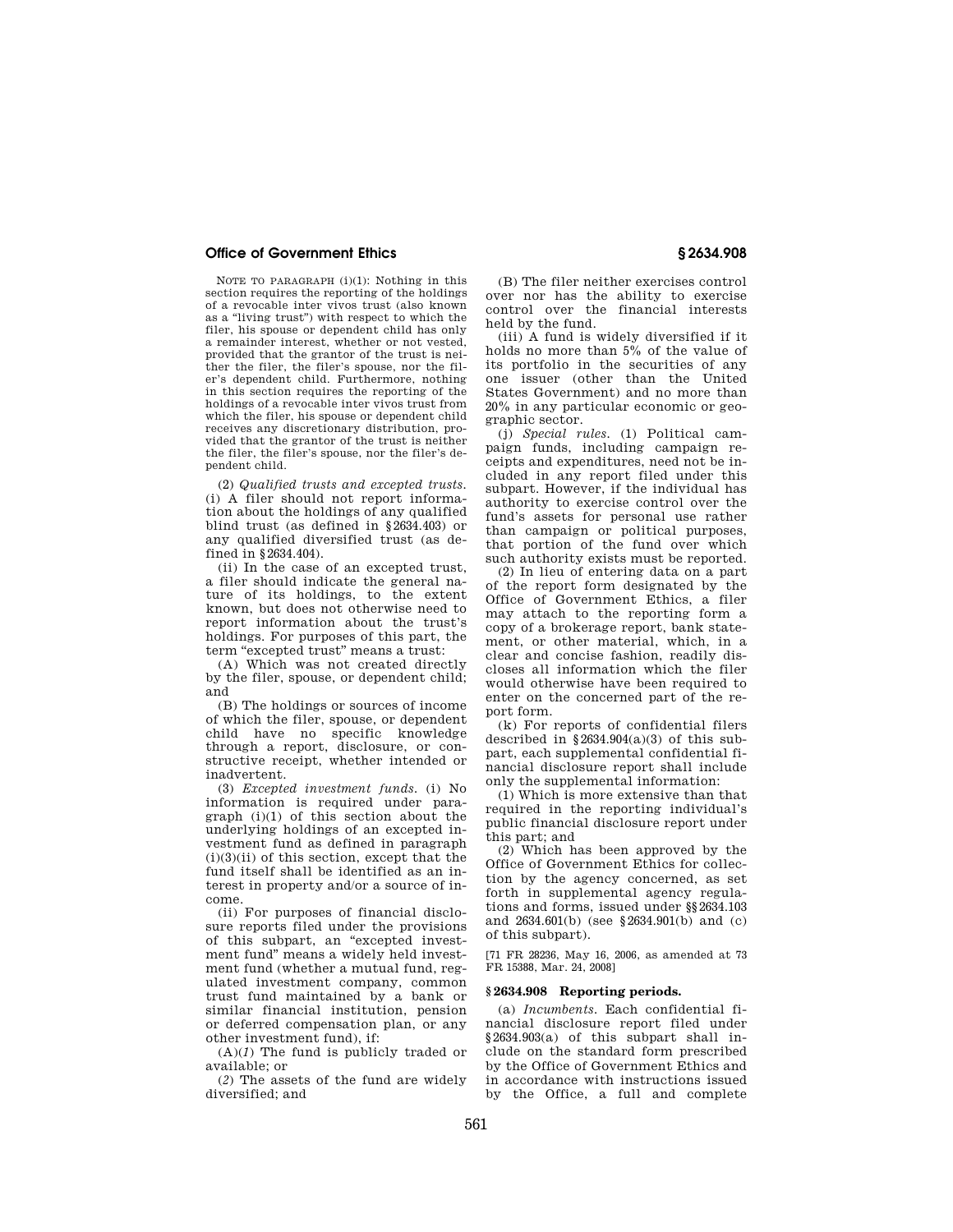NOTE TO PARAGRAPH (i)(1): Nothing in this section requires the reporting of the holdings of a revocable inter vivos trust (also known as a "living trust") with respect to which the filer, his spouse or dependent child has only a remainder interest, whether or not vested, provided that the grantor of the trust is neither the filer, the filer's spouse, nor the filer's dependent child. Furthermore, nothing in this section requires the reporting of the holdings of a revocable inter vivos trust from which the filer, his spouse or dependent child receives any discretionary distribution, provided that the grantor of the trust is neither the filer, the filer's spouse, nor the filer's dependent child.

(2) *Qualified trusts and excepted trusts.*  (i) A filer should not report information about the holdings of any qualified blind trust (as defined in §2634.403) or any qualified diversified trust (as defined in §2634.404).

(ii) In the case of an excepted trust, a filer should indicate the general nature of its holdings, to the extent known, but does not otherwise need to report information about the trust's holdings. For purposes of this part, the term "excepted trust" means a trust:

(A) Which was not created directly by the filer, spouse, or dependent child; and

(B) The holdings or sources of income of which the filer, spouse, or dependent child have no specific knowledge through a report, disclosure, or constructive receipt, whether intended or inadvertent.

(3) *Excepted investment funds.* (i) No information is required under paragraph (i)(1) of this section about the underlying holdings of an excepted investment fund as defined in paragraph  $(i)(3)(ii)$  of this section, except that the fund itself shall be identified as an interest in property and/or a source of income.

(ii) For purposes of financial disclosure reports filed under the provisions of this subpart, an ''excepted investment fund'' means a widely held investment fund (whether a mutual fund, regulated investment company, common trust fund maintained by a bank or similar financial institution, pension or deferred compensation plan, or any other investment fund), if:

(A)(*1*) The fund is publicly traded or available; or

(*2*) The assets of the fund are widely diversified; and

(B) The filer neither exercises control over nor has the ability to exercise control over the financial interests held by the fund.

(iii) A fund is widely diversified if it holds no more than 5% of the value of its portfolio in the securities of any one issuer (other than the United States Government) and no more than 20% in any particular economic or geographic sector.

(j) *Special rules.* (1) Political campaign funds, including campaign receipts and expenditures, need not be included in any report filed under this subpart. However, if the individual has authority to exercise control over the fund's assets for personal use rather than campaign or political purposes, that portion of the fund over which such authority exists must be reported.

(2) In lieu of entering data on a part of the report form designated by the Office of Government Ethics, a filer may attach to the reporting form a copy of a brokerage report, bank statement, or other material, which, in a clear and concise fashion, readily discloses all information which the filer would otherwise have been required to enter on the concerned part of the report form.

(k) For reports of confidential filers described in  $§2634.904(a)(3)$  of this subpart, each supplemental confidential financial disclosure report shall include only the supplemental information:

(1) Which is more extensive than that required in the reporting individual's public financial disclosure report under this part; and

(2) Which has been approved by the Office of Government Ethics for collection by the agency concerned, as set forth in supplemental agency regulations and forms, issued under §§2634.103 and 2634.601(b) (see §2634.901(b) and (c) of this subpart).

[71 FR 28236, May 16, 2006, as amended at 73 FR 15388, Mar. 24, 2008]

#### **§ 2634.908 Reporting periods.**

(a) *Incumbents.* Each confidential financial disclosure report filed under §2634.903(a) of this subpart shall include on the standard form prescribed by the Office of Government Ethics and in accordance with instructions issued by the Office, a full and complete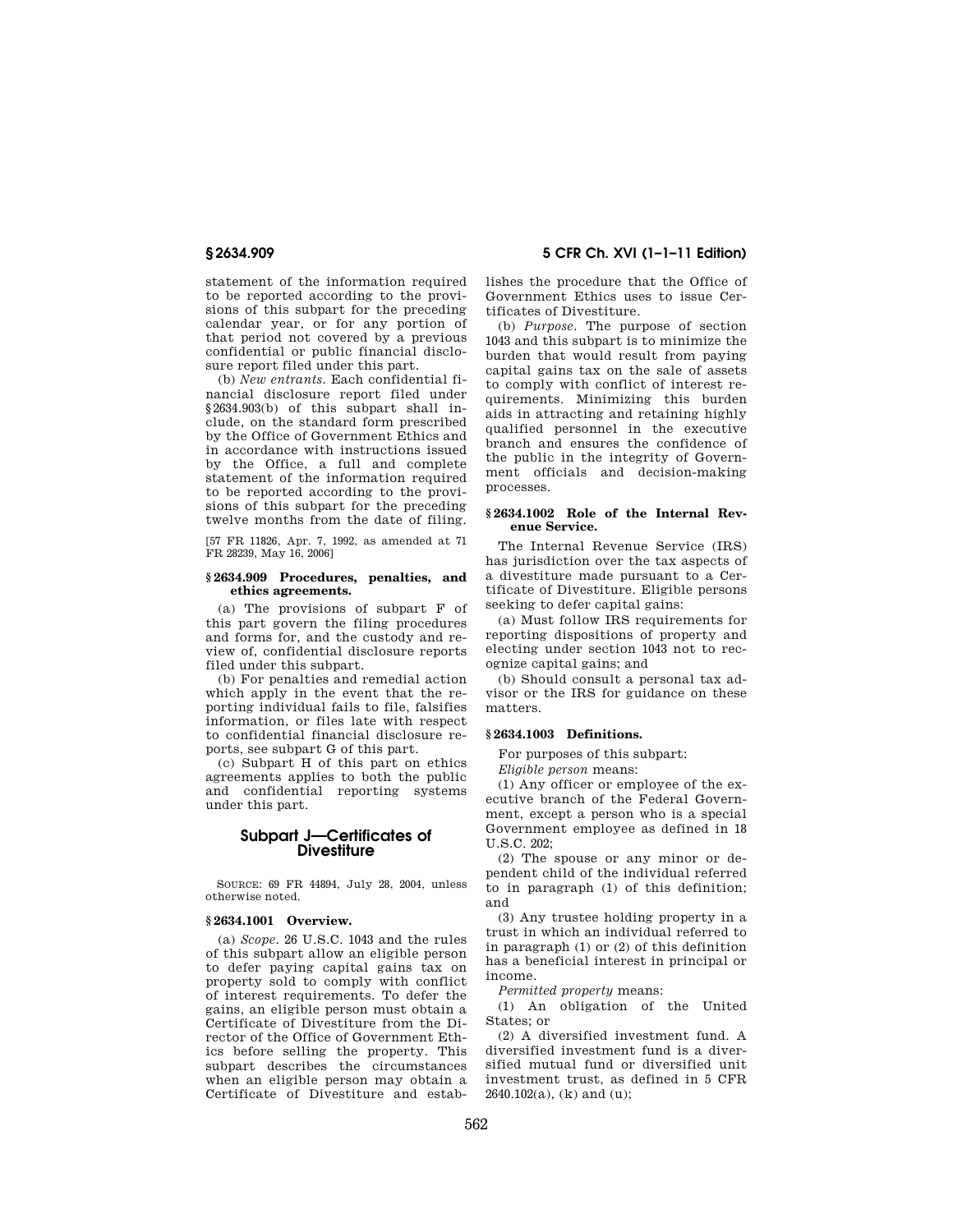statement of the information required to be reported according to the provisions of this subpart for the preceding calendar year, or for any portion of that period not covered by a previous confidential or public financial disclosure report filed under this part.

(b) *New entrants.* Each confidential financial disclosure report filed under §2634.903(b) of this subpart shall include, on the standard form prescribed by the Office of Government Ethics and in accordance with instructions issued by the Office, a full and complete statement of the information required to be reported according to the provisions of this subpart for the preceding twelve months from the date of filing.

[57 FR 11826, Apr. 7, 1992, as amended at 71 FR 28239, May 16, 2006]

## **§ 2634.909 Procedures, penalties, and ethics agreements.**

(a) The provisions of subpart F of this part govern the filing procedures and forms for, and the custody and review of, confidential disclosure reports filed under this subpart.

(b) For penalties and remedial action which apply in the event that the reporting individual fails to file, falsifies information, or files late with respect to confidential financial disclosure reports, see subpart G of this part.

(c) Subpart H of this part on ethics agreements applies to both the public and confidential reporting systems under this part.

# **Subpart J—Certificates of Divestiture**

SOURCE: 69 FR 44894, July 28, 2004, unless otherwise noted.

## **§ 2634.1001 Overview.**

(a) *Scope.* 26 U.S.C. 1043 and the rules of this subpart allow an eligible person to defer paying capital gains tax on property sold to comply with conflict of interest requirements. To defer the gains, an eligible person must obtain a Certificate of Divestiture from the Director of the Office of Government Ethics before selling the property. This subpart describes the circumstances when an eligible person may obtain a Certificate of Divestiture and estab-

**§ 2634.909 5 CFR Ch. XVI (1–1–11 Edition)** 

lishes the procedure that the Office of Government Ethics uses to issue Certificates of Divestiture.

(b) *Purpose.* The purpose of section 1043 and this subpart is to minimize the burden that would result from paying capital gains tax on the sale of assets to comply with conflict of interest requirements. Minimizing this burden aids in attracting and retaining highly qualified personnel in the executive branch and ensures the confidence of the public in the integrity of Government officials and decision-making processes.

## **§ 2634.1002 Role of the Internal Revenue Service.**

The Internal Revenue Service (IRS) has jurisdiction over the tax aspects of a divestiture made pursuant to a Certificate of Divestiture. Eligible persons seeking to defer capital gains:

(a) Must follow IRS requirements for reporting dispositions of property and electing under section 1043 not to recognize capital gains; and

(b) Should consult a personal tax advisor or the IRS for guidance on these matters.

#### **§ 2634.1003 Definitions.**

For purposes of this subpart:

*Eligible person* means:

(1) Any officer or employee of the executive branch of the Federal Government, except a person who is a special Government employee as defined in 18 U.S.C. 202;

(2) The spouse or any minor or dependent child of the individual referred to in paragraph (1) of this definition; and

(3) Any trustee holding property in a trust in which an individual referred to in paragraph (1) or (2) of this definition has a beneficial interest in principal or income.

*Permitted property* means:

(1) An obligation of the United States; or

(2) A diversified investment fund. A diversified investment fund is a diversified mutual fund or diversified unit investment trust, as defined in 5 CFR 2640.102(a), (k) and (u);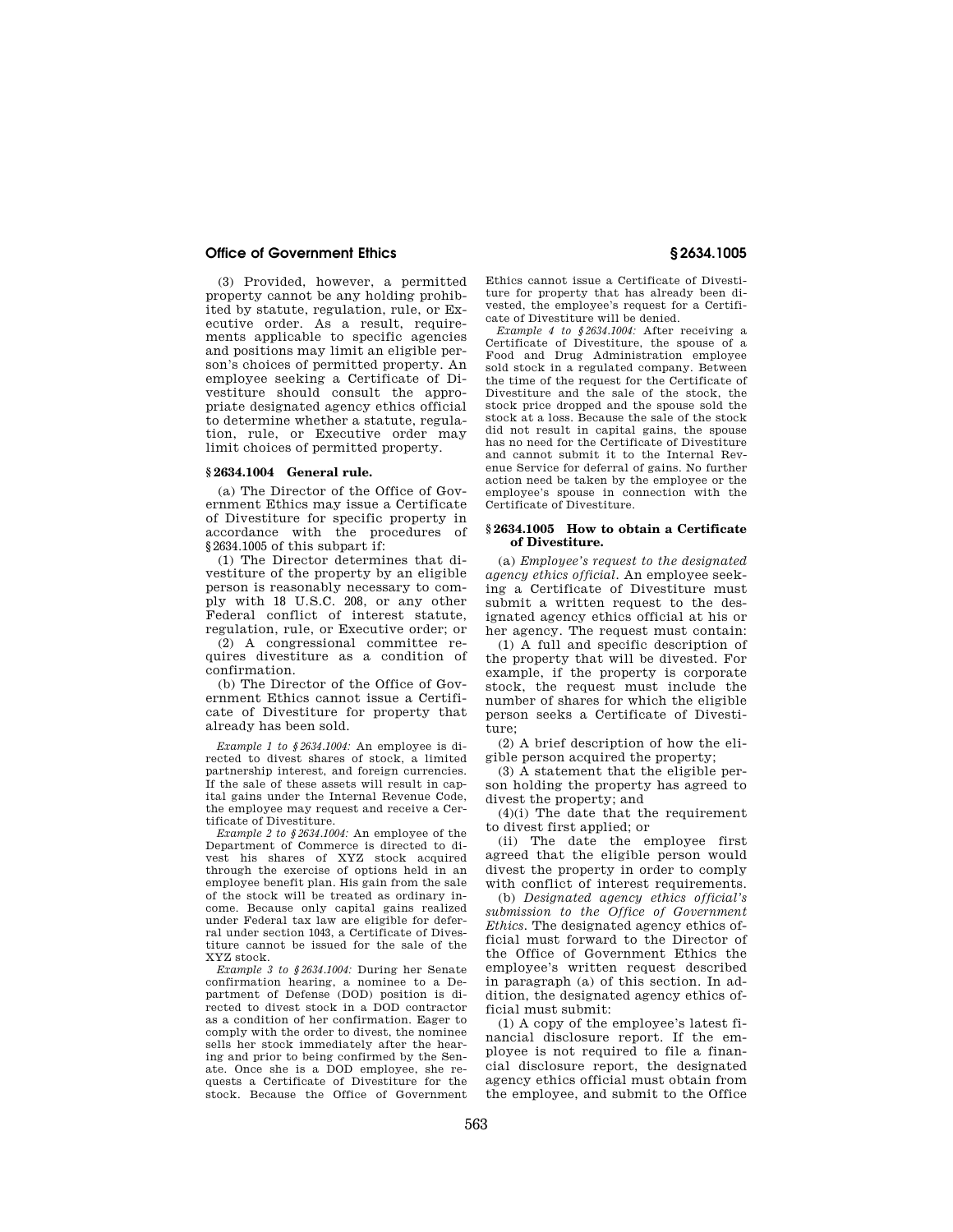(3) Provided, however, a permitted property cannot be any holding prohibited by statute, regulation, rule, or Executive order. As a result, requirements applicable to specific agencies and positions may limit an eligible person's choices of permitted property. An employee seeking a Certificate of Divestiture should consult the appropriate designated agency ethics official to determine whether a statute, regulation, rule, or Executive order may limit choices of permitted property.

### **§ 2634.1004 General rule.**

(a) The Director of the Office of Government Ethics may issue a Certificate of Divestiture for specific property in accordance with the procedures of §2634.1005 of this subpart if:

(1) The Director determines that divestiture of the property by an eligible person is reasonably necessary to comply with 18 U.S.C. 208, or any other Federal conflict of interest statute, regulation, rule, or Executive order; or

(2) A congressional committee requires divestiture as a condition of confirmation.

(b) The Director of the Office of Government Ethics cannot issue a Certificate of Divestiture for property that already has been sold.

*Example 1 to §2634.1004:* An employee is directed to divest shares of stock, a limited partnership interest, and foreign currencies. If the sale of these assets will result in capital gains under the Internal Revenue Code, the employee may request and receive a Certificate of Divestiture.

*Example 2 to §2634.1004:* An employee of the Department of Commerce is directed to divest his shares of XYZ stock acquired through the exercise of options held in an employee benefit plan. His gain from the sale of the stock will be treated as ordinary income. Because only capital gains realized under Federal tax law are eligible for deferral under section 1043, a Certificate of Divestiture cannot be issued for the sale of the XYZ stock.

*Example 3 to §2634.1004:* During her Senate confirmation hearing, a nominee to a Department of Defense (DOD) position is directed to divest stock in a DOD contractor as a condition of her confirmation. Eager to comply with the order to divest, the nominee sells her stock immediately after the hearing and prior to being confirmed by the Senate. Once she is a DOD employee, she requests a Certificate of Divestiture for the stock. Because the Office of Government

Ethics cannot issue a Certificate of Divestiture for property that has already been divested, the employee's request for a Certificate of Divestiture will be denied.

*Example 4 to §2634.1004:* After receiving a Certificate of Divestiture, the spouse of a Food and Drug Administration employee sold stock in a regulated company. Between the time of the request for the Certificate of Divestiture and the sale of the stock, the stock price dropped and the spouse sold the stock at a loss. Because the sale of the stock did not result in capital gains, the spouse has no need for the Certificate of Divestiture and cannot submit it to the Internal Revenue Service for deferral of gains. No further action need be taken by the employee or the employee's spouse in connection with the Certificate of Divestiture.

#### **§ 2634.1005 How to obtain a Certificate of Divestiture.**

(a) *Employee's request to the designated agency ethics official.* An employee seeking a Certificate of Divestiture must submit a written request to the designated agency ethics official at his or her agency. The request must contain:

(1) A full and specific description of the property that will be divested. For example, if the property is corporate stock, the request must include the number of shares for which the eligible person seeks a Certificate of Divestiture;

(2) A brief description of how the eligible person acquired the property;

(3) A statement that the eligible person holding the property has agreed to divest the property; and

(4)(i) The date that the requirement to divest first applied; or

(ii) The date the employee first agreed that the eligible person would divest the property in order to comply with conflict of interest requirements.

(b) *Designated agency ethics official's submission to the Office of Government Ethics.* The designated agency ethics official must forward to the Director of the Office of Government Ethics the employee's written request described in paragraph (a) of this section. In addition, the designated agency ethics official must submit:

(1) A copy of the employee's latest financial disclosure report. If the employee is not required to file a financial disclosure report, the designated agency ethics official must obtain from the employee, and submit to the Office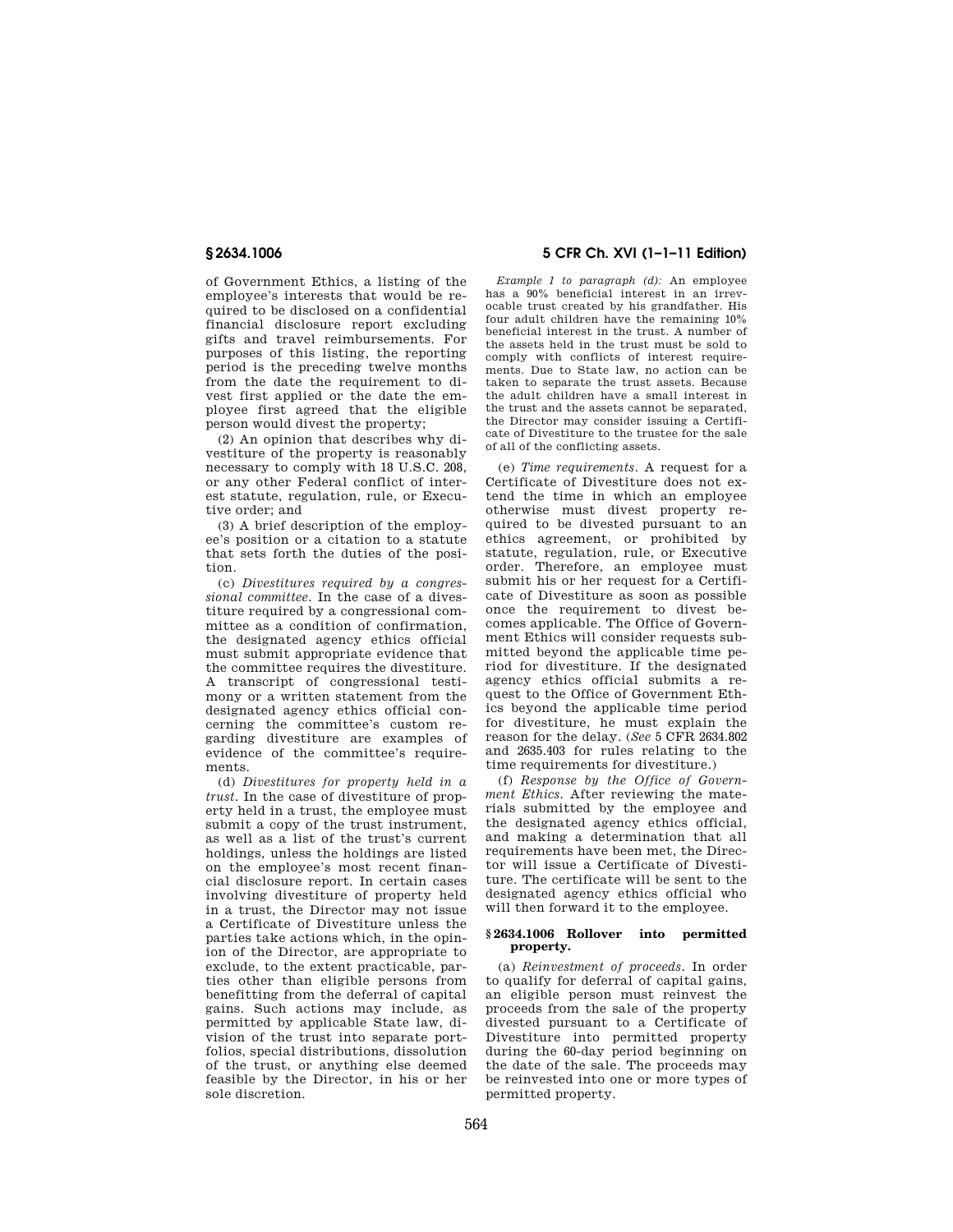of Government Ethics, a listing of the employee's interests that would be required to be disclosed on a confidential financial disclosure report excluding gifts and travel reimbursements. For purposes of this listing, the reporting period is the preceding twelve months from the date the requirement to divest first applied or the date the employee first agreed that the eligible person would divest the property;

(2) An opinion that describes why divestiture of the property is reasonably necessary to comply with 18 U.S.C. 208, or any other Federal conflict of interest statute, regulation, rule, or Executive order; and

(3) A brief description of the employee's position or a citation to a statute that sets forth the duties of the position.

(c) *Divestitures required by a congressional committee.* In the case of a divestiture required by a congressional committee as a condition of confirmation, the designated agency ethics official must submit appropriate evidence that the committee requires the divestiture. A transcript of congressional testimony or a written statement from the designated agency ethics official concerning the committee's custom regarding divestiture are examples of evidence of the committee's requirements.

(d) *Divestitures for property held in a trust.* In the case of divestiture of property held in a trust, the employee must submit a copy of the trust instrument, as well as a list of the trust's current holdings, unless the holdings are listed on the employee's most recent financial disclosure report. In certain cases involving divestiture of property held in a trust, the Director may not issue a Certificate of Divestiture unless the parties take actions which, in the opinion of the Director, are appropriate to exclude, to the extent practicable, parties other than eligible persons from benefitting from the deferral of capital gains. Such actions may include, as permitted by applicable State law, division of the trust into separate portfolios, special distributions, dissolution of the trust, or anything else deemed feasible by the Director, in his or her sole discretion.

# **§ 2634.1006 5 CFR Ch. XVI (1–1–11 Edition)**

*Example 1 to paragraph (d):* An employee has a 90% beneficial interest in an irrevocable trust created by his grandfather. His four adult children have the remaining 10% beneficial interest in the trust. A number of the assets held in the trust must be sold to comply with conflicts of interest requirements. Due to State law, no action can be taken to separate the trust assets. Because the adult children have a small interest in the trust and the assets cannot be separated. the Director may consider issuing a Certificate of Divestiture to the trustee for the sale of all of the conflicting assets.

(e) *Time requirements.* A request for a Certificate of Divestiture does not extend the time in which an employee otherwise must divest property required to be divested pursuant to an ethics agreement, or prohibited by statute, regulation, rule, or Executive order. Therefore, an employee must submit his or her request for a Certificate of Divestiture as soon as possible once the requirement to divest becomes applicable. The Office of Government Ethics will consider requests submitted beyond the applicable time period for divestiture. If the designated agency ethics official submits a request to the Office of Government Ethics beyond the applicable time period for divestiture, he must explain the reason for the delay. (*See* 5 CFR 2634.802 and 2635.403 for rules relating to the time requirements for divestiture.)

(f) *Response by the Office of Government Ethics.* After reviewing the materials submitted by the employee and the designated agency ethics official, and making a determination that all requirements have been met, the Director will issue a Certificate of Divestiture. The certificate will be sent to the designated agency ethics official who will then forward it to the employee.

# **§ 2634.1006 Rollover into permitted property.**

(a) *Reinvestment of proceeds.* In order to qualify for deferral of capital gains, an eligible person must reinvest the proceeds from the sale of the property divested pursuant to a Certificate of Divestiture into permitted property during the 60-day period beginning on the date of the sale. The proceeds may be reinvested into one or more types of permitted property.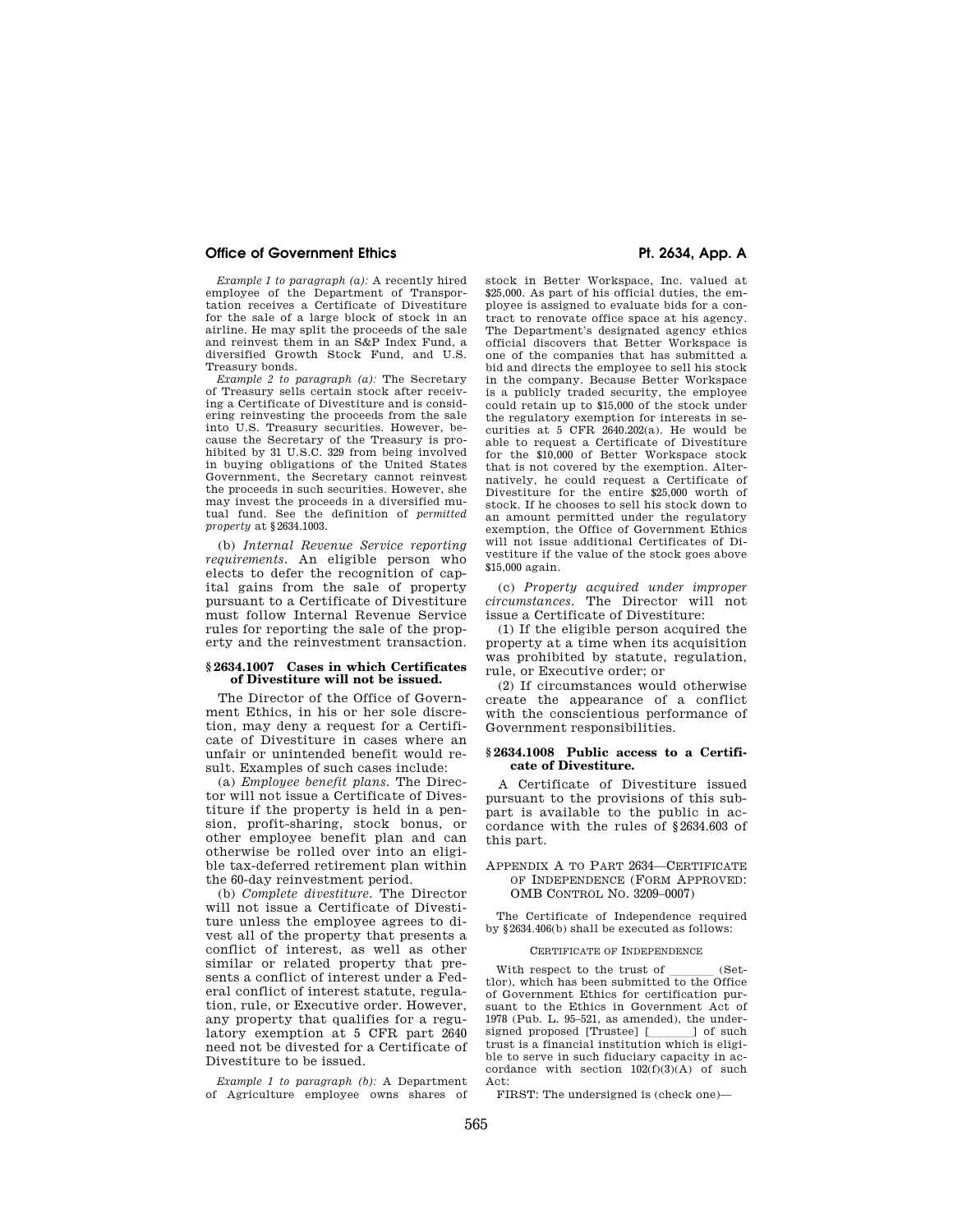## **Office of Government Ethics**  Pt. 2634, App. A

*Example 1 to paragraph (a):* A recently hired employee of the Department of Transportation receives a Certificate of Divestiture for the sale of a large block of stock in an airline. He may split the proceeds of the sale and reinvest them in an S&P Index Fund, a diversified Growth Stock Fund, and U.S. Treasury bonds.

*Example 2 to paragraph (a):* The Secretary of Treasury sells certain stock after receiving a Certificate of Divestiture and is considering reinvesting the proceeds from the sale into U.S. Treasury securities. However, because the Secretary of the Treasury is prohibited by 31 U.S.C. 329 from being involved in buying obligations of the United States Government, the Secretary cannot reinvest the proceeds in such securities. However, she may invest the proceeds in a diversified mutual fund. See the definition of *permitted property* at §2634.1003.

(b) *Internal Revenue Service reporting requirements.* An eligible person who elects to defer the recognition of capital gains from the sale of property pursuant to a Certificate of Divestiture must follow Internal Revenue Service rules for reporting the sale of the property and the reinvestment transaction.

#### **§ 2634.1007 Cases in which Certificates of Divestiture will not be issued.**

The Director of the Office of Government Ethics, in his or her sole discretion, may deny a request for a Certificate of Divestiture in cases where an unfair or unintended benefit would result. Examples of such cases include:

(a) *Employee benefit plans.* The Director will not issue a Certificate of Divestiture if the property is held in a pension, profit-sharing, stock bonus, or other employee benefit plan and can otherwise be rolled over into an eligible tax-deferred retirement plan within the 60-day reinvestment period.

(b) *Complete divestiture.* The Director will not issue a Certificate of Divestiture unless the employee agrees to divest all of the property that presents a conflict of interest, as well as other similar or related property that presents a conflict of interest under a Federal conflict of interest statute, regulation, rule, or Executive order. However, any property that qualifies for a regulatory exemption at 5 CFR part 2640 need not be divested for a Certificate of Divestiture to be issued.

*Example 1 to paragraph (b):* A Department of Agriculture employee owns shares of

stock in Better Workspace, Inc. valued at \$25,000. As part of his official duties, the employee is assigned to evaluate bids for a contract to renovate office space at his agency. The Department's designated agency ethics official discovers that Better Workspace is one of the companies that has submitted a bid and directs the employee to sell his stock in the company. Because Better Workspace is a publicly traded security, the employee could retain up to \$15,000 of the stock under the regulatory exemption for interests in securities at 5 CFR 2640.202(a). He would be able to request a Certificate of Divestiture for the \$10,000 of Better Workspace stock that is not covered by the exemption. Alternatively, he could request a Certificate of Divestiture for the entire \$25,000 worth of stock. If he chooses to sell his stock down to an amount permitted under the regulatory exemption, the Office of Government Ethics will not issue additional Certificates of Divestiture if the value of the stock goes above \$15,000 again.

(c) *Property acquired under improper circumstances.* The Director will not issue a Certificate of Divestiture:

(1) If the eligible person acquired the property at a time when its acquisition was prohibited by statute, regulation, rule, or Executive order; or

(2) If circumstances would otherwise create the appearance of a conflict with the conscientious performance of Government responsibilities.

## **§ 2634.1008 Public access to a Certificate of Divestiture.**

A Certificate of Divestiture issued pursuant to the provisions of this subpart is available to the public in accordance with the rules of §2634.603 of this part.

## APPENDIX A TO PART 2634—CERTIFICATE OF INDEPENDENCE (FORM APPROVED: OMB CONTROL NO. 3209–0007)

The Certificate of Independence required by §2634.406(b) shall be executed as follows:

## CERTIFICATE OF INDEPENDENCE

With respect to the trust of \_\_\_\_\_ (Set-<br>tlor), which has been submitted to the Office of Government Ethics for certification pursuant to the Ethics in Government Act of 1978 (Pub. L. 95–521, as amended), the undersigned proposed [Trustee] [ill] of such trust is a financial institution which is eligible to serve in such fiduciary capacity in accordance with section 102(f)(3)(A) of such Act:

FIRST: The undersigned is (check one)—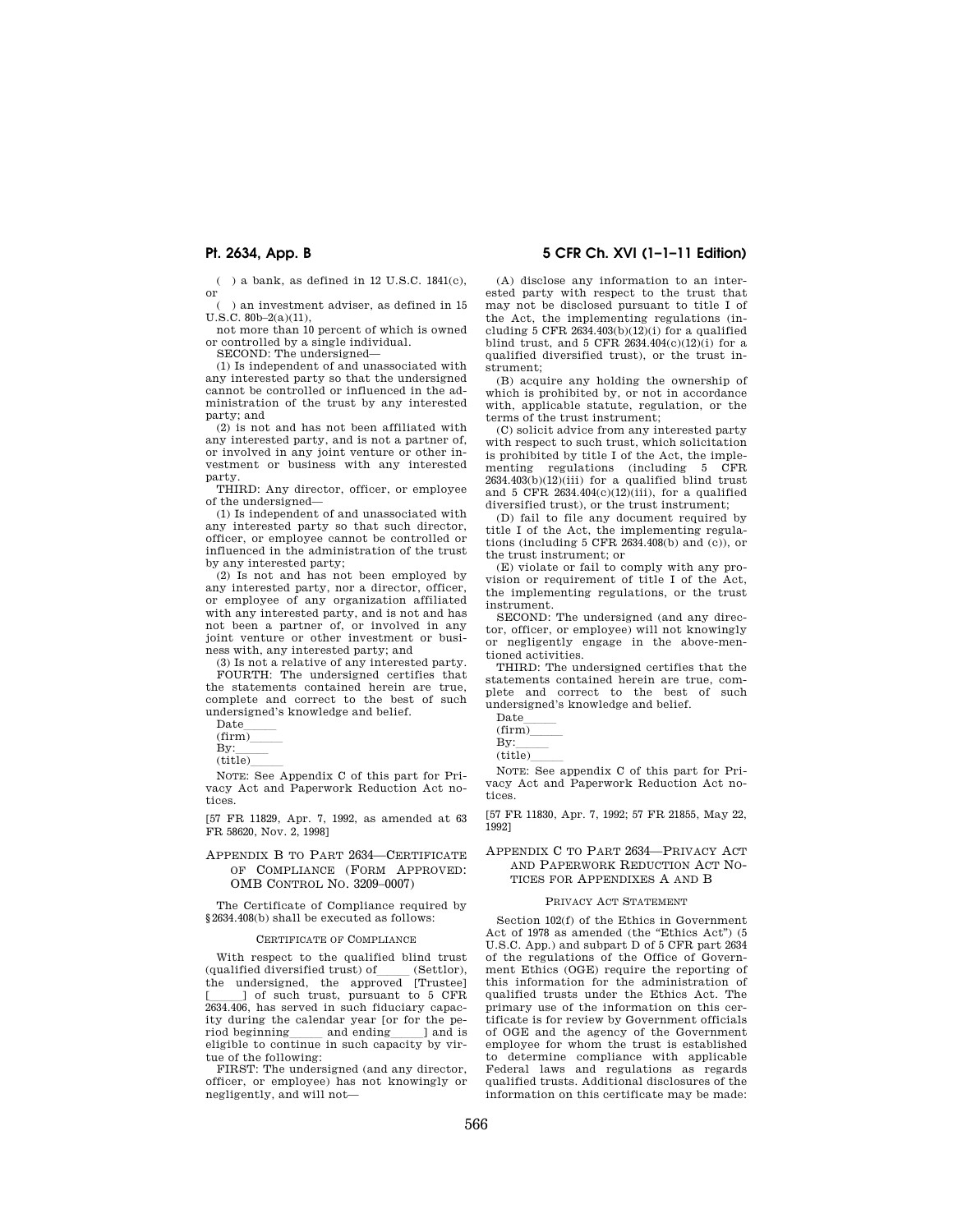( ) a bank, as defined in 12 U.S.C. 1841(c), or

) an investment adviser, as defined in 15  $U.S.C. 80b-2(a)(11),$ 

not more than 10 percent of which is owned or controlled by a single individual.

SECOND: The undersigned—

(1) Is independent of and unassociated with any interested party so that the undersigned cannot be controlled or influenced in the administration of the trust by any interested party; and

(2) is not and has not been affiliated with any interested party, and is not a partner of, or involved in any joint venture or other investment or business with any interested party.

THIRD: Any director, officer, or employee of the undersigned—

(1) Is independent of and unassociated with any interested party so that such director, officer, or employee cannot be controlled or influenced in the administration of the trust by any interested party;

(2) Is not and has not been employed by any interested party, nor a director, officer, or employee of any organization affiliated with any interested party, and is not and has not been a partner of, or involved in any joint venture or other investment or business with, any interested party; and

(3) Is not a relative of any interested party. FOURTH: The undersigned certifies that the statements contained herein are true, complete and correct to the best of such undersigned's knowledge and belief.

Datelll (firm)lll

 $By:$ <br>(title)

(title)\_\_\_\_\_<br>NOTE: See Appendix C of this part for Privacy Act and Paperwork Reduction Act notices.

[57 FR 11829, Apr. 7, 1992, as amended at 63 FR 58620, Nov. 2, 1998]

## APPENDIX B TO PART 2634—CERTIFICATE OF COMPLIANCE (FORM APPROVED: OMB CONTROL NO. 3209–0007)

The Certificate of Compliance required by §2634.408(b) shall be executed as follows:

## CERTIFICATE OF COMPLIANCE

With respect to the qualified blind trust<br>(qualified diversified trust) of (Settlor), (qualified diversified trust) of \_\_\_\_\_ (Settlor),<br>the undersigned, the approved [Trustee] [111] of such trust, pursuant to 5 CFR 2634.406, has served in such fiduciary capacity during the calendar year [or for the period beginning and ending and is eligible to continue in such capacity by virtue of the following:

FIRST: The undersigned (and any director, officer, or employee) has not knowingly or negligently, and will not—

# **Pt. 2634, App. B 5 CFR Ch. XVI (1–1–11 Edition)**

(A) disclose any information to an interested party with respect to the trust that may not be disclosed pursuant to title I of the Act, the implementing regulations (including 5 CFR  $2634.403(b)(12)(i)$  for a qualified blind trust, and 5 CFR  $2634.404(c)(12)(i)$  for a qualified diversified trust), or the trust instrument;

(B) acquire any holding the ownership of which is prohibited by, or not in accordance with, applicable statute, regulation, or the terms of the trust instrument;

(C) solicit advice from any interested party with respect to such trust, which solicitation is prohibited by title I of the Act, the implementing regulations (including 5 CFR  $2634.403(b)(12)(iii)$  for a qualified blind trust and 5 CFR  $2634.404(c)(12)(iii)$ , for a qualified diversified trust), or the trust instrument;

(D) fail to file any document required by title I of the Act, the implementing regulations (including  $5$  CFR 2634.408(b) and (c)), or the trust instrument; or

(E) violate or fail to comply with any provision or requirement of title I of the Act, the implementing regulations, or the trust instrument.

SECOND: The undersigned (and any director, officer, or employee) will not knowingly or negligently engage in the above-mentioned activities.

THIRD: The undersigned certifies that the statements contained herein are true, complete and correct to the best of such undersigned's knowledge and belief.

 $By:$ <br>(title)

(title)\_\_\_\_\_\_<br>NOTE: See appendix C of this part for Privacy Act and Paperwork Reduction Act notices.

[57 FR 11830, Apr. 7, 1992; 57 FR 21855, May 22, 1992]

## APPENDIX C TO PART 2634—PRIVACY ACT AND PAPERWORK REDUCTION ACT NO-TICES FOR APPENDIXES A AND B

#### PRIVACY ACT STATEMENT

Section 102(f) of the Ethics in Government Act of 1978 as amended (the "Ethics Act") (5 U.S.C. App.) and subpart D of 5 CFR part 2634 of the regulations of the Office of Government Ethics (OGE) require the reporting of this information for the administration of qualified trusts under the Ethics Act. The primary use of the information on this certificate is for review by Government officials of OGE and the agency of the Government employee for whom the trust is established to determine compliance with applicable Federal laws and regulations as regards qualified trusts. Additional disclosures of the information on this certificate may be made:

Datelll

 $\frac{\text{(firm)}}{\text{Bv}}$